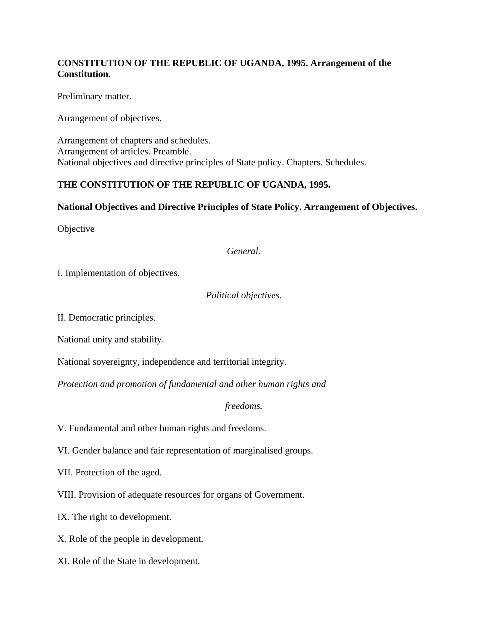# **CONSTITUTION OF THE REPUBLIC OF UGANDA, 1995. Arrangement of the Constitution.**

Preliminary matter.

Arrangement of objectives.

Arrangement of chapters and schedules. Arrangement of articles. Preamble. National objectives and directive principles of State policy. Chapters. Schedules.

# **THE CONSTITUTION OF THE REPUBLIC OF UGANDA, 1995.**

## **National Objectives and Directive Principles of State Policy. Arrangement of Objectives.**

**Objective** 

*General.*

I. Implementation of objectives.

*Political objectives.*

II. Democratic principles.

National unity and stability.

National sovereignty, independence and territorial integrity.

*Protection and promotion of fundamental and other human rights and*

*freedoms.*

V. Fundamental and other human rights and freedoms.

VI. Gender balance and fair representation of marginalised groups.

VII. Protection of the aged.

VIII. Provision of adequate resources for organs of Government.

IX. The right to development.

X. Role of the people in development.

XI. Role of the State in development.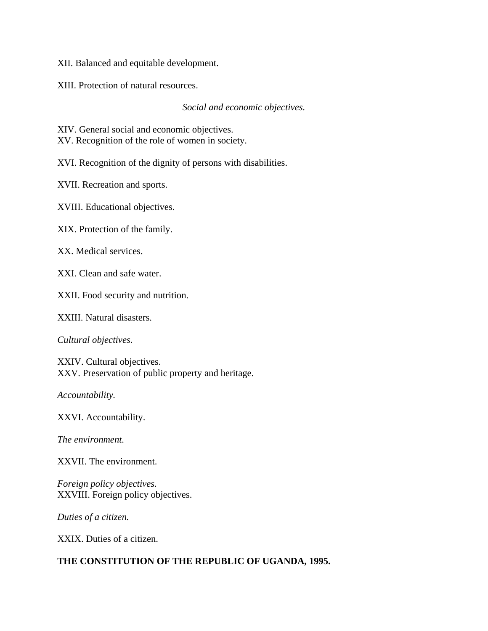XII. Balanced and equitable development.

XIII. Protection of natural resources.

*Social and economic objectives.*

XIV. General social and economic objectives. XV. Recognition of the role of women in society.

XVI. Recognition of the dignity of persons with disabilities.

XVII. Recreation and sports.

XVIII. Educational objectives.

XIX. Protection of the family.

XX. Medical services.

XXI. Clean and safe water.

XXII. Food security and nutrition.

XXIII. Natural disasters.

*Cultural objectives.*

XXIV. Cultural objectives. XXV. Preservation of public property and heritage.

*Accountability.*

XXVI. Accountability.

*The environment.*

XXVII. The environment.

*Foreign policy objectives.* XXVIII. Foreign policy objectives.

*Duties of a citizen.*

XXIX. Duties of a citizen.

## **THE CONSTITUTION OF THE REPUBLIC OF UGANDA, 1995.**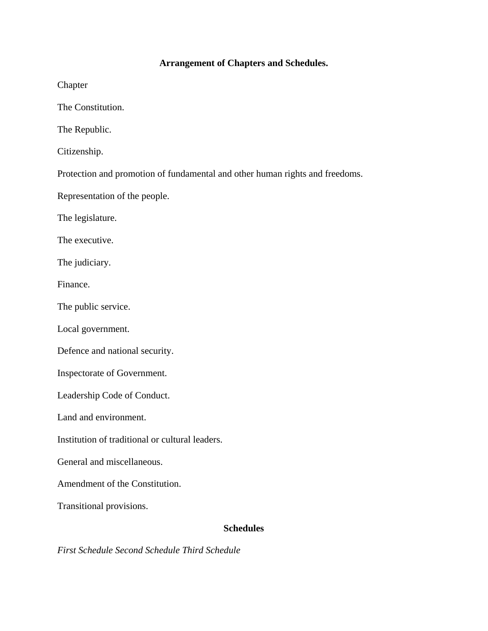#### **Arrangement of Chapters and Schedules.**

Chapter

The Constitution.

The Republic.

Citizenship.

Protection and promotion of fundamental and other human rights and freedoms.

Representation of the people.

The legislature.

The executive.

The judiciary.

Finance.

The public service.

Local government.

Defence and national security.

Inspectorate of Government.

Leadership Code of Conduct.

Land and environment.

Institution of traditional or cultural leaders.

General and miscellaneous.

Amendment of the Constitution.

Transitional provisions.

#### **Schedules**

*First Schedule Second Schedule Third Schedule*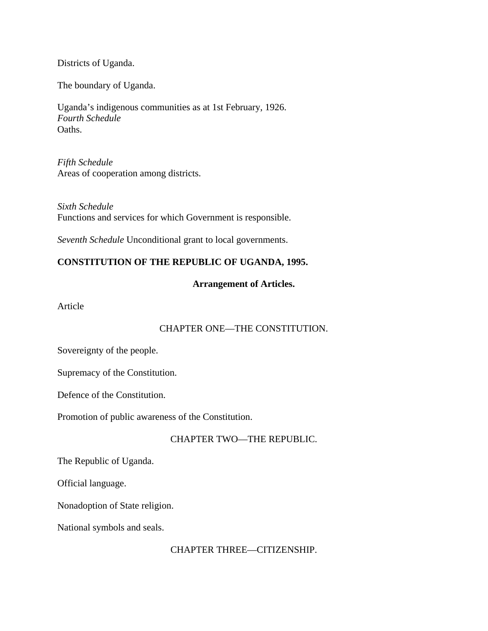Districts of Uganda.

The boundary of Uganda.

Uganda's indigenous communities as at 1st February, 1926. *Fourth Schedule* Oaths.

*Fifth Schedule* Areas of cooperation among districts.

*Sixth Schedule* Functions and services for which Government is responsible.

*Seventh Schedule* Unconditional grant to local governments.

### **CONSTITUTION OF THE REPUBLIC OF UGANDA, 1995.**

#### **Arrangement of Articles.**

Article

#### CHAPTER ONE—THE CONSTITUTION.

Sovereignty of the people.

Supremacy of the Constitution.

Defence of the Constitution.

Promotion of public awareness of the Constitution.

CHAPTER TWO—THE REPUBLIC.

The Republic of Uganda.

Official language.

Nonadoption of State religion.

National symbols and seals.

CHAPTER THREE—CITIZENSHIP.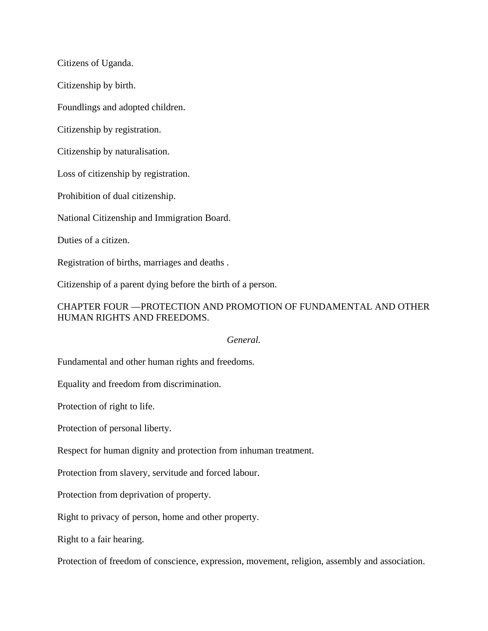Citizens of Uganda. Citizenship by birth. Foundlings and adopted children. Citizenship by registration. Citizenship by naturalisation. Loss of citizenship by registration. Prohibition of dual citizenship. National Citizenship and Immigration Board. Duties of a citizen. Registration of births, marriages and deaths . Citizenship of a parent dying before the birth of a person.

## CHAPTER FOUR —PROTECTION AND PROMOTION OF FUNDAMENTAL AND OTHER HUMAN RIGHTS AND FREEDOMS.

#### *General.*

Fundamental and other human rights and freedoms.

Equality and freedom from discrimination.

Protection of right to life.

Protection of personal liberty.

Respect for human dignity and protection from inhuman treatment.

Protection from slavery, servitude and forced labour.

Protection from deprivation of property.

Right to privacy of person, home and other property.

Right to a fair hearing.

Protection of freedom of conscience, expression, movement, religion, assembly and association.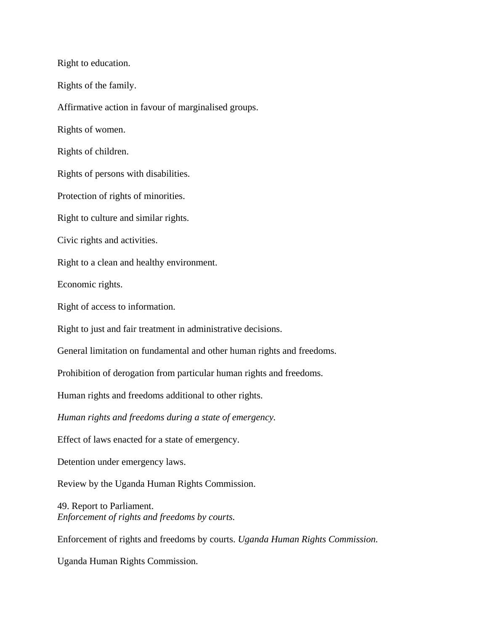Right to education. Rights of the family. Affirmative action in favour of marginalised groups. Rights of women. Rights of children. Rights of persons with disabilities. Protection of rights of minorities. Right to culture and similar rights. Civic rights and activities. Right to a clean and healthy environment. Economic rights. Right of access to information. Right to just and fair treatment in administrative decisions. General limitation on fundamental and other human rights and freedoms. Prohibition of derogation from particular human rights and freedoms. Human rights and freedoms additional to other rights. *Human rights and freedoms during a state of emergency.* Effect of laws enacted for a state of emergency. Detention under emergency laws. Review by the Uganda Human Rights Commission. 49. Report to Parliament. *Enforcement of rights and freedoms by courts.* Enforcement of rights and freedoms by courts. *Uganda Human Rights Commission.* Uganda Human Rights Commission.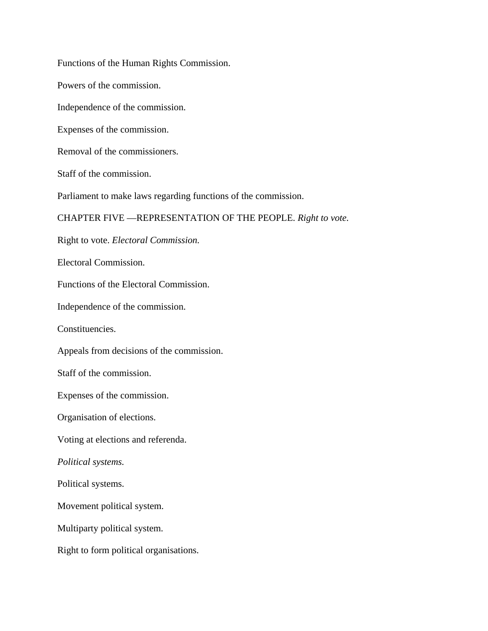Functions of the Human Rights Commission. Powers of the commission. Independence of the commission. Expenses of the commission. Removal of the commissioners. Staff of the commission. Parliament to make laws regarding functions of the commission. CHAPTER FIVE —REPRESENTATION OF THE PEOPLE. *Right to vote.* Right to vote. *Electoral Commission.* Electoral Commission. Functions of the Electoral Commission. Independence of the commission. Constituencies. Appeals from decisions of the commission. Staff of the commission. Expenses of the commission. Organisation of elections. Voting at elections and referenda. *Political systems.* Political systems. Movement political system. Multiparty political system. Right to form political organisations.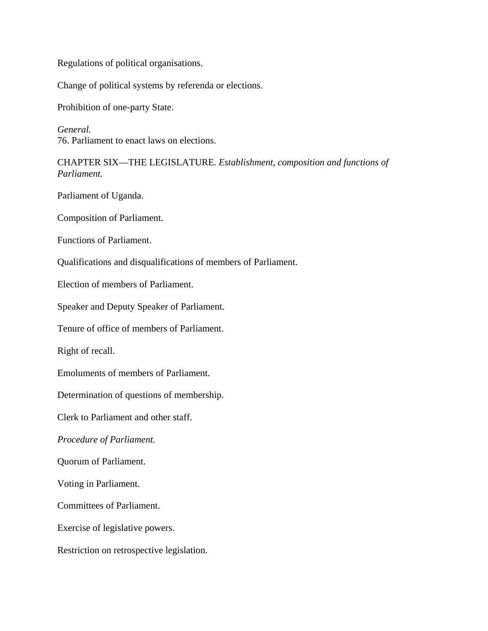Regulations of political organisations.

Change of political systems by referenda or elections.

Prohibition of one-party State.

*General.* 76. Parliament to enact laws on elections.

CHAPTER SIX—THE LEGISLATURE. *Establishment, composition and functions of Parliament.*

Parliament of Uganda.

Composition of Parliament.

Functions of Parliament.

Qualifications and disqualifications of members of Parliament.

Election of members of Parliament.

Speaker and Deputy Speaker of Parliament.

Tenure of office of members of Parliament.

Right of recall.

Emoluments of members of Parliament.

Determination of questions of membership.

Clerk to Parliament and other staff.

*Procedure of Parliament.*

Quorum of Parliament.

Voting in Parliament.

Committees of Parliament.

Exercise of legislative powers.

Restriction on retrospective legislation.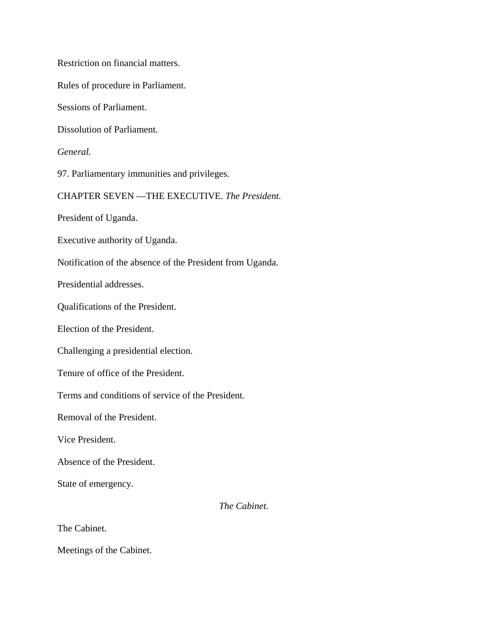Restriction on financial matters.

Rules of procedure in Parliament.

Sessions of Parliament.

Dissolution of Parliament.

*General.*

97. Parliamentary immunities and privileges.

CHAPTER SEVEN —THE EXECUTIVE. *The President.*

President of Uganda.

Executive authority of Uganda.

Notification of the absence of the President from Uganda.

Presidential addresses.

Qualifications of the President.

Election of the President.

Challenging a presidential election.

Tenure of office of the President.

Terms and conditions of service of the President.

Removal of the President.

Vice President.

Absence of the President.

State of emergency.

*The Cabinet.*

The Cabinet.

Meetings of the Cabinet.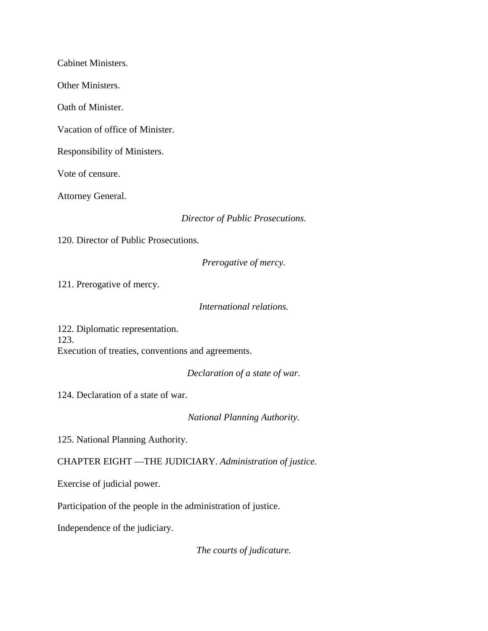Cabinet Ministers.

Other Ministers.

Oath of Minister.

Vacation of office of Minister.

Responsibility of Ministers.

Vote of censure.

Attorney General.

#### *Director of Public Prosecutions.*

120. Director of Public Prosecutions.

*Prerogative of mercy.*

121. Prerogative of mercy.

```
International relations.
```
122. Diplomatic representation. 123. Execution of treaties, conventions and agreements.

*Declaration of a state of war.*

124. Declaration of a state of war.

*National Planning Authority.*

125. National Planning Authority.

CHAPTER EIGHT —THE JUDICIARY. *Administration of justice.*

Exercise of judicial power.

Participation of the people in the administration of justice.

Independence of the judiciary.

*The courts of judicature.*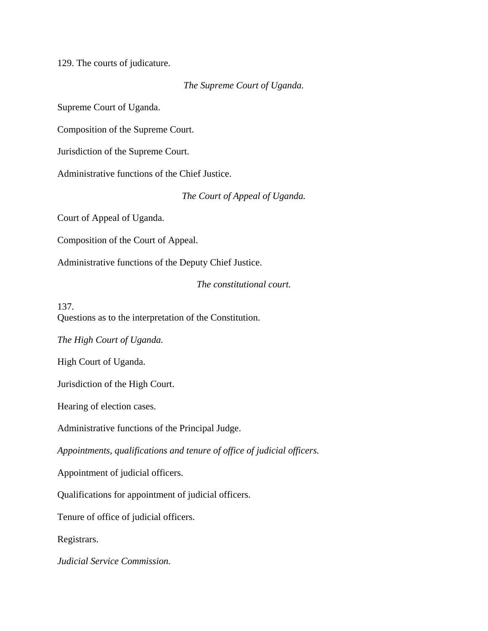129. The courts of judicature.

*The Supreme Court of Uganda.*

Supreme Court of Uganda.

Composition of the Supreme Court.

Jurisdiction of the Supreme Court.

Administrative functions of the Chief Justice.

*The Court of Appeal of Uganda.*

Court of Appeal of Uganda.

Composition of the Court of Appeal.

Administrative functions of the Deputy Chief Justice.

*The constitutional court.*

137. Questions as to the interpretation of the Constitution.

*The High Court of Uganda.*

High Court of Uganda.

Jurisdiction of the High Court.

Hearing of election cases.

Administrative functions of the Principal Judge.

*Appointments, qualifications and tenure of office of judicial officers.*

Appointment of judicial officers.

Qualifications for appointment of judicial officers.

Tenure of office of judicial officers.

Registrars.

*Judicial Service Commission.*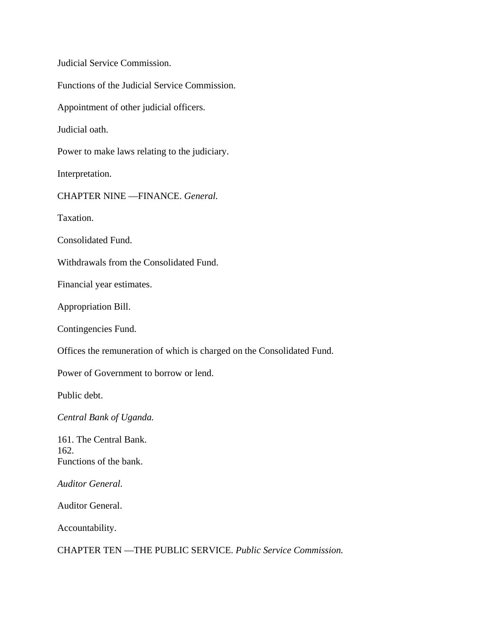Judicial Service Commission.

Functions of the Judicial Service Commission.

Appointment of other judicial officers.

Judicial oath.

Power to make laws relating to the judiciary.

Interpretation.

CHAPTER NINE —FINANCE. *General.*

Taxation.

Consolidated Fund.

Withdrawals from the Consolidated Fund.

Financial year estimates.

Appropriation Bill.

Contingencies Fund.

Offices the remuneration of which is charged on the Consolidated Fund.

Power of Government to borrow or lend.

Public debt.

*Central Bank of Uganda.*

161. The Central Bank. 162. Functions of the bank.

*Auditor General.*

Auditor General.

Accountability.

CHAPTER TEN —THE PUBLIC SERVICE. *Public Service Commission.*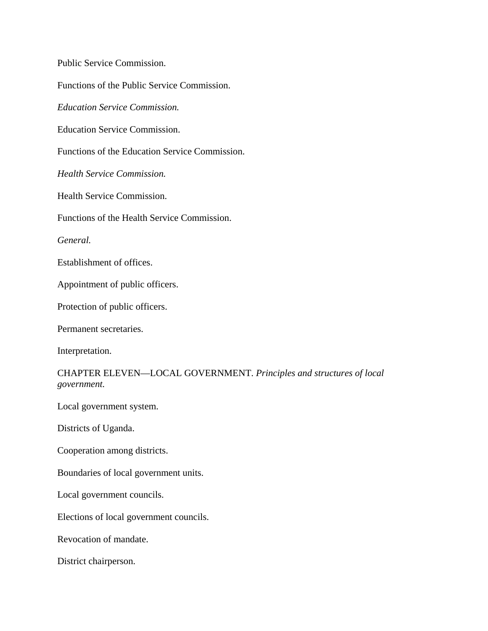Public Service Commission.

Functions of the Public Service Commission.

*Education Service Commission.*

Education Service Commission.

Functions of the Education Service Commission.

*Health Service Commission.*

Health Service Commission.

Functions of the Health Service Commission.

*General.*

Establishment of offices.

Appointment of public officers.

Protection of public officers.

Permanent secretaries.

Interpretation.

#### CHAPTER ELEVEN—LOCAL GOVERNMENT. *Principles and structures of local government.*

Local government system.

Districts of Uganda.

Cooperation among districts.

Boundaries of local government units.

Local government councils.

Elections of local government councils.

Revocation of mandate.

District chairperson.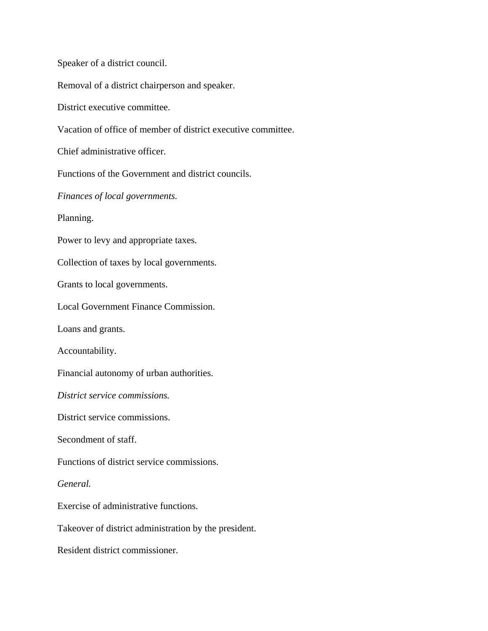Speaker of a district council. Removal of a district chairperson and speaker. District executive committee.

Vacation of office of member of district executive committee.

Chief administrative officer.

Functions of the Government and district councils.

*Finances of local governments.*

Planning.

Power to levy and appropriate taxes.

Collection of taxes by local governments.

Grants to local governments.

Local Government Finance Commission.

Loans and grants.

Accountability.

Financial autonomy of urban authorities.

*District service commissions.*

District service commissions.

Secondment of staff.

Functions of district service commissions.

*General.*

Exercise of administrative functions.

Takeover of district administration by the president.

Resident district commissioner.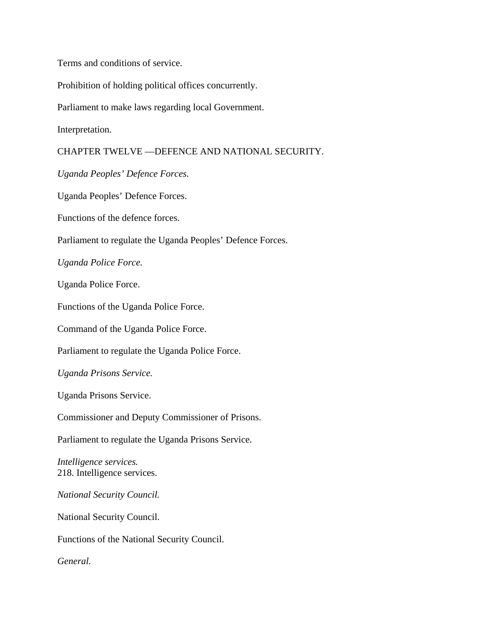Terms and conditions of service.

Prohibition of holding political offices concurrently.

Parliament to make laws regarding local Government.

Interpretation.

CHAPTER TWELVE —DEFENCE AND NATIONAL SECURITY.

*Uganda Peoples' Defence Forces.*

Uganda Peoples' Defence Forces.

Functions of the defence forces.

Parliament to regulate the Uganda Peoples' Defence Forces.

*Uganda Police Force.*

Uganda Police Force.

Functions of the Uganda Police Force.

Command of the Uganda Police Force.

Parliament to regulate the Uganda Police Force.

*Uganda Prisons Service.*

Uganda Prisons Service.

Commissioner and Deputy Commissioner of Prisons.

Parliament to regulate the Uganda Prisons Service.

*Intelligence services.* 218. Intelligence services.

*National Security Council.*

National Security Council.

Functions of the National Security Council.

*General.*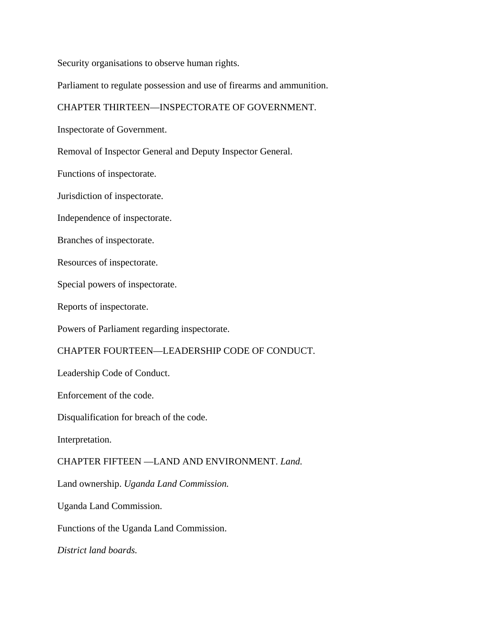Security organisations to observe human rights.

Parliament to regulate possession and use of firearms and ammunition.

#### CHAPTER THIRTEEN—INSPECTORATE OF GOVERNMENT.

Inspectorate of Government.

Removal of Inspector General and Deputy Inspector General.

Functions of inspectorate.

Jurisdiction of inspectorate.

Independence of inspectorate.

Branches of inspectorate.

Resources of inspectorate.

Special powers of inspectorate.

Reports of inspectorate.

Powers of Parliament regarding inspectorate.

### CHAPTER FOURTEEN—LEADERSHIP CODE OF CONDUCT.

Leadership Code of Conduct.

Enforcement of the code.

Disqualification for breach of the code.

Interpretation.

CHAPTER FIFTEEN —LAND AND ENVIRONMENT. *Land.*

Land ownership. *Uganda Land Commission.*

Uganda Land Commission.

Functions of the Uganda Land Commission.

*District land boards.*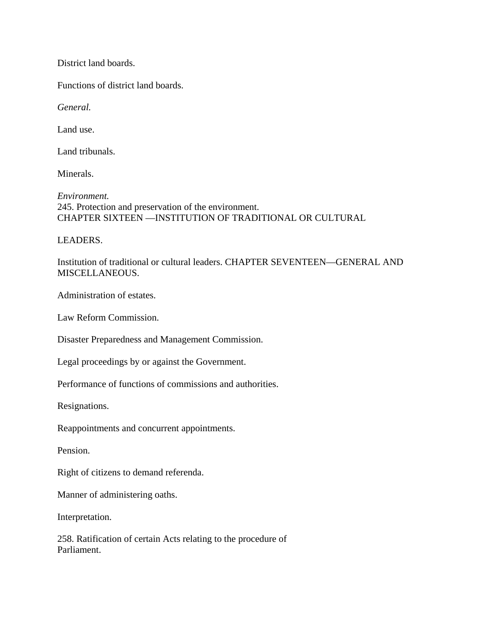District land boards.

Functions of district land boards.

*General.*

Land use.

Land tribunals.

Minerals.

*Environment.* 245. Protection and preservation of the environment. CHAPTER SIXTEEN —INSTITUTION OF TRADITIONAL OR CULTURAL

#### LEADERS.

Institution of traditional or cultural leaders. CHAPTER SEVENTEEN—GENERAL AND MISCELLANEOUS.

Administration of estates.

Law Reform Commission.

Disaster Preparedness and Management Commission.

Legal proceedings by or against the Government.

Performance of functions of commissions and authorities.

Resignations.

Reappointments and concurrent appointments.

Pension.

Right of citizens to demand referenda.

Manner of administering oaths.

Interpretation.

258. Ratification of certain Acts relating to the procedure of Parliament.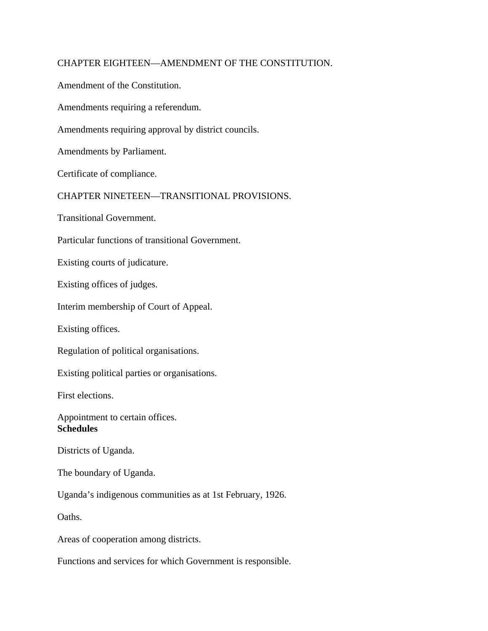### CHAPTER EIGHTEEN—AMENDMENT OF THE CONSTITUTION.

Amendment of the Constitution.

Amendments requiring a referendum.

Amendments requiring approval by district councils.

Amendments by Parliament.

Certificate of compliance.

CHAPTER NINETEEN—TRANSITIONAL PROVISIONS.

Transitional Government.

Particular functions of transitional Government.

Existing courts of judicature.

Existing offices of judges.

Interim membership of Court of Appeal.

Existing offices.

Regulation of political organisations.

Existing political parties or organisations.

First elections.

Appointment to certain offices. **Schedules**

Districts of Uganda.

The boundary of Uganda.

Uganda's indigenous communities as at 1st February, 1926.

Oaths.

Areas of cooperation among districts.

Functions and services for which Government is responsible.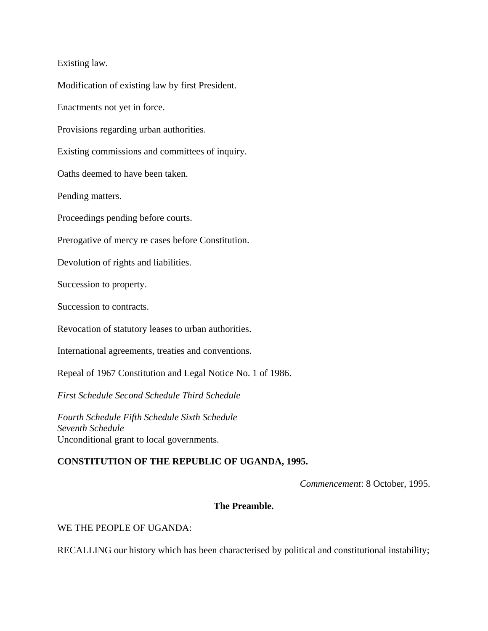Existing law.

Modification of existing law by first President.

Enactments not yet in force.

Provisions regarding urban authorities.

Existing commissions and committees of inquiry.

Oaths deemed to have been taken.

Pending matters.

Proceedings pending before courts.

Prerogative of mercy re cases before Constitution.

Devolution of rights and liabilities.

Succession to property.

Succession to contracts.

Revocation of statutory leases to urban authorities.

International agreements, treaties and conventions.

Repeal of 1967 Constitution and Legal Notice No. 1 of 1986.

*First Schedule Second Schedule Third Schedule*

*Fourth Schedule Fifth Schedule Sixth Schedule Seventh Schedule* Unconditional grant to local governments.

#### **CONSTITUTION OF THE REPUBLIC OF UGANDA, 1995.**

*Commencement*: 8 October, 1995.

### **The Preamble.**

WE THE PEOPLE OF UGANDA:

RECALLING our history which has been characterised by political and constitutional instability;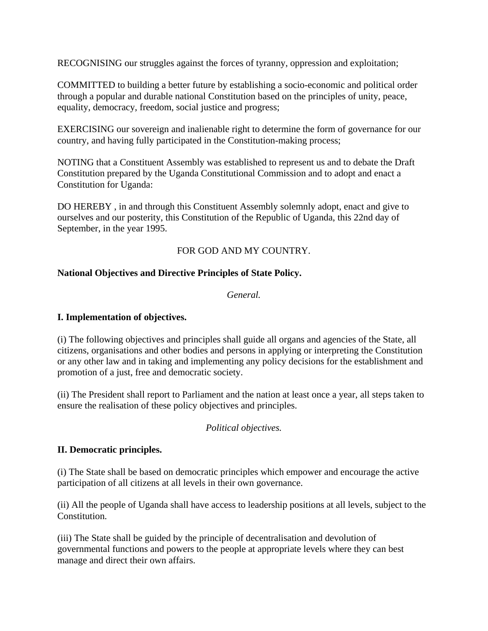RECOGNISING our struggles against the forces of tyranny, oppression and exploitation;

COMMITTED to building a better future by establishing a socio-economic and political order through a popular and durable national Constitution based on the principles of unity, peace, equality, democracy, freedom, social justice and progress;

EXERCISING our sovereign and inalienable right to determine the form of governance for our country, and having fully participated in the Constitution-making process;

NOTING that a Constituent Assembly was established to represent us and to debate the Draft Constitution prepared by the Uganda Constitutional Commission and to adopt and enact a Constitution for Uganda:

DO HEREBY , in and through this Constituent Assembly solemnly adopt, enact and give to ourselves and our posterity, this Constitution of the Republic of Uganda, this 22nd day of September, in the year 1995.

## FOR GOD AND MY COUNTRY.

## **National Objectives and Directive Principles of State Policy.**

### *General.*

### **I. Implementation of objectives.**

(i) The following objectives and principles shall guide all organs and agencies of the State, all citizens, organisations and other bodies and persons in applying or interpreting the Constitution or any other law and in taking and implementing any policy decisions for the establishment and promotion of a just, free and democratic society.

(ii) The President shall report to Parliament and the nation at least once a year, all steps taken to ensure the realisation of these policy objectives and principles.

## *Political objectives.*

#### **II. Democratic principles.**

(i) The State shall be based on democratic principles which empower and encourage the active participation of all citizens at all levels in their own governance.

(ii) All the people of Uganda shall have access to leadership positions at all levels, subject to the Constitution.

(iii) The State shall be guided by the principle of decentralisation and devolution of governmental functions and powers to the people at appropriate levels where they can best manage and direct their own affairs.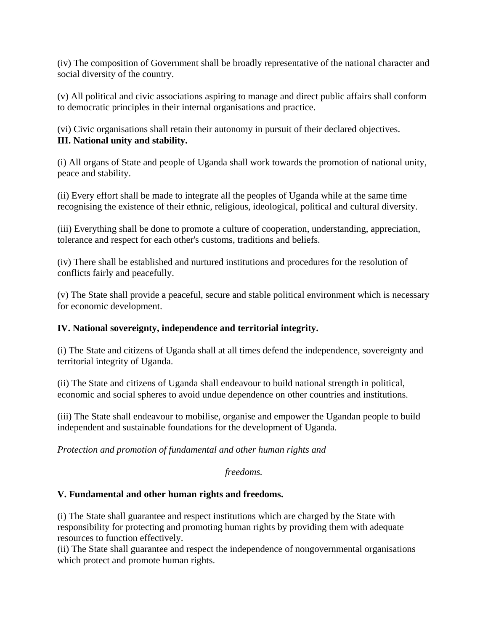(iv) The composition of Government shall be broadly representative of the national character and social diversity of the country.

(v) All political and civic associations aspiring to manage and direct public affairs shall conform to democratic principles in their internal organisations and practice.

(vi) Civic organisations shall retain their autonomy in pursuit of their declared objectives. **III. National unity and stability.**

(i) All organs of State and people of Uganda shall work towards the promotion of national unity, peace and stability.

(ii) Every effort shall be made to integrate all the peoples of Uganda while at the same time recognising the existence of their ethnic, religious, ideological, political and cultural diversity.

(iii) Everything shall be done to promote a culture of cooperation, understanding, appreciation, tolerance and respect for each other's customs, traditions and beliefs.

(iv) There shall be established and nurtured institutions and procedures for the resolution of conflicts fairly and peacefully.

(v) The State shall provide a peaceful, secure and stable political environment which is necessary for economic development.

# **IV. National sovereignty, independence and territorial integrity.**

(i) The State and citizens of Uganda shall at all times defend the independence, sovereignty and territorial integrity of Uganda.

(ii) The State and citizens of Uganda shall endeavour to build national strength in political, economic and social spheres to avoid undue dependence on other countries and institutions.

(iii) The State shall endeavour to mobilise, organise and empower the Ugandan people to build independent and sustainable foundations for the development of Uganda.

*Protection and promotion of fundamental and other human rights and*

*freedoms.*

# **V. Fundamental and other human rights and freedoms.**

(i) The State shall guarantee and respect institutions which are charged by the State with responsibility for protecting and promoting human rights by providing them with adequate resources to function effectively.

(ii) The State shall guarantee and respect the independence of nongovernmental organisations which protect and promote human rights.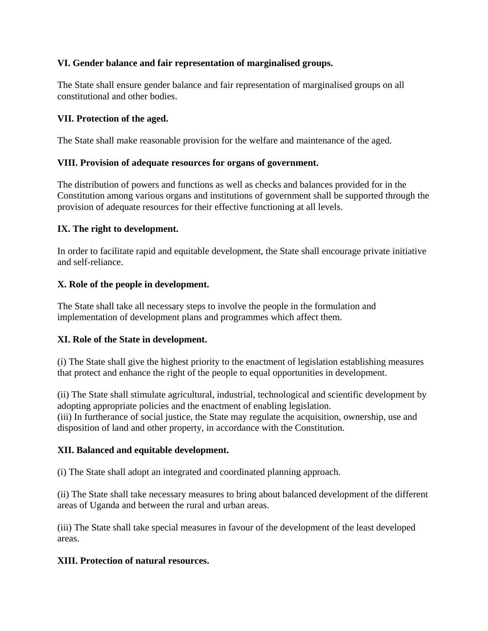## **VI. Gender balance and fair representation of marginalised groups.**

The State shall ensure gender balance and fair representation of marginalised groups on all constitutional and other bodies.

### **VII. Protection of the aged.**

The State shall make reasonable provision for the welfare and maintenance of the aged.

### **VIII. Provision of adequate resources for organs of government.**

The distribution of powers and functions as well as checks and balances provided for in the Constitution among various organs and institutions of government shall be supported through the provision of adequate resources for their effective functioning at all levels.

### **IX. The right to development.**

In order to facilitate rapid and equitable development, the State shall encourage private initiative and self-reliance.

### **X. Role of the people in development.**

The State shall take all necessary steps to involve the people in the formulation and implementation of development plans and programmes which affect them.

## **XI. Role of the State in development.**

(i) The State shall give the highest priority to the enactment of legislation establishing measures that protect and enhance the right of the people to equal opportunities in development.

(ii) The State shall stimulate agricultural, industrial, technological and scientific development by adopting appropriate policies and the enactment of enabling legislation. (iii) In furtherance of social justice, the State may regulate the acquisition, ownership, use and disposition of land and other property, in accordance with the Constitution.

## **XII. Balanced and equitable development.**

(i) The State shall adopt an integrated and coordinated planning approach.

(ii) The State shall take necessary measures to bring about balanced development of the different areas of Uganda and between the rural and urban areas.

(iii) The State shall take special measures in favour of the development of the least developed areas.

## **XIII. Protection of natural resources.**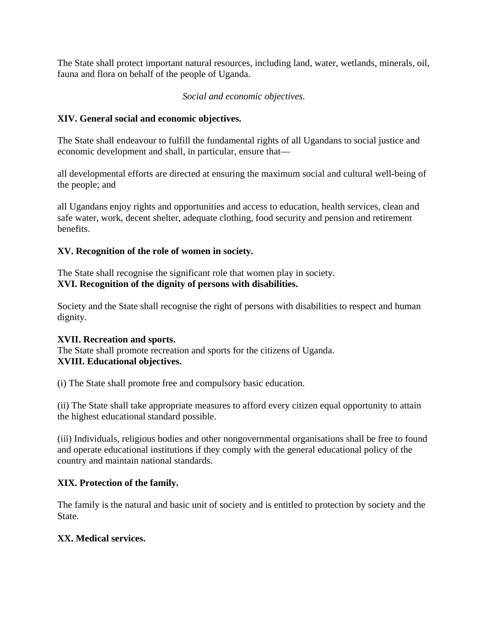The State shall protect important natural resources, including land, water, wetlands, minerals, oil, fauna and flora on behalf of the people of Uganda.

### *Social and economic objectives.*

## **XIV. General social and economic objectives.**

The State shall endeavour to fulfill the fundamental rights of all Ugandans to social justice and economic development and shall, in particular, ensure that—

all developmental efforts are directed at ensuring the maximum social and cultural well-being of the people; and

all Ugandans enjoy rights and opportunities and access to education, health services, clean and safe water, work, decent shelter, adequate clothing, food security and pension and retirement benefits.

### **XV. Recognition of the role of women in society.**

The State shall recognise the significant role that women play in society. **XVI. Recognition of the dignity of persons with disabilities.**

Society and the State shall recognise the right of persons with disabilities to respect and human dignity.

## **XVII. Recreation and sports.**

The State shall promote recreation and sports for the citizens of Uganda. **XVIII. Educational objectives.**

(i) The State shall promote free and compulsory basic education.

(ii) The State shall take appropriate measures to afford every citizen equal opportunity to attain the highest educational standard possible.

(iii) Individuals, religious bodies and other nongovernmental organisations shall be free to found and operate educational institutions if they comply with the general educational policy of the country and maintain national standards.

## **XIX. Protection of the family.**

The family is the natural and basic unit of society and is entitled to protection by society and the State.

## **XX. Medical services.**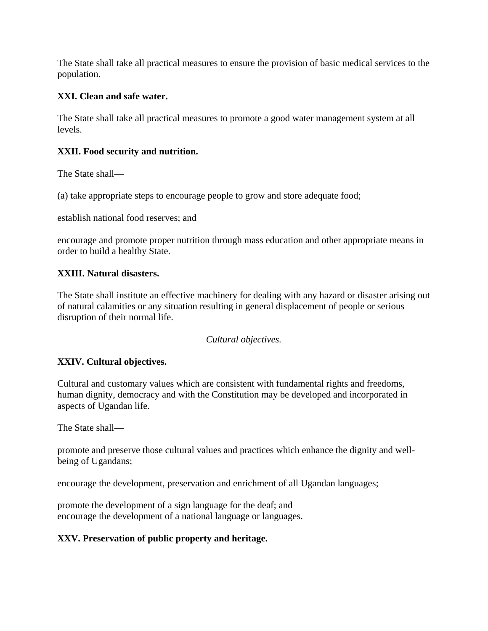The State shall take all practical measures to ensure the provision of basic medical services to the population.

### **XXI. Clean and safe water.**

The State shall take all practical measures to promote a good water management system at all levels.

### **XXII. Food security and nutrition.**

The State shall—

(a) take appropriate steps to encourage people to grow and store adequate food;

establish national food reserves; and

encourage and promote proper nutrition through mass education and other appropriate means in order to build a healthy State.

#### **XXIII. Natural disasters.**

The State shall institute an effective machinery for dealing with any hazard or disaster arising out of natural calamities or any situation resulting in general displacement of people or serious disruption of their normal life.

#### *Cultural objectives.*

## **XXIV. Cultural objectives.**

Cultural and customary values which are consistent with fundamental rights and freedoms, human dignity, democracy and with the Constitution may be developed and incorporated in aspects of Ugandan life.

The State shall—

promote and preserve those cultural values and practices which enhance the dignity and wellbeing of Ugandans;

encourage the development, preservation and enrichment of all Ugandan languages;

promote the development of a sign language for the deaf; and encourage the development of a national language or languages.

#### **XXV. Preservation of public property and heritage.**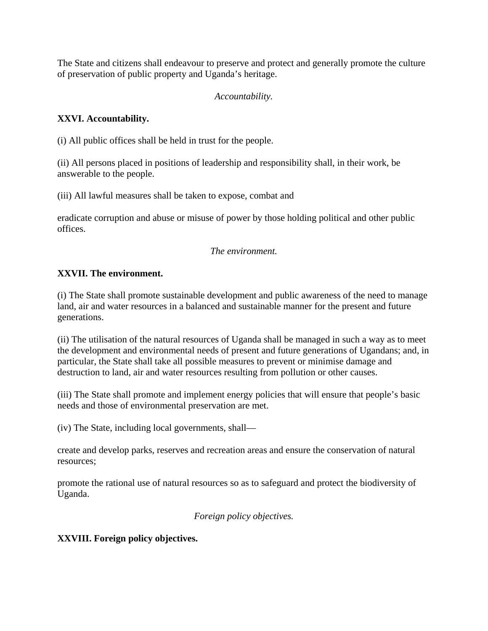The State and citizens shall endeavour to preserve and protect and generally promote the culture of preservation of public property and Uganda's heritage.

# *Accountability.*

# **XXVI. Accountability.**

(i) All public offices shall be held in trust for the people.

(ii) All persons placed in positions of leadership and responsibility shall, in their work, be answerable to the people.

(iii) All lawful measures shall be taken to expose, combat and

eradicate corruption and abuse or misuse of power by those holding political and other public offices.

## *The environment.*

# **XXVII. The environment.**

(i) The State shall promote sustainable development and public awareness of the need to manage land, air and water resources in a balanced and sustainable manner for the present and future generations.

(ii) The utilisation of the natural resources of Uganda shall be managed in such a way as to meet the development and environmental needs of present and future generations of Ugandans; and, in particular, the State shall take all possible measures to prevent or minimise damage and destruction to land, air and water resources resulting from pollution or other causes.

(iii) The State shall promote and implement energy policies that will ensure that people's basic needs and those of environmental preservation are met.

(iv) The State, including local governments, shall—

create and develop parks, reserves and recreation areas and ensure the conservation of natural resources;

promote the rational use of natural resources so as to safeguard and protect the biodiversity of Uganda.

## *Foreign policy objectives.*

# **XXVIII. Foreign policy objectives.**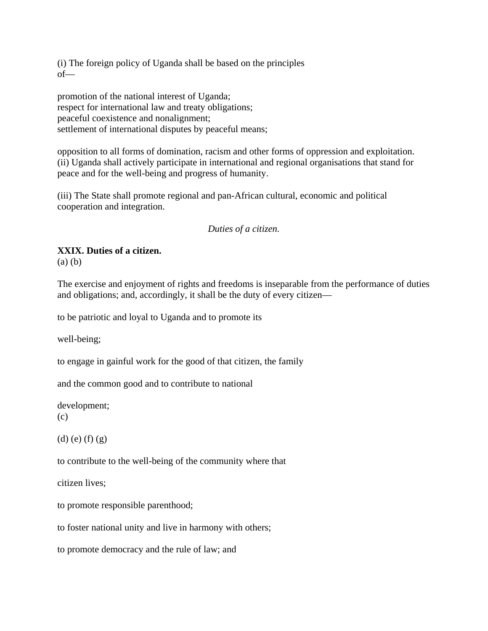(i) The foreign policy of Uganda shall be based on the principles of—

promotion of the national interest of Uganda; respect for international law and treaty obligations; peaceful coexistence and nonalignment; settlement of international disputes by peaceful means;

opposition to all forms of domination, racism and other forms of oppression and exploitation. (ii) Uganda shall actively participate in international and regional organisations that stand for peace and for the well-being and progress of humanity.

(iii) The State shall promote regional and pan-African cultural, economic and political cooperation and integration.

## *Duties of a citizen.*

# **XXIX. Duties of a citizen.**

(a) (b)

The exercise and enjoyment of rights and freedoms is inseparable from the performance of duties and obligations; and, accordingly, it shall be the duty of every citizen—

to be patriotic and loyal to Uganda and to promote its

well-being;

to engage in gainful work for the good of that citizen, the family

and the common good and to contribute to national

development; (c)

(d) (e) (f) (g)

to contribute to the well-being of the community where that

citizen lives;

to promote responsible parenthood;

to foster national unity and live in harmony with others;

to promote democracy and the rule of law; and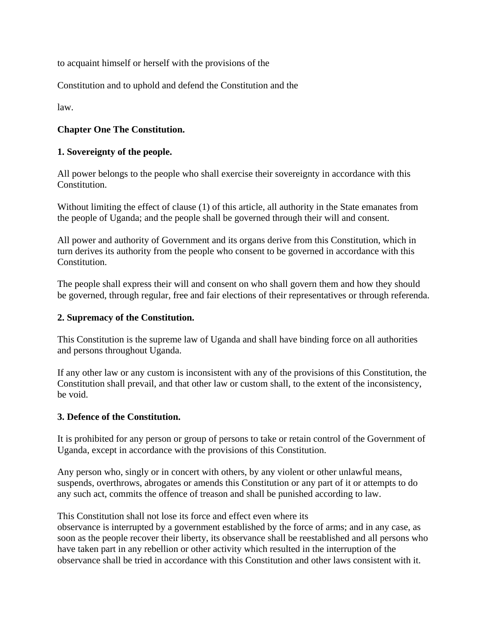to acquaint himself or herself with the provisions of the

Constitution and to uphold and defend the Constitution and the

law.

# **Chapter One The Constitution.**

## **1. Sovereignty of the people.**

All power belongs to the people who shall exercise their sovereignty in accordance with this Constitution.

Without limiting the effect of clause (1) of this article, all authority in the State emanates from the people of Uganda; and the people shall be governed through their will and consent.

All power and authority of Government and its organs derive from this Constitution, which in turn derives its authority from the people who consent to be governed in accordance with this Constitution.

The people shall express their will and consent on who shall govern them and how they should be governed, through regular, free and fair elections of their representatives or through referenda.

## **2. Supremacy of the Constitution.**

This Constitution is the supreme law of Uganda and shall have binding force on all authorities and persons throughout Uganda.

If any other law or any custom is inconsistent with any of the provisions of this Constitution, the Constitution shall prevail, and that other law or custom shall, to the extent of the inconsistency, be void.

## **3. Defence of the Constitution.**

It is prohibited for any person or group of persons to take or retain control of the Government of Uganda, except in accordance with the provisions of this Constitution.

Any person who, singly or in concert with others, by any violent or other unlawful means, suspends, overthrows, abrogates or amends this Constitution or any part of it or attempts to do any such act, commits the offence of treason and shall be punished according to law.

This Constitution shall not lose its force and effect even where its

observance is interrupted by a government established by the force of arms; and in any case, as soon as the people recover their liberty, its observance shall be reestablished and all persons who have taken part in any rebellion or other activity which resulted in the interruption of the observance shall be tried in accordance with this Constitution and other laws consistent with it.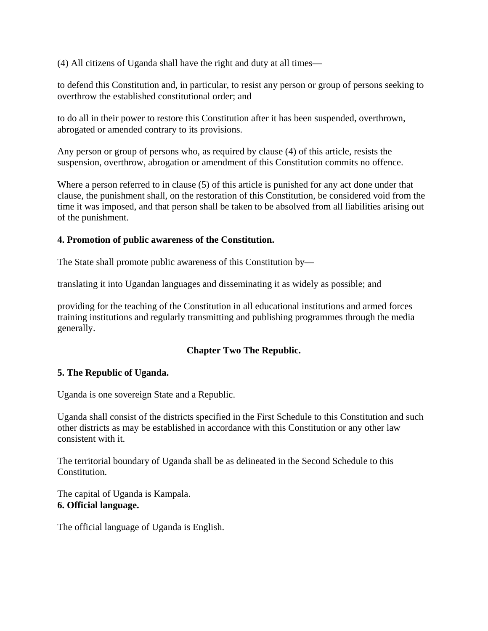(4) All citizens of Uganda shall have the right and duty at all times—

to defend this Constitution and, in particular, to resist any person or group of persons seeking to overthrow the established constitutional order; and

to do all in their power to restore this Constitution after it has been suspended, overthrown, abrogated or amended contrary to its provisions.

Any person or group of persons who, as required by clause (4) of this article, resists the suspension, overthrow, abrogation or amendment of this Constitution commits no offence.

Where a person referred to in clause (5) of this article is punished for any act done under that clause, the punishment shall, on the restoration of this Constitution, be considered void from the time it was imposed, and that person shall be taken to be absolved from all liabilities arising out of the punishment.

### **4. Promotion of public awareness of the Constitution.**

The State shall promote public awareness of this Constitution by—

translating it into Ugandan languages and disseminating it as widely as possible; and

providing for the teaching of the Constitution in all educational institutions and armed forces training institutions and regularly transmitting and publishing programmes through the media generally.

## **Chapter Two The Republic.**

## **5. The Republic of Uganda.**

Uganda is one sovereign State and a Republic.

Uganda shall consist of the districts specified in the First Schedule to this Constitution and such other districts as may be established in accordance with this Constitution or any other law consistent with it.

The territorial boundary of Uganda shall be as delineated in the Second Schedule to this Constitution.

The capital of Uganda is Kampala. **6. Official language.**

The official language of Uganda is English.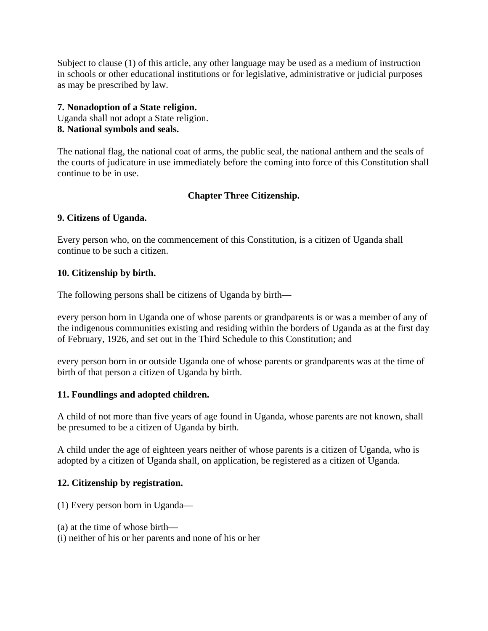Subject to clause (1) of this article, any other language may be used as a medium of instruction in schools or other educational institutions or for legislative, administrative or judicial purposes as may be prescribed by law.

## **7. Nonadoption of a State religion.**

Uganda shall not adopt a State religion. **8. National symbols and seals.**

# The national flag, the national coat of arms, the public seal, the national anthem and the seals of the courts of judicature in use immediately before the coming into force of this Constitution shall continue to be in use.

# **Chapter Three Citizenship.**

# **9. Citizens of Uganda.**

Every person who, on the commencement of this Constitution, is a citizen of Uganda shall continue to be such a citizen.

## **10. Citizenship by birth.**

The following persons shall be citizens of Uganda by birth—

every person born in Uganda one of whose parents or grandparents is or was a member of any of the indigenous communities existing and residing within the borders of Uganda as at the first day of February, 1926, and set out in the Third Schedule to this Constitution; and

every person born in or outside Uganda one of whose parents or grandparents was at the time of birth of that person a citizen of Uganda by birth.

# **11. Foundlings and adopted children.**

A child of not more than five years of age found in Uganda, whose parents are not known, shall be presumed to be a citizen of Uganda by birth.

A child under the age of eighteen years neither of whose parents is a citizen of Uganda, who is adopted by a citizen of Uganda shall, on application, be registered as a citizen of Uganda.

## **12. Citizenship by registration.**

(1) Every person born in Uganda—

(a) at the time of whose birth—

(i) neither of his or her parents and none of his or her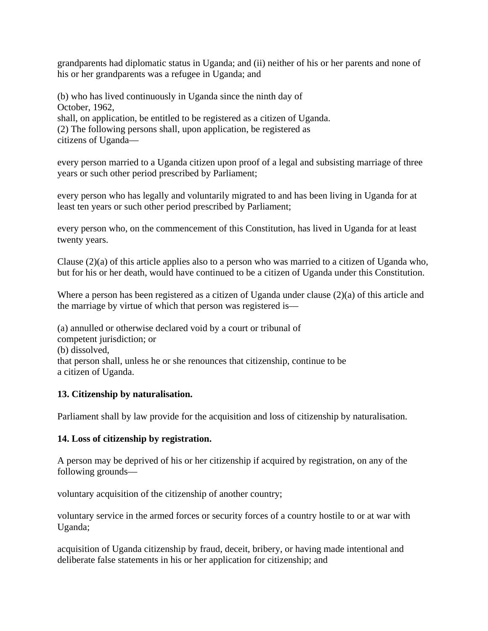grandparents had diplomatic status in Uganda; and (ii) neither of his or her parents and none of his or her grandparents was a refugee in Uganda; and

(b) who has lived continuously in Uganda since the ninth day of October, 1962, shall, on application, be entitled to be registered as a citizen of Uganda. (2) The following persons shall, upon application, be registered as citizens of Uganda—

every person married to a Uganda citizen upon proof of a legal and subsisting marriage of three years or such other period prescribed by Parliament;

every person who has legally and voluntarily migrated to and has been living in Uganda for at least ten years or such other period prescribed by Parliament;

every person who, on the commencement of this Constitution, has lived in Uganda for at least twenty years.

Clause (2)(a) of this article applies also to a person who was married to a citizen of Uganda who, but for his or her death, would have continued to be a citizen of Uganda under this Constitution.

Where a person has been registered as a citizen of Uganda under clause (2)(a) of this article and the marriage by virtue of which that person was registered is—

(a) annulled or otherwise declared void by a court or tribunal of competent jurisdiction; or (b) dissolved, that person shall, unless he or she renounces that citizenship, continue to be a citizen of Uganda.

## **13. Citizenship by naturalisation.**

Parliament shall by law provide for the acquisition and loss of citizenship by naturalisation.

#### **14. Loss of citizenship by registration.**

A person may be deprived of his or her citizenship if acquired by registration, on any of the following grounds—

voluntary acquisition of the citizenship of another country;

voluntary service in the armed forces or security forces of a country hostile to or at war with Uganda;

acquisition of Uganda citizenship by fraud, deceit, bribery, or having made intentional and deliberate false statements in his or her application for citizenship; and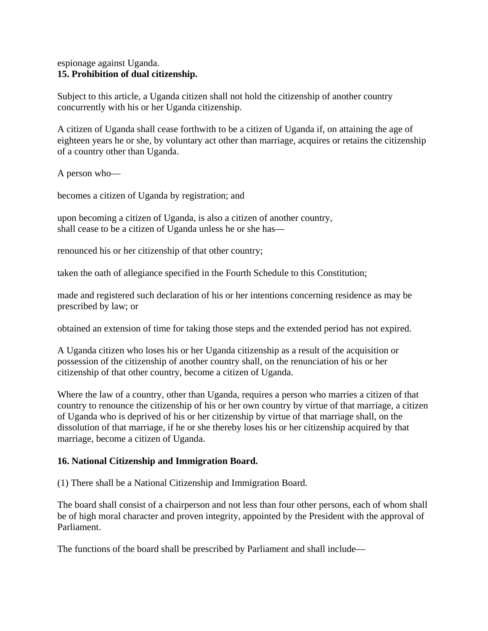### espionage against Uganda. **15. Prohibition of dual citizenship.**

Subject to this article, a Uganda citizen shall not hold the citizenship of another country concurrently with his or her Uganda citizenship.

A citizen of Uganda shall cease forthwith to be a citizen of Uganda if, on attaining the age of eighteen years he or she, by voluntary act other than marriage, acquires or retains the citizenship of a country other than Uganda.

A person who—

becomes a citizen of Uganda by registration; and

upon becoming a citizen of Uganda, is also a citizen of another country, shall cease to be a citizen of Uganda unless he or she has—

renounced his or her citizenship of that other country;

taken the oath of allegiance specified in the Fourth Schedule to this Constitution;

made and registered such declaration of his or her intentions concerning residence as may be prescribed by law; or

obtained an extension of time for taking those steps and the extended period has not expired.

A Uganda citizen who loses his or her Uganda citizenship as a result of the acquisition or possession of the citizenship of another country shall, on the renunciation of his or her citizenship of that other country, become a citizen of Uganda.

Where the law of a country, other than Uganda, requires a person who marries a citizen of that country to renounce the citizenship of his or her own country by virtue of that marriage, a citizen of Uganda who is deprived of his or her citizenship by virtue of that marriage shall, on the dissolution of that marriage, if he or she thereby loses his or her citizenship acquired by that marriage, become a citizen of Uganda.

## **16. National Citizenship and Immigration Board.**

(1) There shall be a National Citizenship and Immigration Board.

The board shall consist of a chairperson and not less than four other persons, each of whom shall be of high moral character and proven integrity, appointed by the President with the approval of Parliament.

The functions of the board shall be prescribed by Parliament and shall include—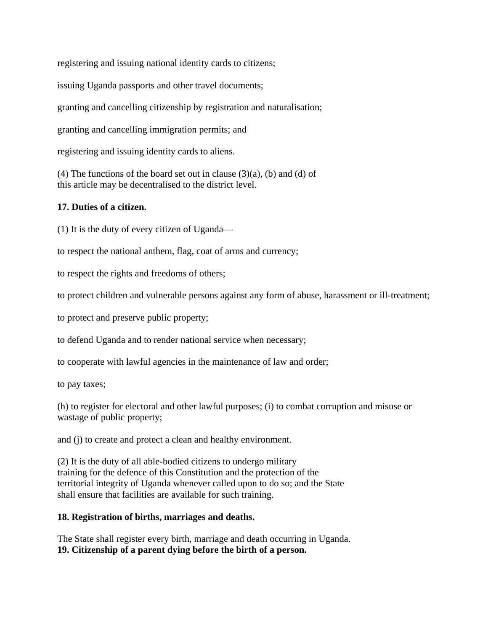registering and issuing national identity cards to citizens;

issuing Uganda passports and other travel documents;

granting and cancelling citizenship by registration and naturalisation;

granting and cancelling immigration permits; and

registering and issuing identity cards to aliens.

(4) The functions of the board set out in clause  $(3)(a)$ , (b) and (d) of this article may be decentralised to the district level.

## **17. Duties of a citizen.**

(1) It is the duty of every citizen of Uganda—

to respect the national anthem, flag, coat of arms and currency;

to respect the rights and freedoms of others;

to protect children and vulnerable persons against any form of abuse, harassment or ill-treatment;

to protect and preserve public property;

to defend Uganda and to render national service when necessary;

to cooperate with lawful agencies in the maintenance of law and order;

to pay taxes;

(h) to register for electoral and other lawful purposes; (i) to combat corruption and misuse or wastage of public property;

and (j) to create and protect a clean and healthy environment.

(2) It is the duty of all able-bodied citizens to undergo military training for the defence of this Constitution and the protection of the territorial integrity of Uganda whenever called upon to do so; and the State shall ensure that facilities are available for such training.

## **18. Registration of births, marriages and deaths.**

The State shall register every birth, marriage and death occurring in Uganda. **19. Citizenship of a parent dying before the birth of a person.**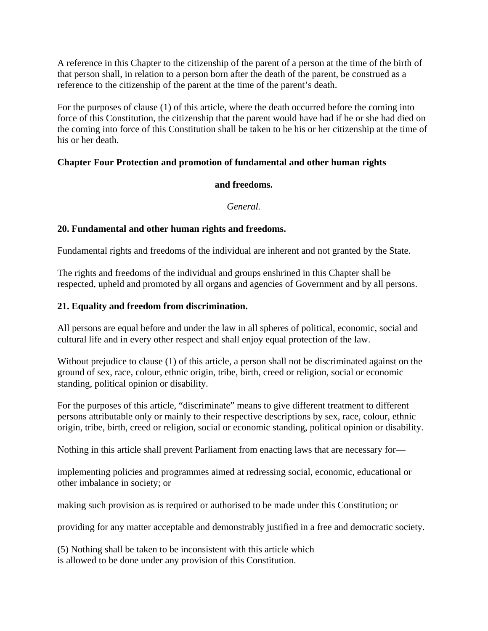A reference in this Chapter to the citizenship of the parent of a person at the time of the birth of that person shall, in relation to a person born after the death of the parent, be construed as a reference to the citizenship of the parent at the time of the parent's death.

For the purposes of clause (1) of this article, where the death occurred before the coming into force of this Constitution, the citizenship that the parent would have had if he or she had died on the coming into force of this Constitution shall be taken to be his or her citizenship at the time of his or her death.

# **Chapter Four Protection and promotion of fundamental and other human rights**

#### **and freedoms.**

*General.*

## **20. Fundamental and other human rights and freedoms.**

Fundamental rights and freedoms of the individual are inherent and not granted by the State.

The rights and freedoms of the individual and groups enshrined in this Chapter shall be respected, upheld and promoted by all organs and agencies of Government and by all persons.

# **21. Equality and freedom from discrimination.**

All persons are equal before and under the law in all spheres of political, economic, social and cultural life and in every other respect and shall enjoy equal protection of the law.

Without prejudice to clause (1) of this article, a person shall not be discriminated against on the ground of sex, race, colour, ethnic origin, tribe, birth, creed or religion, social or economic standing, political opinion or disability.

For the purposes of this article, "discriminate" means to give different treatment to different persons attributable only or mainly to their respective descriptions by sex, race, colour, ethnic origin, tribe, birth, creed or religion, social or economic standing, political opinion or disability.

Nothing in this article shall prevent Parliament from enacting laws that are necessary for—

implementing policies and programmes aimed at redressing social, economic, educational or other imbalance in society; or

making such provision as is required or authorised to be made under this Constitution; or

providing for any matter acceptable and demonstrably justified in a free and democratic society.

(5) Nothing shall be taken to be inconsistent with this article which is allowed to be done under any provision of this Constitution.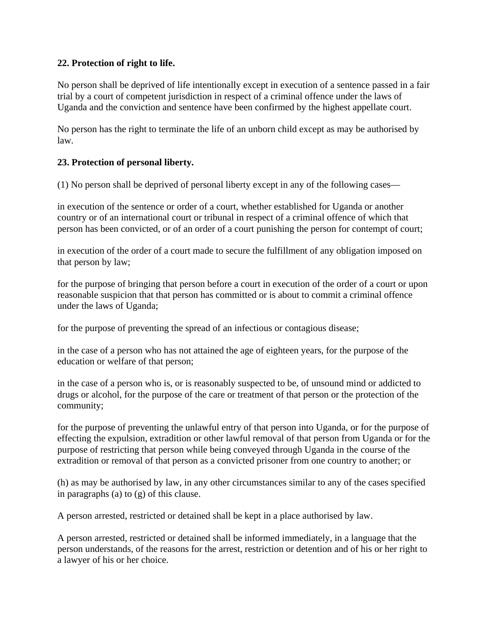## **22. Protection of right to life.**

No person shall be deprived of life intentionally except in execution of a sentence passed in a fair trial by a court of competent jurisdiction in respect of a criminal offence under the laws of Uganda and the conviction and sentence have been confirmed by the highest appellate court.

No person has the right to terminate the life of an unborn child except as may be authorised by law.

# **23. Protection of personal liberty.**

(1) No person shall be deprived of personal liberty except in any of the following cases—

in execution of the sentence or order of a court, whether established for Uganda or another country or of an international court or tribunal in respect of a criminal offence of which that person has been convicted, or of an order of a court punishing the person for contempt of court;

in execution of the order of a court made to secure the fulfillment of any obligation imposed on that person by law;

for the purpose of bringing that person before a court in execution of the order of a court or upon reasonable suspicion that that person has committed or is about to commit a criminal offence under the laws of Uganda;

for the purpose of preventing the spread of an infectious or contagious disease;

in the case of a person who has not attained the age of eighteen years, for the purpose of the education or welfare of that person;

in the case of a person who is, or is reasonably suspected to be, of unsound mind or addicted to drugs or alcohol, for the purpose of the care or treatment of that person or the protection of the community;

for the purpose of preventing the unlawful entry of that person into Uganda, or for the purpose of effecting the expulsion, extradition or other lawful removal of that person from Uganda or for the purpose of restricting that person while being conveyed through Uganda in the course of the extradition or removal of that person as a convicted prisoner from one country to another; or

(h) as may be authorised by law, in any other circumstances similar to any of the cases specified in paragraphs (a) to (g) of this clause.

A person arrested, restricted or detained shall be kept in a place authorised by law.

A person arrested, restricted or detained shall be informed immediately, in a language that the person understands, of the reasons for the arrest, restriction or detention and of his or her right to a lawyer of his or her choice.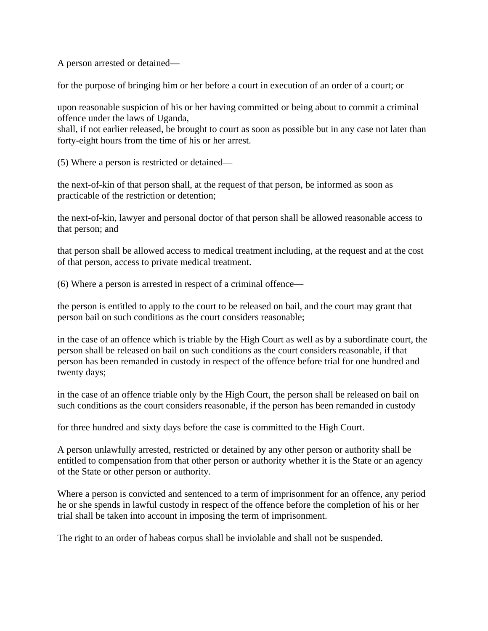A person arrested or detained—

for the purpose of bringing him or her before a court in execution of an order of a court; or

upon reasonable suspicion of his or her having committed or being about to commit a criminal offence under the laws of Uganda,

shall, if not earlier released, be brought to court as soon as possible but in any case not later than forty-eight hours from the time of his or her arrest.

(5) Where a person is restricted or detained—

the next-of-kin of that person shall, at the request of that person, be informed as soon as practicable of the restriction or detention;

the next-of-kin, lawyer and personal doctor of that person shall be allowed reasonable access to that person; and

that person shall be allowed access to medical treatment including, at the request and at the cost of that person, access to private medical treatment.

(6) Where a person is arrested in respect of a criminal offence—

the person is entitled to apply to the court to be released on bail, and the court may grant that person bail on such conditions as the court considers reasonable;

in the case of an offence which is triable by the High Court as well as by a subordinate court, the person shall be released on bail on such conditions as the court considers reasonable, if that person has been remanded in custody in respect of the offence before trial for one hundred and twenty days;

in the case of an offence triable only by the High Court, the person shall be released on bail on such conditions as the court considers reasonable, if the person has been remanded in custody

for three hundred and sixty days before the case is committed to the High Court.

A person unlawfully arrested, restricted or detained by any other person or authority shall be entitled to compensation from that other person or authority whether it is the State or an agency of the State or other person or authority.

Where a person is convicted and sentenced to a term of imprisonment for an offence, any period he or she spends in lawful custody in respect of the offence before the completion of his or her trial shall be taken into account in imposing the term of imprisonment.

The right to an order of habeas corpus shall be inviolable and shall not be suspended.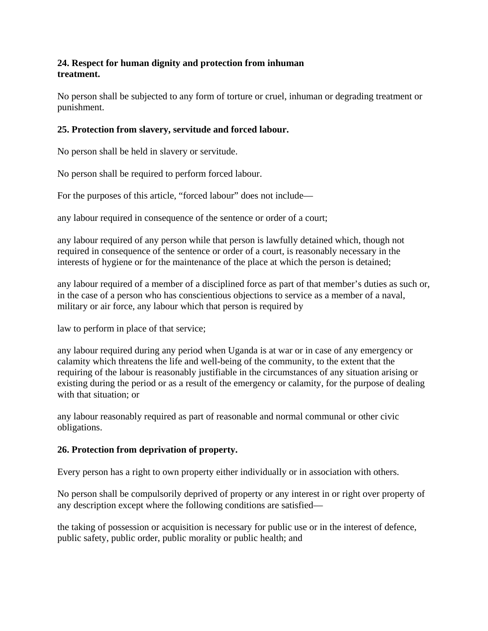# **24. Respect for human dignity and protection from inhuman treatment.**

No person shall be subjected to any form of torture or cruel, inhuman or degrading treatment or punishment.

# **25. Protection from slavery, servitude and forced labour.**

No person shall be held in slavery or servitude.

No person shall be required to perform forced labour.

For the purposes of this article, "forced labour" does not include—

any labour required in consequence of the sentence or order of a court;

any labour required of any person while that person is lawfully detained which, though not required in consequence of the sentence or order of a court, is reasonably necessary in the interests of hygiene or for the maintenance of the place at which the person is detained;

any labour required of a member of a disciplined force as part of that member's duties as such or, in the case of a person who has conscientious objections to service as a member of a naval, military or air force, any labour which that person is required by

law to perform in place of that service;

any labour required during any period when Uganda is at war or in case of any emergency or calamity which threatens the life and well-being of the community, to the extent that the requiring of the labour is reasonably justifiable in the circumstances of any situation arising or existing during the period or as a result of the emergency or calamity, for the purpose of dealing with that situation; or

any labour reasonably required as part of reasonable and normal communal or other civic obligations.

## **26. Protection from deprivation of property.**

Every person has a right to own property either individually or in association with others.

No person shall be compulsorily deprived of property or any interest in or right over property of any description except where the following conditions are satisfied—

the taking of possession or acquisition is necessary for public use or in the interest of defence, public safety, public order, public morality or public health; and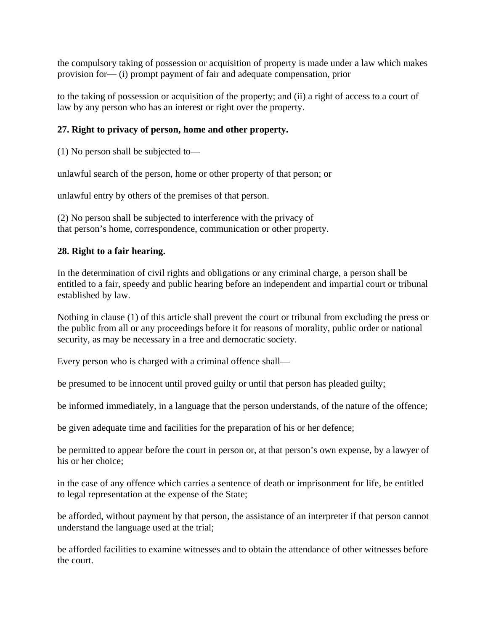the compulsory taking of possession or acquisition of property is made under a law which makes provision for— (i) prompt payment of fair and adequate compensation, prior

to the taking of possession or acquisition of the property; and (ii) a right of access to a court of law by any person who has an interest or right over the property.

### **27. Right to privacy of person, home and other property.**

(1) No person shall be subjected to—

unlawful search of the person, home or other property of that person; or

unlawful entry by others of the premises of that person.

(2) No person shall be subjected to interference with the privacy of that person's home, correspondence, communication or other property.

#### **28. Right to a fair hearing.**

In the determination of civil rights and obligations or any criminal charge, a person shall be entitled to a fair, speedy and public hearing before an independent and impartial court or tribunal established by law.

Nothing in clause (1) of this article shall prevent the court or tribunal from excluding the press or the public from all or any proceedings before it for reasons of morality, public order or national security, as may be necessary in a free and democratic society.

Every person who is charged with a criminal offence shall—

be presumed to be innocent until proved guilty or until that person has pleaded guilty;

be informed immediately, in a language that the person understands, of the nature of the offence;

be given adequate time and facilities for the preparation of his or her defence;

be permitted to appear before the court in person or, at that person's own expense, by a lawyer of his or her choice;

in the case of any offence which carries a sentence of death or imprisonment for life, be entitled to legal representation at the expense of the State;

be afforded, without payment by that person, the assistance of an interpreter if that person cannot understand the language used at the trial;

be afforded facilities to examine witnesses and to obtain the attendance of other witnesses before the court.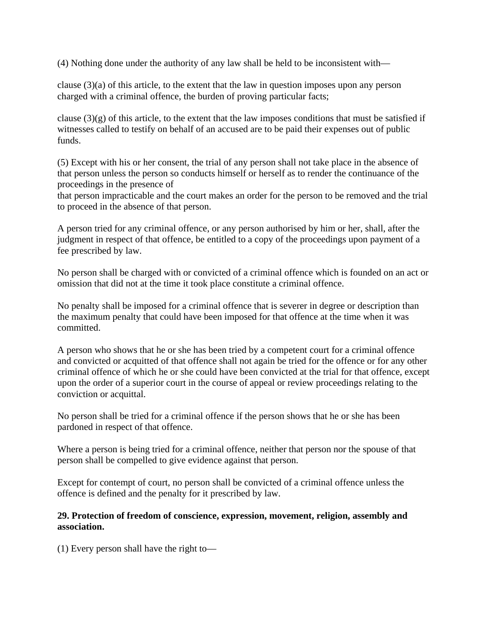(4) Nothing done under the authority of any law shall be held to be inconsistent with—

clause  $(3)(a)$  of this article, to the extent that the law in question imposes upon any person charged with a criminal offence, the burden of proving particular facts;

clause  $(3)(g)$  of this article, to the extent that the law imposes conditions that must be satisfied if witnesses called to testify on behalf of an accused are to be paid their expenses out of public funds.

(5) Except with his or her consent, the trial of any person shall not take place in the absence of that person unless the person so conducts himself or herself as to render the continuance of the proceedings in the presence of

that person impracticable and the court makes an order for the person to be removed and the trial to proceed in the absence of that person.

A person tried for any criminal offence, or any person authorised by him or her, shall, after the judgment in respect of that offence, be entitled to a copy of the proceedings upon payment of a fee prescribed by law.

No person shall be charged with or convicted of a criminal offence which is founded on an act or omission that did not at the time it took place constitute a criminal offence.

No penalty shall be imposed for a criminal offence that is severer in degree or description than the maximum penalty that could have been imposed for that offence at the time when it was committed.

A person who shows that he or she has been tried by a competent court for a criminal offence and convicted or acquitted of that offence shall not again be tried for the offence or for any other criminal offence of which he or she could have been convicted at the trial for that offence, except upon the order of a superior court in the course of appeal or review proceedings relating to the conviction or acquittal.

No person shall be tried for a criminal offence if the person shows that he or she has been pardoned in respect of that offence.

Where a person is being tried for a criminal offence, neither that person nor the spouse of that person shall be compelled to give evidence against that person.

Except for contempt of court, no person shall be convicted of a criminal offence unless the offence is defined and the penalty for it prescribed by law.

### **29. Protection of freedom of conscience, expression, movement, religion, assembly and association.**

(1) Every person shall have the right to—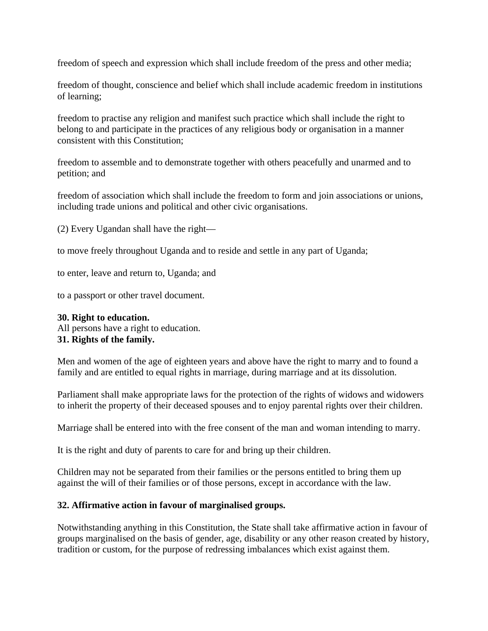freedom of speech and expression which shall include freedom of the press and other media;

freedom of thought, conscience and belief which shall include academic freedom in institutions of learning;

freedom to practise any religion and manifest such practice which shall include the right to belong to and participate in the practices of any religious body or organisation in a manner consistent with this Constitution;

freedom to assemble and to demonstrate together with others peacefully and unarmed and to petition; and

freedom of association which shall include the freedom to form and join associations or unions, including trade unions and political and other civic organisations.

(2) Every Ugandan shall have the right—

to move freely throughout Uganda and to reside and settle in any part of Uganda;

to enter, leave and return to, Uganda; and

to a passport or other travel document.

#### **30. Right to education.**

All persons have a right to education. **31. Rights of the family.**

Men and women of the age of eighteen years and above have the right to marry and to found a family and are entitled to equal rights in marriage, during marriage and at its dissolution.

Parliament shall make appropriate laws for the protection of the rights of widows and widowers to inherit the property of their deceased spouses and to enjoy parental rights over their children.

Marriage shall be entered into with the free consent of the man and woman intending to marry.

It is the right and duty of parents to care for and bring up their children.

Children may not be separated from their families or the persons entitled to bring them up against the will of their families or of those persons, except in accordance with the law.

# **32. Affirmative action in favour of marginalised groups.**

Notwithstanding anything in this Constitution, the State shall take affirmative action in favour of groups marginalised on the basis of gender, age, disability or any other reason created by history, tradition or custom, for the purpose of redressing imbalances which exist against them.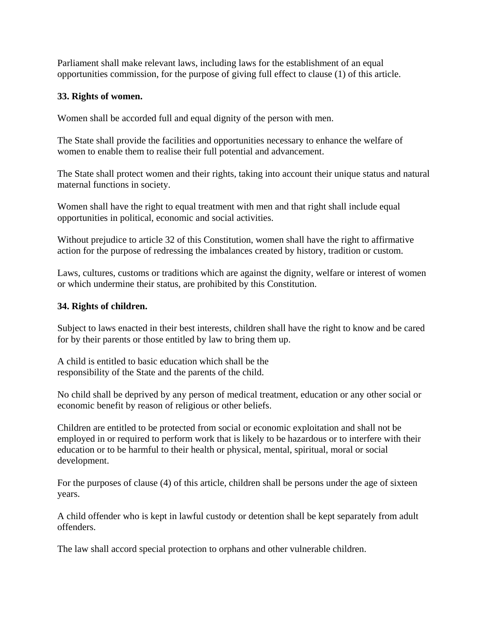Parliament shall make relevant laws, including laws for the establishment of an equal opportunities commission, for the purpose of giving full effect to clause (1) of this article.

### **33. Rights of women.**

Women shall be accorded full and equal dignity of the person with men.

The State shall provide the facilities and opportunities necessary to enhance the welfare of women to enable them to realise their full potential and advancement.

The State shall protect women and their rights, taking into account their unique status and natural maternal functions in society.

Women shall have the right to equal treatment with men and that right shall include equal opportunities in political, economic and social activities.

Without prejudice to article 32 of this Constitution, women shall have the right to affirmative action for the purpose of redressing the imbalances created by history, tradition or custom.

Laws, cultures, customs or traditions which are against the dignity, welfare or interest of women or which undermine their status, are prohibited by this Constitution.

### **34. Rights of children.**

Subject to laws enacted in their best interests, children shall have the right to know and be cared for by their parents or those entitled by law to bring them up.

A child is entitled to basic education which shall be the responsibility of the State and the parents of the child.

No child shall be deprived by any person of medical treatment, education or any other social or economic benefit by reason of religious or other beliefs.

Children are entitled to be protected from social or economic exploitation and shall not be employed in or required to perform work that is likely to be hazardous or to interfere with their education or to be harmful to their health or physical, mental, spiritual, moral or social development.

For the purposes of clause (4) of this article, children shall be persons under the age of sixteen years.

A child offender who is kept in lawful custody or detention shall be kept separately from adult offenders.

The law shall accord special protection to orphans and other vulnerable children.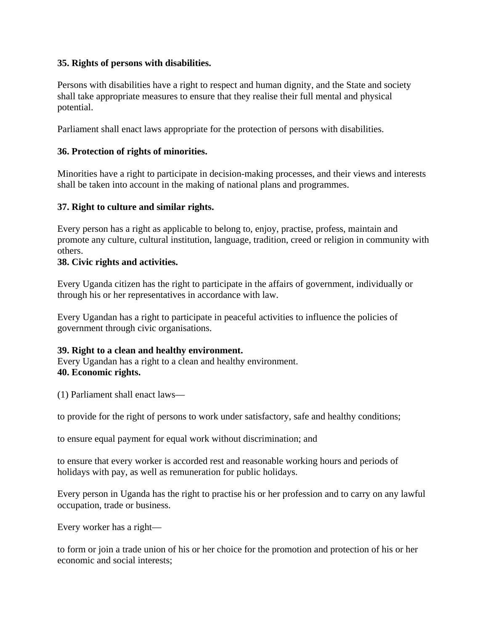### **35. Rights of persons with disabilities.**

Persons with disabilities have a right to respect and human dignity, and the State and society shall take appropriate measures to ensure that they realise their full mental and physical potential.

Parliament shall enact laws appropriate for the protection of persons with disabilities.

### **36. Protection of rights of minorities.**

Minorities have a right to participate in decision-making processes, and their views and interests shall be taken into account in the making of national plans and programmes.

#### **37. Right to culture and similar rights.**

Every person has a right as applicable to belong to, enjoy, practise, profess, maintain and promote any culture, cultural institution, language, tradition, creed or religion in community with others.

### **38. Civic rights and activities.**

Every Uganda citizen has the right to participate in the affairs of government, individually or through his or her representatives in accordance with law.

Every Ugandan has a right to participate in peaceful activities to influence the policies of government through civic organisations.

# **39. Right to a clean and healthy environment.**

Every Ugandan has a right to a clean and healthy environment. **40. Economic rights.**

(1) Parliament shall enact laws—

to provide for the right of persons to work under satisfactory, safe and healthy conditions;

to ensure equal payment for equal work without discrimination; and

to ensure that every worker is accorded rest and reasonable working hours and periods of holidays with pay, as well as remuneration for public holidays.

Every person in Uganda has the right to practise his or her profession and to carry on any lawful occupation, trade or business.

Every worker has a right—

to form or join a trade union of his or her choice for the promotion and protection of his or her economic and social interests;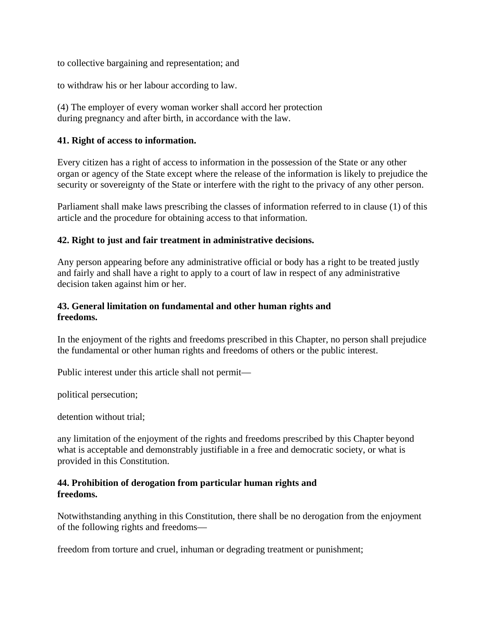to collective bargaining and representation; and

to withdraw his or her labour according to law.

(4) The employer of every woman worker shall accord her protection during pregnancy and after birth, in accordance with the law.

### **41. Right of access to information.**

Every citizen has a right of access to information in the possession of the State or any other organ or agency of the State except where the release of the information is likely to prejudice the security or sovereignty of the State or interfere with the right to the privacy of any other person.

Parliament shall make laws prescribing the classes of information referred to in clause (1) of this article and the procedure for obtaining access to that information.

### **42. Right to just and fair treatment in administrative decisions.**

Any person appearing before any administrative official or body has a right to be treated justly and fairly and shall have a right to apply to a court of law in respect of any administrative decision taken against him or her.

# **43. General limitation on fundamental and other human rights and freedoms.**

In the enjoyment of the rights and freedoms prescribed in this Chapter, no person shall prejudice the fundamental or other human rights and freedoms of others or the public interest.

Public interest under this article shall not permit—

political persecution;

detention without trial;

any limitation of the enjoyment of the rights and freedoms prescribed by this Chapter beyond what is acceptable and demonstrably justifiable in a free and democratic society, or what is provided in this Constitution.

#### **44. Prohibition of derogation from particular human rights and freedoms.**

Notwithstanding anything in this Constitution, there shall be no derogation from the enjoyment of the following rights and freedoms—

freedom from torture and cruel, inhuman or degrading treatment or punishment;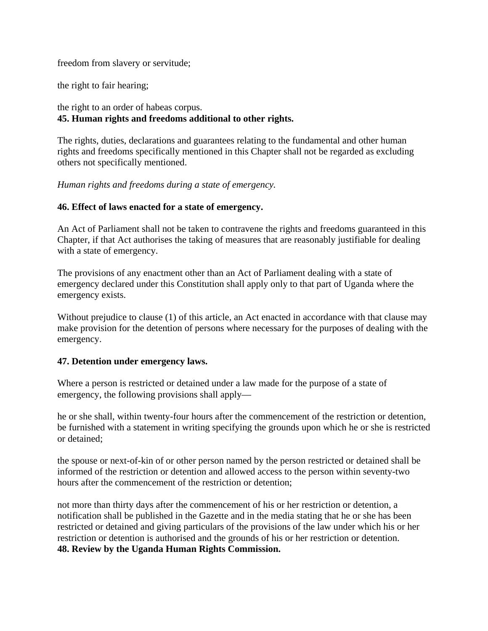freedom from slavery or servitude;

the right to fair hearing;

# the right to an order of habeas corpus. **45. Human rights and freedoms additional to other rights.**

The rights, duties, declarations and guarantees relating to the fundamental and other human rights and freedoms specifically mentioned in this Chapter shall not be regarded as excluding others not specifically mentioned.

*Human rights and freedoms during a state of emergency.*

# **46. Effect of laws enacted for a state of emergency.**

An Act of Parliament shall not be taken to contravene the rights and freedoms guaranteed in this Chapter, if that Act authorises the taking of measures that are reasonably justifiable for dealing with a state of emergency.

The provisions of any enactment other than an Act of Parliament dealing with a state of emergency declared under this Constitution shall apply only to that part of Uganda where the emergency exists.

Without prejudice to clause (1) of this article, an Act enacted in accordance with that clause may make provision for the detention of persons where necessary for the purposes of dealing with the emergency.

#### **47. Detention under emergency laws.**

Where a person is restricted or detained under a law made for the purpose of a state of emergency, the following provisions shall apply—

he or she shall, within twenty-four hours after the commencement of the restriction or detention, be furnished with a statement in writing specifying the grounds upon which he or she is restricted or detained;

the spouse or next-of-kin of or other person named by the person restricted or detained shall be informed of the restriction or detention and allowed access to the person within seventy-two hours after the commencement of the restriction or detention;

not more than thirty days after the commencement of his or her restriction or detention, a notification shall be published in the Gazette and in the media stating that he or she has been restricted or detained and giving particulars of the provisions of the law under which his or her restriction or detention is authorised and the grounds of his or her restriction or detention. **48. Review by the Uganda Human Rights Commission.**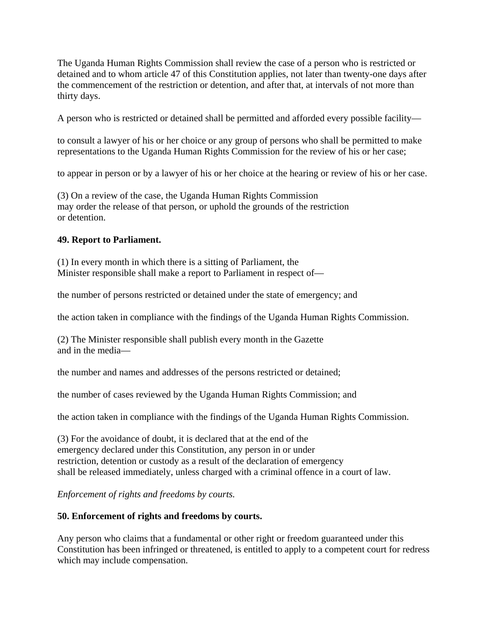The Uganda Human Rights Commission shall review the case of a person who is restricted or detained and to whom article 47 of this Constitution applies, not later than twenty-one days after the commencement of the restriction or detention, and after that, at intervals of not more than thirty days.

A person who is restricted or detained shall be permitted and afforded every possible facility—

to consult a lawyer of his or her choice or any group of persons who shall be permitted to make representations to the Uganda Human Rights Commission for the review of his or her case;

to appear in person or by a lawyer of his or her choice at the hearing or review of his or her case.

(3) On a review of the case, the Uganda Human Rights Commission may order the release of that person, or uphold the grounds of the restriction or detention.

#### **49. Report to Parliament.**

(1) In every month in which there is a sitting of Parliament, the Minister responsible shall make a report to Parliament in respect of—

the number of persons restricted or detained under the state of emergency; and

the action taken in compliance with the findings of the Uganda Human Rights Commission.

(2) The Minister responsible shall publish every month in the Gazette and in the media—

the number and names and addresses of the persons restricted or detained;

the number of cases reviewed by the Uganda Human Rights Commission; and

the action taken in compliance with the findings of the Uganda Human Rights Commission.

(3) For the avoidance of doubt, it is declared that at the end of the emergency declared under this Constitution, any person in or under restriction, detention or custody as a result of the declaration of emergency shall be released immediately, unless charged with a criminal offence in a court of law.

*Enforcement of rights and freedoms by courts.*

# **50. Enforcement of rights and freedoms by courts.**

Any person who claims that a fundamental or other right or freedom guaranteed under this Constitution has been infringed or threatened, is entitled to apply to a competent court for redress which may include compensation.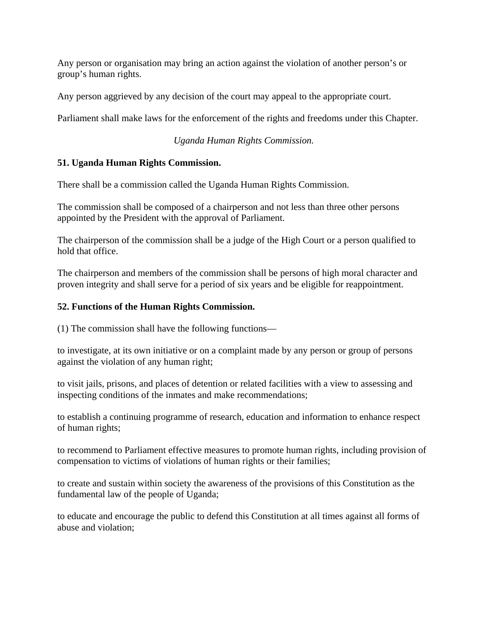Any person or organisation may bring an action against the violation of another person's or group's human rights.

Any person aggrieved by any decision of the court may appeal to the appropriate court.

Parliament shall make laws for the enforcement of the rights and freedoms under this Chapter.

### *Uganda Human Rights Commission.*

### **51. Uganda Human Rights Commission.**

There shall be a commission called the Uganda Human Rights Commission.

The commission shall be composed of a chairperson and not less than three other persons appointed by the President with the approval of Parliament.

The chairperson of the commission shall be a judge of the High Court or a person qualified to hold that office.

The chairperson and members of the commission shall be persons of high moral character and proven integrity and shall serve for a period of six years and be eligible for reappointment.

### **52. Functions of the Human Rights Commission.**

(1) The commission shall have the following functions—

to investigate, at its own initiative or on a complaint made by any person or group of persons against the violation of any human right;

to visit jails, prisons, and places of detention or related facilities with a view to assessing and inspecting conditions of the inmates and make recommendations;

to establish a continuing programme of research, education and information to enhance respect of human rights;

to recommend to Parliament effective measures to promote human rights, including provision of compensation to victims of violations of human rights or their families;

to create and sustain within society the awareness of the provisions of this Constitution as the fundamental law of the people of Uganda;

to educate and encourage the public to defend this Constitution at all times against all forms of abuse and violation;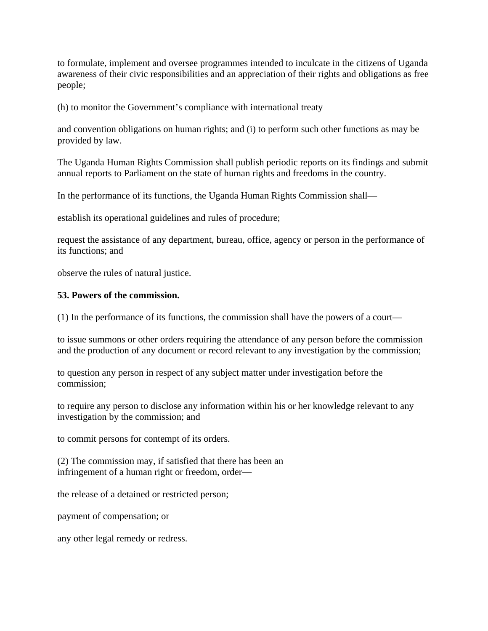to formulate, implement and oversee programmes intended to inculcate in the citizens of Uganda awareness of their civic responsibilities and an appreciation of their rights and obligations as free people;

(h) to monitor the Government's compliance with international treaty

and convention obligations on human rights; and (i) to perform such other functions as may be provided by law.

The Uganda Human Rights Commission shall publish periodic reports on its findings and submit annual reports to Parliament on the state of human rights and freedoms in the country.

In the performance of its functions, the Uganda Human Rights Commission shall—

establish its operational guidelines and rules of procedure;

request the assistance of any department, bureau, office, agency or person in the performance of its functions; and

observe the rules of natural justice.

#### **53. Powers of the commission.**

(1) In the performance of its functions, the commission shall have the powers of a court—

to issue summons or other orders requiring the attendance of any person before the commission and the production of any document or record relevant to any investigation by the commission;

to question any person in respect of any subject matter under investigation before the commission;

to require any person to disclose any information within his or her knowledge relevant to any investigation by the commission; and

to commit persons for contempt of its orders.

(2) The commission may, if satisfied that there has been an infringement of a human right or freedom, order—

the release of a detained or restricted person;

payment of compensation; or

any other legal remedy or redress.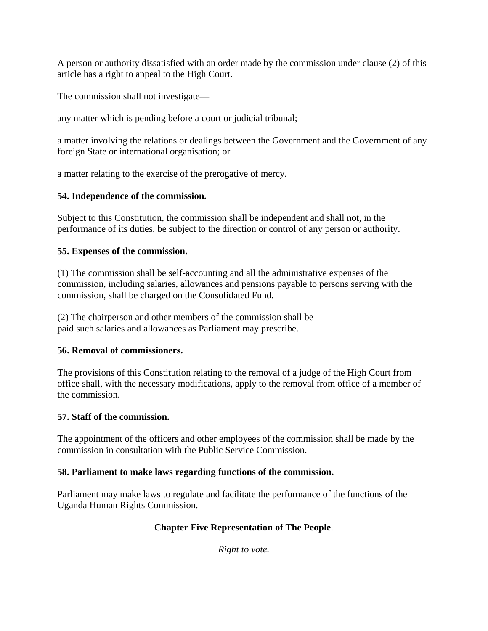A person or authority dissatisfied with an order made by the commission under clause (2) of this article has a right to appeal to the High Court.

The commission shall not investigate—

any matter which is pending before a court or judicial tribunal;

a matter involving the relations or dealings between the Government and the Government of any foreign State or international organisation; or

a matter relating to the exercise of the prerogative of mercy.

# **54. Independence of the commission.**

Subject to this Constitution, the commission shall be independent and shall not, in the performance of its duties, be subject to the direction or control of any person or authority.

# **55. Expenses of the commission.**

(1) The commission shall be self-accounting and all the administrative expenses of the commission, including salaries, allowances and pensions payable to persons serving with the commission, shall be charged on the Consolidated Fund.

(2) The chairperson and other members of the commission shall be paid such salaries and allowances as Parliament may prescribe.

# **56. Removal of commissioners.**

The provisions of this Constitution relating to the removal of a judge of the High Court from office shall, with the necessary modifications, apply to the removal from office of a member of the commission.

# **57. Staff of the commission.**

The appointment of the officers and other employees of the commission shall be made by the commission in consultation with the Public Service Commission.

# **58. Parliament to make laws regarding functions of the commission.**

Parliament may make laws to regulate and facilitate the performance of the functions of the Uganda Human Rights Commission.

# **Chapter Five Representation of The People**.

*Right to vote.*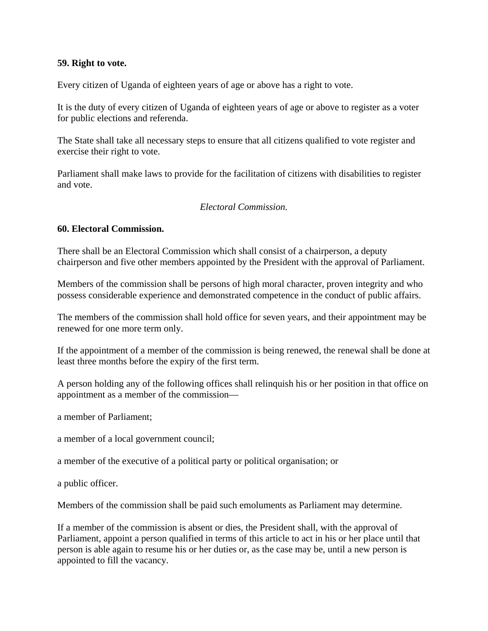#### **59. Right to vote.**

Every citizen of Uganda of eighteen years of age or above has a right to vote.

It is the duty of every citizen of Uganda of eighteen years of age or above to register as a voter for public elections and referenda.

The State shall take all necessary steps to ensure that all citizens qualified to vote register and exercise their right to vote.

Parliament shall make laws to provide for the facilitation of citizens with disabilities to register and vote.

### *Electoral Commission.*

### **60. Electoral Commission.**

There shall be an Electoral Commission which shall consist of a chairperson, a deputy chairperson and five other members appointed by the President with the approval of Parliament.

Members of the commission shall be persons of high moral character, proven integrity and who possess considerable experience and demonstrated competence in the conduct of public affairs.

The members of the commission shall hold office for seven years, and their appointment may be renewed for one more term only.

If the appointment of a member of the commission is being renewed, the renewal shall be done at least three months before the expiry of the first term.

A person holding any of the following offices shall relinquish his or her position in that office on appointment as a member of the commission—

a member of Parliament;

a member of a local government council;

a member of the executive of a political party or political organisation; or

a public officer.

Members of the commission shall be paid such emoluments as Parliament may determine.

If a member of the commission is absent or dies, the President shall, with the approval of Parliament, appoint a person qualified in terms of this article to act in his or her place until that person is able again to resume his or her duties or, as the case may be, until a new person is appointed to fill the vacancy.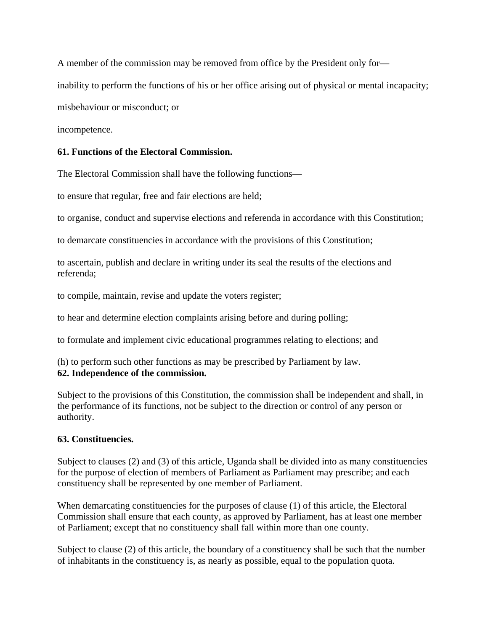A member of the commission may be removed from office by the President only for—

inability to perform the functions of his or her office arising out of physical or mental incapacity;

misbehaviour or misconduct; or

incompetence.

# **61. Functions of the Electoral Commission.**

The Electoral Commission shall have the following functions—

to ensure that regular, free and fair elections are held;

to organise, conduct and supervise elections and referenda in accordance with this Constitution;

to demarcate constituencies in accordance with the provisions of this Constitution;

to ascertain, publish and declare in writing under its seal the results of the elections and referenda;

to compile, maintain, revise and update the voters register;

to hear and determine election complaints arising before and during polling;

to formulate and implement civic educational programmes relating to elections; and

(h) to perform such other functions as may be prescribed by Parliament by law. **62. Independence of the commission.**

Subject to the provisions of this Constitution, the commission shall be independent and shall, in the performance of its functions, not be subject to the direction or control of any person or authority.

# **63. Constituencies.**

Subject to clauses (2) and (3) of this article, Uganda shall be divided into as many constituencies for the purpose of election of members of Parliament as Parliament may prescribe; and each constituency shall be represented by one member of Parliament.

When demarcating constituencies for the purposes of clause (1) of this article, the Electoral Commission shall ensure that each county, as approved by Parliament, has at least one member of Parliament; except that no constituency shall fall within more than one county.

Subject to clause (2) of this article, the boundary of a constituency shall be such that the number of inhabitants in the constituency is, as nearly as possible, equal to the population quota.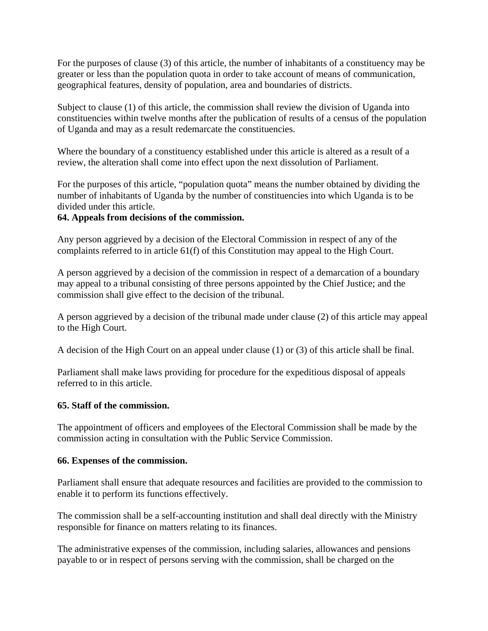For the purposes of clause (3) of this article, the number of inhabitants of a constituency may be greater or less than the population quota in order to take account of means of communication, geographical features, density of population, area and boundaries of districts.

Subject to clause (1) of this article, the commission shall review the division of Uganda into constituencies within twelve months after the publication of results of a census of the population of Uganda and may as a result redemarcate the constituencies.

Where the boundary of a constituency established under this article is altered as a result of a review, the alteration shall come into effect upon the next dissolution of Parliament.

For the purposes of this article, "population quota" means the number obtained by dividing the number of inhabitants of Uganda by the number of constituencies into which Uganda is to be divided under this article.

### **64. Appeals from decisions of the commission.**

Any person aggrieved by a decision of the Electoral Commission in respect of any of the complaints referred to in article 61(f) of this Constitution may appeal to the High Court.

A person aggrieved by a decision of the commission in respect of a demarcation of a boundary may appeal to a tribunal consisting of three persons appointed by the Chief Justice; and the commission shall give effect to the decision of the tribunal.

A person aggrieved by a decision of the tribunal made under clause (2) of this article may appeal to the High Court.

A decision of the High Court on an appeal under clause (1) or (3) of this article shall be final.

Parliament shall make laws providing for procedure for the expeditious disposal of appeals referred to in this article.

#### **65. Staff of the commission.**

The appointment of officers and employees of the Electoral Commission shall be made by the commission acting in consultation with the Public Service Commission.

#### **66. Expenses of the commission.**

Parliament shall ensure that adequate resources and facilities are provided to the commission to enable it to perform its functions effectively.

The commission shall be a self-accounting institution and shall deal directly with the Ministry responsible for finance on matters relating to its finances.

The administrative expenses of the commission, including salaries, allowances and pensions payable to or in respect of persons serving with the commission, shall be charged on the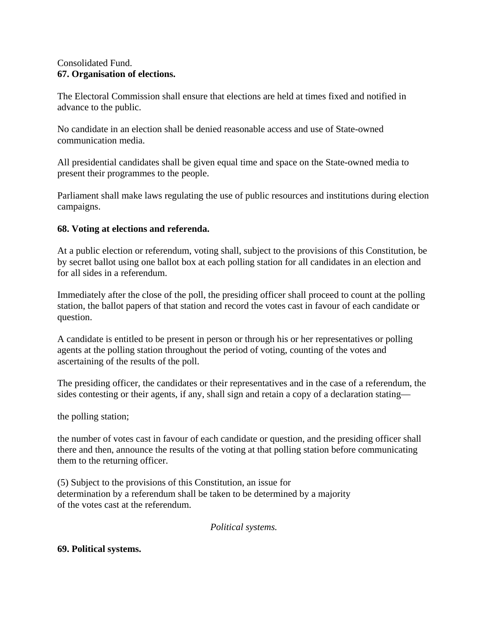# Consolidated Fund. **67. Organisation of elections.**

The Electoral Commission shall ensure that elections are held at times fixed and notified in advance to the public.

No candidate in an election shall be denied reasonable access and use of State-owned communication media.

All presidential candidates shall be given equal time and space on the State-owned media to present their programmes to the people.

Parliament shall make laws regulating the use of public resources and institutions during election campaigns.

# **68. Voting at elections and referenda.**

At a public election or referendum, voting shall, subject to the provisions of this Constitution, be by secret ballot using one ballot box at each polling station for all candidates in an election and for all sides in a referendum.

Immediately after the close of the poll, the presiding officer shall proceed to count at the polling station, the ballot papers of that station and record the votes cast in favour of each candidate or question.

A candidate is entitled to be present in person or through his or her representatives or polling agents at the polling station throughout the period of voting, counting of the votes and ascertaining of the results of the poll.

The presiding officer, the candidates or their representatives and in the case of a referendum, the sides contesting or their agents, if any, shall sign and retain a copy of a declaration stating—

the polling station;

the number of votes cast in favour of each candidate or question, and the presiding officer shall there and then, announce the results of the voting at that polling station before communicating them to the returning officer.

(5) Subject to the provisions of this Constitution, an issue for determination by a referendum shall be taken to be determined by a majority of the votes cast at the referendum.

*Political systems.*

**69. Political systems.**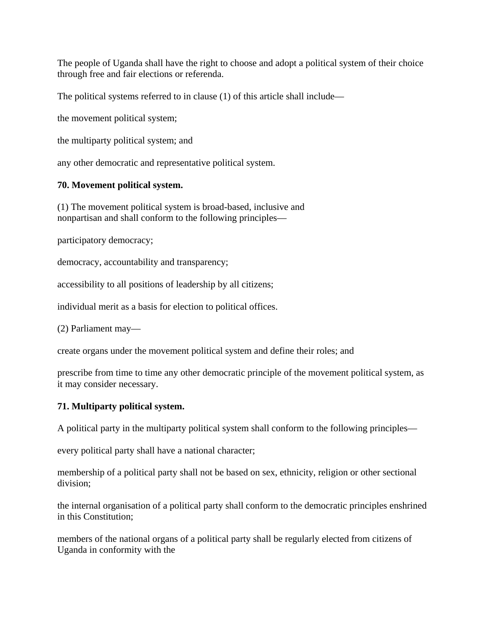The people of Uganda shall have the right to choose and adopt a political system of their choice through free and fair elections or referenda.

The political systems referred to in clause (1) of this article shall include—

the movement political system;

the multiparty political system; and

any other democratic and representative political system.

#### **70. Movement political system.**

(1) The movement political system is broad-based, inclusive and nonpartisan and shall conform to the following principles—

participatory democracy;

democracy, accountability and transparency;

accessibility to all positions of leadership by all citizens;

individual merit as a basis for election to political offices.

(2) Parliament may—

create organs under the movement political system and define their roles; and

prescribe from time to time any other democratic principle of the movement political system, as it may consider necessary.

#### **71. Multiparty political system.**

A political party in the multiparty political system shall conform to the following principles—

every political party shall have a national character;

membership of a political party shall not be based on sex, ethnicity, religion or other sectional division;

the internal organisation of a political party shall conform to the democratic principles enshrined in this Constitution;

members of the national organs of a political party shall be regularly elected from citizens of Uganda in conformity with the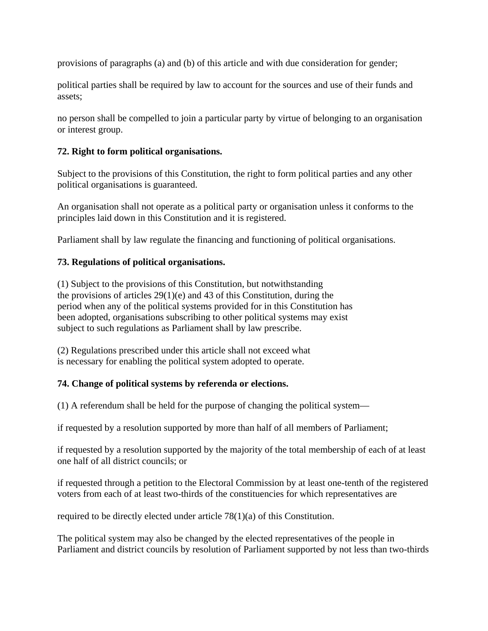provisions of paragraphs (a) and (b) of this article and with due consideration for gender;

political parties shall be required by law to account for the sources and use of their funds and assets;

no person shall be compelled to join a particular party by virtue of belonging to an organisation or interest group.

# **72. Right to form political organisations.**

Subject to the provisions of this Constitution, the right to form political parties and any other political organisations is guaranteed.

An organisation shall not operate as a political party or organisation unless it conforms to the principles laid down in this Constitution and it is registered.

Parliament shall by law regulate the financing and functioning of political organisations.

# **73. Regulations of political organisations.**

(1) Subject to the provisions of this Constitution, but notwithstanding the provisions of articles  $29(1)(e)$  and 43 of this Constitution, during the period when any of the political systems provided for in this Constitution has been adopted, organisations subscribing to other political systems may exist subject to such regulations as Parliament shall by law prescribe.

(2) Regulations prescribed under this article shall not exceed what is necessary for enabling the political system adopted to operate.

# **74. Change of political systems by referenda or elections.**

(1) A referendum shall be held for the purpose of changing the political system—

if requested by a resolution supported by more than half of all members of Parliament;

if requested by a resolution supported by the majority of the total membership of each of at least one half of all district councils; or

if requested through a petition to the Electoral Commission by at least one-tenth of the registered voters from each of at least two-thirds of the constituencies for which representatives are

required to be directly elected under article 78(1)(a) of this Constitution.

The political system may also be changed by the elected representatives of the people in Parliament and district councils by resolution of Parliament supported by not less than two-thirds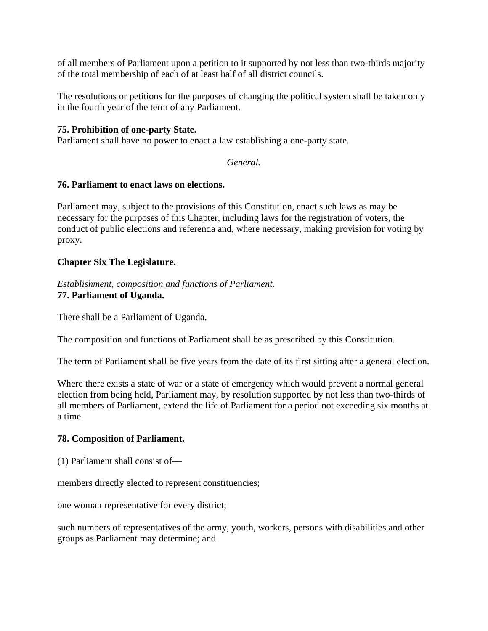of all members of Parliament upon a petition to it supported by not less than two-thirds majority of the total membership of each of at least half of all district councils.

The resolutions or petitions for the purposes of changing the political system shall be taken only in the fourth year of the term of any Parliament.

#### **75. Prohibition of one-party State.**

Parliament shall have no power to enact a law establishing a one-party state.

*General.*

#### **76. Parliament to enact laws on elections.**

Parliament may, subject to the provisions of this Constitution, enact such laws as may be necessary for the purposes of this Chapter, including laws for the registration of voters, the conduct of public elections and referenda and, where necessary, making provision for voting by proxy.

#### **Chapter Six The Legislature.**

*Establishment, composition and functions of Parliament.* **77. Parliament of Uganda.**

There shall be a Parliament of Uganda.

The composition and functions of Parliament shall be as prescribed by this Constitution.

The term of Parliament shall be five years from the date of its first sitting after a general election.

Where there exists a state of war or a state of emergency which would prevent a normal general election from being held, Parliament may, by resolution supported by not less than two-thirds of all members of Parliament, extend the life of Parliament for a period not exceeding six months at a time.

#### **78. Composition of Parliament.**

(1) Parliament shall consist of—

members directly elected to represent constituencies;

one woman representative for every district;

such numbers of representatives of the army, youth, workers, persons with disabilities and other groups as Parliament may determine; and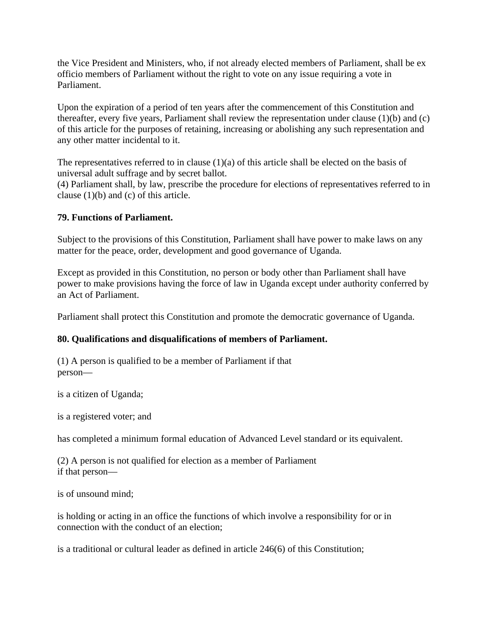the Vice President and Ministers, who, if not already elected members of Parliament, shall be ex officio members of Parliament without the right to vote on any issue requiring a vote in Parliament.

Upon the expiration of a period of ten years after the commencement of this Constitution and thereafter, every five years, Parliament shall review the representation under clause (1)(b) and (c) of this article for the purposes of retaining, increasing or abolishing any such representation and any other matter incidental to it.

The representatives referred to in clause  $(1)(a)$  of this article shall be elected on the basis of universal adult suffrage and by secret ballot.

(4) Parliament shall, by law, prescribe the procedure for elections of representatives referred to in clause (1)(b) and (c) of this article.

# **79. Functions of Parliament.**

Subject to the provisions of this Constitution, Parliament shall have power to make laws on any matter for the peace, order, development and good governance of Uganda.

Except as provided in this Constitution, no person or body other than Parliament shall have power to make provisions having the force of law in Uganda except under authority conferred by an Act of Parliament.

Parliament shall protect this Constitution and promote the democratic governance of Uganda.

# **80. Qualifications and disqualifications of members of Parliament.**

(1) A person is qualified to be a member of Parliament if that person—

is a citizen of Uganda;

is a registered voter; and

has completed a minimum formal education of Advanced Level standard or its equivalent.

(2) A person is not qualified for election as a member of Parliament if that person—

is of unsound mind;

is holding or acting in an office the functions of which involve a responsibility for or in connection with the conduct of an election;

is a traditional or cultural leader as defined in article 246(6) of this Constitution;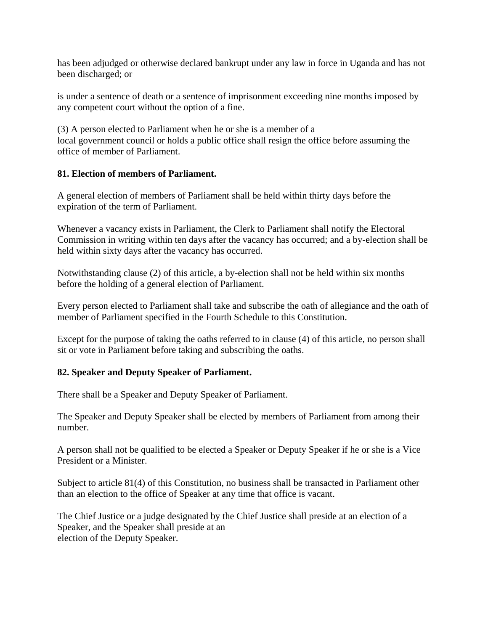has been adjudged or otherwise declared bankrupt under any law in force in Uganda and has not been discharged; or

is under a sentence of death or a sentence of imprisonment exceeding nine months imposed by any competent court without the option of a fine.

(3) A person elected to Parliament when he or she is a member of a local government council or holds a public office shall resign the office before assuming the office of member of Parliament.

# **81. Election of members of Parliament.**

A general election of members of Parliament shall be held within thirty days before the expiration of the term of Parliament.

Whenever a vacancy exists in Parliament, the Clerk to Parliament shall notify the Electoral Commission in writing within ten days after the vacancy has occurred; and a by-election shall be held within sixty days after the vacancy has occurred.

Notwithstanding clause (2) of this article, a by-election shall not be held within six months before the holding of a general election of Parliament.

Every person elected to Parliament shall take and subscribe the oath of allegiance and the oath of member of Parliament specified in the Fourth Schedule to this Constitution.

Except for the purpose of taking the oaths referred to in clause (4) of this article, no person shall sit or vote in Parliament before taking and subscribing the oaths.

# **82. Speaker and Deputy Speaker of Parliament.**

There shall be a Speaker and Deputy Speaker of Parliament.

The Speaker and Deputy Speaker shall be elected by members of Parliament from among their number.

A person shall not be qualified to be elected a Speaker or Deputy Speaker if he or she is a Vice President or a Minister.

Subject to article 81(4) of this Constitution, no business shall be transacted in Parliament other than an election to the office of Speaker at any time that office is vacant.

The Chief Justice or a judge designated by the Chief Justice shall preside at an election of a Speaker, and the Speaker shall preside at an election of the Deputy Speaker.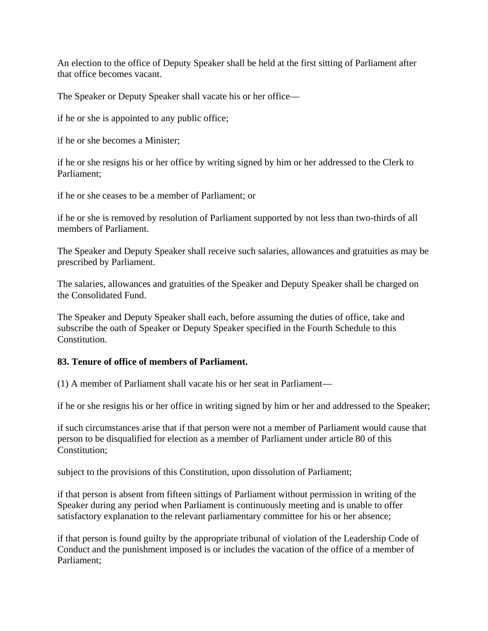An election to the office of Deputy Speaker shall be held at the first sitting of Parliament after that office becomes vacant.

The Speaker or Deputy Speaker shall vacate his or her office—

if he or she is appointed to any public office;

if he or she becomes a Minister;

if he or she resigns his or her office by writing signed by him or her addressed to the Clerk to Parliament;

if he or she ceases to be a member of Parliament; or

if he or she is removed by resolution of Parliament supported by not less than two-thirds of all members of Parliament.

The Speaker and Deputy Speaker shall receive such salaries, allowances and gratuities as may be prescribed by Parliament.

The salaries, allowances and gratuities of the Speaker and Deputy Speaker shall be charged on the Consolidated Fund.

The Speaker and Deputy Speaker shall each, before assuming the duties of office, take and subscribe the oath of Speaker or Deputy Speaker specified in the Fourth Schedule to this **Constitution** 

# **83. Tenure of office of members of Parliament.**

(1) A member of Parliament shall vacate his or her seat in Parliament—

if he or she resigns his or her office in writing signed by him or her and addressed to the Speaker;

if such circumstances arise that if that person were not a member of Parliament would cause that person to be disqualified for election as a member of Parliament under article 80 of this Constitution;

subject to the provisions of this Constitution, upon dissolution of Parliament;

if that person is absent from fifteen sittings of Parliament without permission in writing of the Speaker during any period when Parliament is continuously meeting and is unable to offer satisfactory explanation to the relevant parliamentary committee for his or her absence;

if that person is found guilty by the appropriate tribunal of violation of the Leadership Code of Conduct and the punishment imposed is or includes the vacation of the office of a member of Parliament;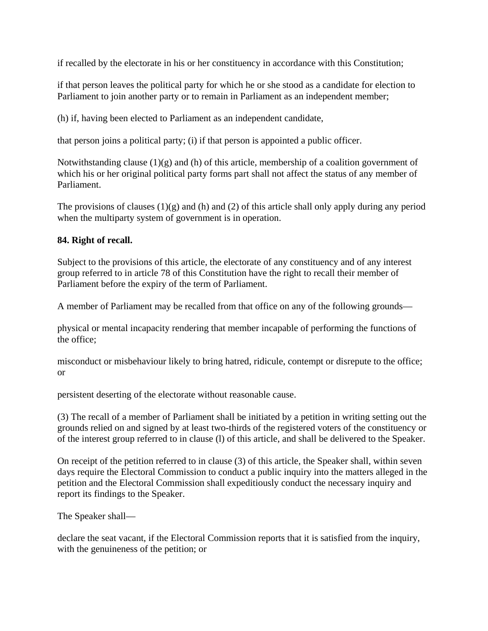if recalled by the electorate in his or her constituency in accordance with this Constitution;

if that person leaves the political party for which he or she stood as a candidate for election to Parliament to join another party or to remain in Parliament as an independent member;

(h) if, having been elected to Parliament as an independent candidate,

that person joins a political party; (i) if that person is appointed a public officer.

Notwithstanding clause (1)(g) and (h) of this article, membership of a coalition government of which his or her original political party forms part shall not affect the status of any member of Parliament.

The provisions of clauses  $(1)(g)$  and  $(h)$  and  $(2)$  of this article shall only apply during any period when the multiparty system of government is in operation.

#### **84. Right of recall.**

Subject to the provisions of this article, the electorate of any constituency and of any interest group referred to in article 78 of this Constitution have the right to recall their member of Parliament before the expiry of the term of Parliament.

A member of Parliament may be recalled from that office on any of the following grounds—

physical or mental incapacity rendering that member incapable of performing the functions of the office;

misconduct or misbehaviour likely to bring hatred, ridicule, contempt or disrepute to the office; or

persistent deserting of the electorate without reasonable cause.

(3) The recall of a member of Parliament shall be initiated by a petition in writing setting out the grounds relied on and signed by at least two-thirds of the registered voters of the constituency or of the interest group referred to in clause (l) of this article, and shall be delivered to the Speaker.

On receipt of the petition referred to in clause (3) of this article, the Speaker shall, within seven days require the Electoral Commission to conduct a public inquiry into the matters alleged in the petition and the Electoral Commission shall expeditiously conduct the necessary inquiry and report its findings to the Speaker.

The Speaker shall—

declare the seat vacant, if the Electoral Commission reports that it is satisfied from the inquiry, with the genuineness of the petition; or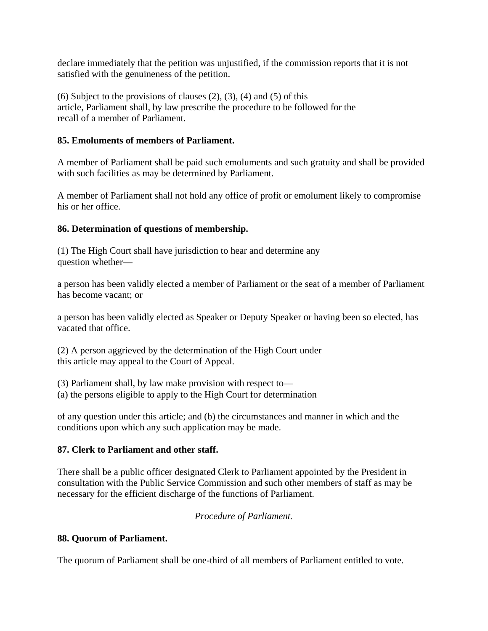declare immediately that the petition was unjustified, if the commission reports that it is not satisfied with the genuineness of the petition.

(6) Subject to the provisions of clauses  $(2)$ ,  $(3)$ ,  $(4)$  and  $(5)$  of this article, Parliament shall, by law prescribe the procedure to be followed for the recall of a member of Parliament.

### **85. Emoluments of members of Parliament.**

A member of Parliament shall be paid such emoluments and such gratuity and shall be provided with such facilities as may be determined by Parliament.

A member of Parliament shall not hold any office of profit or emolument likely to compromise his or her office.

### **86. Determination of questions of membership.**

(1) The High Court shall have jurisdiction to hear and determine any question whether—

a person has been validly elected a member of Parliament or the seat of a member of Parliament has become vacant; or

a person has been validly elected as Speaker or Deputy Speaker or having been so elected, has vacated that office.

(2) A person aggrieved by the determination of the High Court under this article may appeal to the Court of Appeal.

(3) Parliament shall, by law make provision with respect to—

(a) the persons eligible to apply to the High Court for determination

of any question under this article; and (b) the circumstances and manner in which and the conditions upon which any such application may be made.

# **87. Clerk to Parliament and other staff.**

There shall be a public officer designated Clerk to Parliament appointed by the President in consultation with the Public Service Commission and such other members of staff as may be necessary for the efficient discharge of the functions of Parliament.

#### *Procedure of Parliament.*

# **88. Quorum of Parliament.**

The quorum of Parliament shall be one-third of all members of Parliament entitled to vote.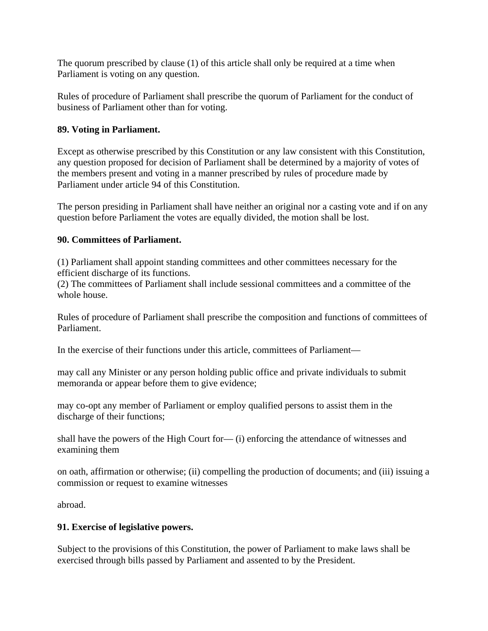The quorum prescribed by clause (1) of this article shall only be required at a time when Parliament is voting on any question.

Rules of procedure of Parliament shall prescribe the quorum of Parliament for the conduct of business of Parliament other than for voting.

# **89. Voting in Parliament.**

Except as otherwise prescribed by this Constitution or any law consistent with this Constitution, any question proposed for decision of Parliament shall be determined by a majority of votes of the members present and voting in a manner prescribed by rules of procedure made by Parliament under article 94 of this Constitution.

The person presiding in Parliament shall have neither an original nor a casting vote and if on any question before Parliament the votes are equally divided, the motion shall be lost.

### **90. Committees of Parliament.**

(1) Parliament shall appoint standing committees and other committees necessary for the efficient discharge of its functions.

(2) The committees of Parliament shall include sessional committees and a committee of the whole house.

Rules of procedure of Parliament shall prescribe the composition and functions of committees of Parliament.

In the exercise of their functions under this article, committees of Parliament—

may call any Minister or any person holding public office and private individuals to submit memoranda or appear before them to give evidence;

may co-opt any member of Parliament or employ qualified persons to assist them in the discharge of their functions;

shall have the powers of the High Court for— (i) enforcing the attendance of witnesses and examining them

on oath, affirmation or otherwise; (ii) compelling the production of documents; and (iii) issuing a commission or request to examine witnesses

abroad.

# **91. Exercise of legislative powers.**

Subject to the provisions of this Constitution, the power of Parliament to make laws shall be exercised through bills passed by Parliament and assented to by the President.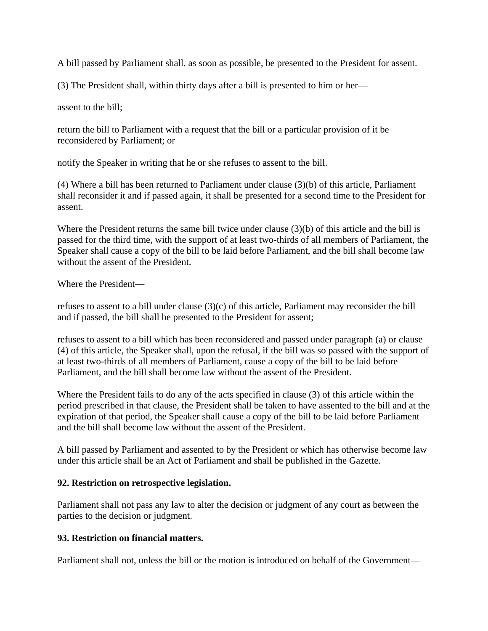A bill passed by Parliament shall, as soon as possible, be presented to the President for assent.

(3) The President shall, within thirty days after a bill is presented to him or her—

assent to the bill;

return the bill to Parliament with a request that the bill or a particular provision of it be reconsidered by Parliament; or

notify the Speaker in writing that he or she refuses to assent to the bill.

(4) Where a bill has been returned to Parliament under clause (3)(b) of this article, Parliament shall reconsider it and if passed again, it shall be presented for a second time to the President for assent.

Where the President returns the same bill twice under clause (3)(b) of this article and the bill is passed for the third time, with the support of at least two-thirds of all members of Parliament, the Speaker shall cause a copy of the bill to be laid before Parliament, and the bill shall become law without the assent of the President.

Where the President—

refuses to assent to a bill under clause (3)(c) of this article, Parliament may reconsider the bill and if passed, the bill shall be presented to the President for assent;

refuses to assent to a bill which has been reconsidered and passed under paragraph (a) or clause (4) of this article, the Speaker shall, upon the refusal, if the bill was so passed with the support of at least two-thirds of all members of Parliament, cause a copy of the bill to be laid before Parliament, and the bill shall become law without the assent of the President.

Where the President fails to do any of the acts specified in clause (3) of this article within the period prescribed in that clause, the President shall be taken to have assented to the bill and at the expiration of that period, the Speaker shall cause a copy of the bill to be laid before Parliament and the bill shall become law without the assent of the President.

A bill passed by Parliament and assented to by the President or which has otherwise become law under this article shall be an Act of Parliament and shall be published in the Gazette.

# **92. Restriction on retrospective legislation.**

Parliament shall not pass any law to alter the decision or judgment of any court as between the parties to the decision or judgment.

# **93. Restriction on financial matters.**

Parliament shall not, unless the bill or the motion is introduced on behalf of the Government—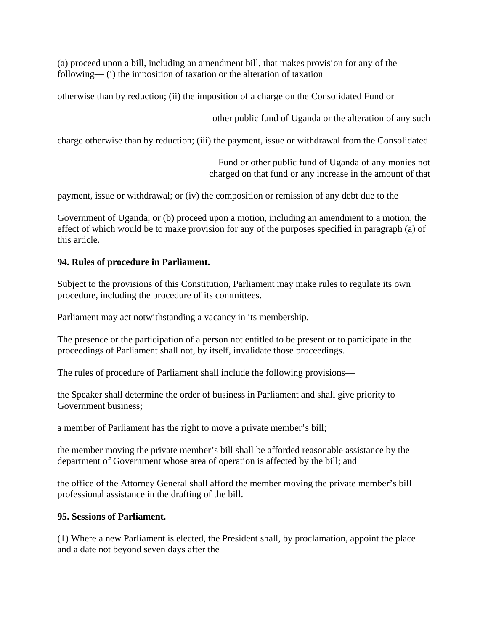(a) proceed upon a bill, including an amendment bill, that makes provision for any of the following— (i) the imposition of taxation or the alteration of taxation

otherwise than by reduction; (ii) the imposition of a charge on the Consolidated Fund or

other public fund of Uganda or the alteration of any such

charge otherwise than by reduction; (iii) the payment, issue or withdrawal from the Consolidated

Fund or other public fund of Uganda of any monies not charged on that fund or any increase in the amount of that

payment, issue or withdrawal; or (iv) the composition or remission of any debt due to the

Government of Uganda; or (b) proceed upon a motion, including an amendment to a motion, the effect of which would be to make provision for any of the purposes specified in paragraph (a) of this article.

# **94. Rules of procedure in Parliament.**

Subject to the provisions of this Constitution, Parliament may make rules to regulate its own procedure, including the procedure of its committees.

Parliament may act notwithstanding a vacancy in its membership.

The presence or the participation of a person not entitled to be present or to participate in the proceedings of Parliament shall not, by itself, invalidate those proceedings.

The rules of procedure of Parliament shall include the following provisions—

the Speaker shall determine the order of business in Parliament and shall give priority to Government business;

a member of Parliament has the right to move a private member's bill;

the member moving the private member's bill shall be afforded reasonable assistance by the department of Government whose area of operation is affected by the bill; and

the office of the Attorney General shall afford the member moving the private member's bill professional assistance in the drafting of the bill.

# **95. Sessions of Parliament.**

(1) Where a new Parliament is elected, the President shall, by proclamation, appoint the place and a date not beyond seven days after the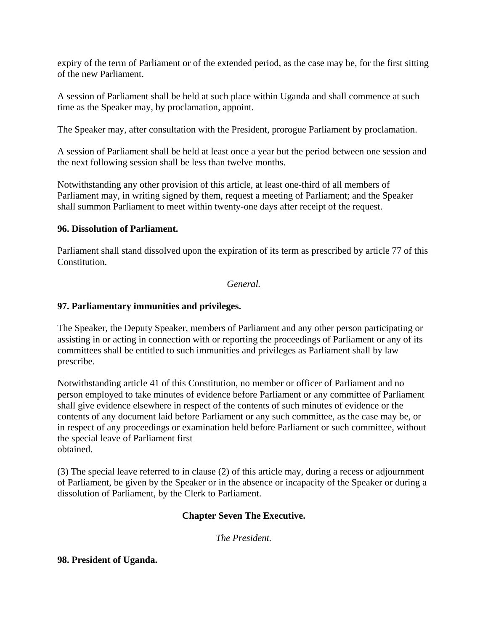expiry of the term of Parliament or of the extended period, as the case may be, for the first sitting of the new Parliament.

A session of Parliament shall be held at such place within Uganda and shall commence at such time as the Speaker may, by proclamation, appoint.

The Speaker may, after consultation with the President, prorogue Parliament by proclamation.

A session of Parliament shall be held at least once a year but the period between one session and the next following session shall be less than twelve months.

Notwithstanding any other provision of this article, at least one-third of all members of Parliament may, in writing signed by them, request a meeting of Parliament; and the Speaker shall summon Parliament to meet within twenty-one days after receipt of the request.

# **96. Dissolution of Parliament.**

Parliament shall stand dissolved upon the expiration of its term as prescribed by article 77 of this Constitution.

*General.*

# **97. Parliamentary immunities and privileges.**

The Speaker, the Deputy Speaker, members of Parliament and any other person participating or assisting in or acting in connection with or reporting the proceedings of Parliament or any of its committees shall be entitled to such immunities and privileges as Parliament shall by law prescribe.

Notwithstanding article 41 of this Constitution, no member or officer of Parliament and no person employed to take minutes of evidence before Parliament or any committee of Parliament shall give evidence elsewhere in respect of the contents of such minutes of evidence or the contents of any document laid before Parliament or any such committee, as the case may be, or in respect of any proceedings or examination held before Parliament or such committee, without the special leave of Parliament first obtained.

(3) The special leave referred to in clause (2) of this article may, during a recess or adjournment of Parliament, be given by the Speaker or in the absence or incapacity of the Speaker or during a dissolution of Parliament, by the Clerk to Parliament.

# **Chapter Seven The Executive.**

*The President.*

# **98. President of Uganda.**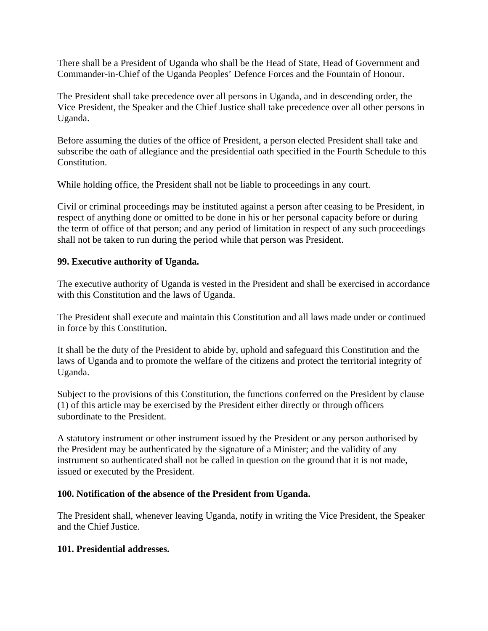There shall be a President of Uganda who shall be the Head of State, Head of Government and Commander-in-Chief of the Uganda Peoples' Defence Forces and the Fountain of Honour.

The President shall take precedence over all persons in Uganda, and in descending order, the Vice President, the Speaker and the Chief Justice shall take precedence over all other persons in Uganda.

Before assuming the duties of the office of President, a person elected President shall take and subscribe the oath of allegiance and the presidential oath specified in the Fourth Schedule to this Constitution.

While holding office, the President shall not be liable to proceedings in any court.

Civil or criminal proceedings may be instituted against a person after ceasing to be President, in respect of anything done or omitted to be done in his or her personal capacity before or during the term of office of that person; and any period of limitation in respect of any such proceedings shall not be taken to run during the period while that person was President.

# **99. Executive authority of Uganda.**

The executive authority of Uganda is vested in the President and shall be exercised in accordance with this Constitution and the laws of Uganda.

The President shall execute and maintain this Constitution and all laws made under or continued in force by this Constitution.

It shall be the duty of the President to abide by, uphold and safeguard this Constitution and the laws of Uganda and to promote the welfare of the citizens and protect the territorial integrity of Uganda.

Subject to the provisions of this Constitution, the functions conferred on the President by clause (1) of this article may be exercised by the President either directly or through officers subordinate to the President.

A statutory instrument or other instrument issued by the President or any person authorised by the President may be authenticated by the signature of a Minister; and the validity of any instrument so authenticated shall not be called in question on the ground that it is not made, issued or executed by the President.

#### **100. Notification of the absence of the President from Uganda.**

The President shall, whenever leaving Uganda, notify in writing the Vice President, the Speaker and the Chief Justice.

# **101. Presidential addresses.**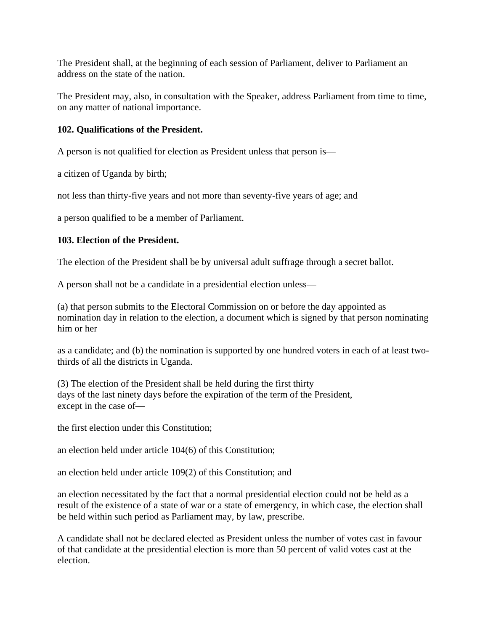The President shall, at the beginning of each session of Parliament, deliver to Parliament an address on the state of the nation.

The President may, also, in consultation with the Speaker, address Parliament from time to time, on any matter of national importance.

### **102. Qualifications of the President.**

A person is not qualified for election as President unless that person is—

a citizen of Uganda by birth;

not less than thirty-five years and not more than seventy-five years of age; and

a person qualified to be a member of Parliament.

#### **103. Election of the President.**

The election of the President shall be by universal adult suffrage through a secret ballot.

A person shall not be a candidate in a presidential election unless—

(a) that person submits to the Electoral Commission on or before the day appointed as nomination day in relation to the election, a document which is signed by that person nominating him or her

as a candidate; and (b) the nomination is supported by one hundred voters in each of at least twothirds of all the districts in Uganda.

(3) The election of the President shall be held during the first thirty days of the last ninety days before the expiration of the term of the President, except in the case of—

the first election under this Constitution;

an election held under article 104(6) of this Constitution;

an election held under article 109(2) of this Constitution; and

an election necessitated by the fact that a normal presidential election could not be held as a result of the existence of a state of war or a state of emergency, in which case, the election shall be held within such period as Parliament may, by law, prescribe.

A candidate shall not be declared elected as President unless the number of votes cast in favour of that candidate at the presidential election is more than 50 percent of valid votes cast at the election.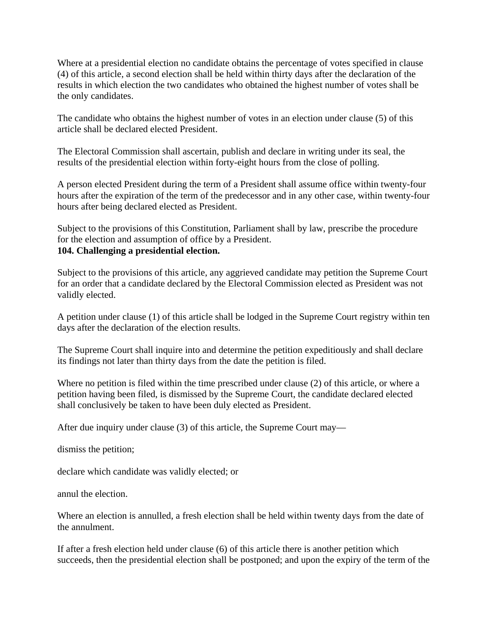Where at a presidential election no candidate obtains the percentage of votes specified in clause (4) of this article, a second election shall be held within thirty days after the declaration of the results in which election the two candidates who obtained the highest number of votes shall be the only candidates.

The candidate who obtains the highest number of votes in an election under clause (5) of this article shall be declared elected President.

The Electoral Commission shall ascertain, publish and declare in writing under its seal, the results of the presidential election within forty-eight hours from the close of polling.

A person elected President during the term of a President shall assume office within twenty-four hours after the expiration of the term of the predecessor and in any other case, within twenty-four hours after being declared elected as President.

Subject to the provisions of this Constitution, Parliament shall by law, prescribe the procedure for the election and assumption of office by a President. **104. Challenging a presidential election.**

Subject to the provisions of this article, any aggrieved candidate may petition the Supreme Court for an order that a candidate declared by the Electoral Commission elected as President was not validly elected.

A petition under clause (1) of this article shall be lodged in the Supreme Court registry within ten days after the declaration of the election results.

The Supreme Court shall inquire into and determine the petition expeditiously and shall declare its findings not later than thirty days from the date the petition is filed.

Where no petition is filed within the time prescribed under clause (2) of this article, or where a petition having been filed, is dismissed by the Supreme Court, the candidate declared elected shall conclusively be taken to have been duly elected as President.

After due inquiry under clause (3) of this article, the Supreme Court may—

dismiss the petition;

declare which candidate was validly elected; or

annul the election.

Where an election is annulled, a fresh election shall be held within twenty days from the date of the annulment.

If after a fresh election held under clause (6) of this article there is another petition which succeeds, then the presidential election shall be postponed; and upon the expiry of the term of the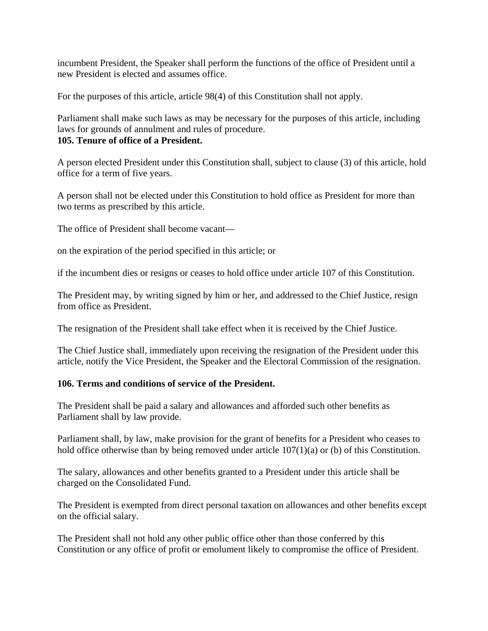incumbent President, the Speaker shall perform the functions of the office of President until a new President is elected and assumes office.

For the purposes of this article, article 98(4) of this Constitution shall not apply.

Parliament shall make such laws as may be necessary for the purposes of this article, including laws for grounds of annulment and rules of procedure. **105. Tenure of office of a President.**

A person elected President under this Constitution shall, subject to clause (3) of this article, hold office for a term of five years.

A person shall not be elected under this Constitution to hold office as President for more than two terms as prescribed by this article.

The office of President shall become vacant—

on the expiration of the period specified in this article; or

if the incumbent dies or resigns or ceases to hold office under article 107 of this Constitution.

The President may, by writing signed by him or her, and addressed to the Chief Justice, resign from office as President.

The resignation of the President shall take effect when it is received by the Chief Justice.

The Chief Justice shall, immediately upon receiving the resignation of the President under this article, notify the Vice President, the Speaker and the Electoral Commission of the resignation.

# **106. Terms and conditions of service of the President.**

The President shall be paid a salary and allowances and afforded such other benefits as Parliament shall by law provide.

Parliament shall, by law, make provision for the grant of benefits for a President who ceases to hold office otherwise than by being removed under article 107(1)(a) or (b) of this Constitution.

The salary, allowances and other benefits granted to a President under this article shall be charged on the Consolidated Fund.

The President is exempted from direct personal taxation on allowances and other benefits except on the official salary.

The President shall not hold any other public office other than those conferred by this Constitution or any office of profit or emolument likely to compromise the office of President.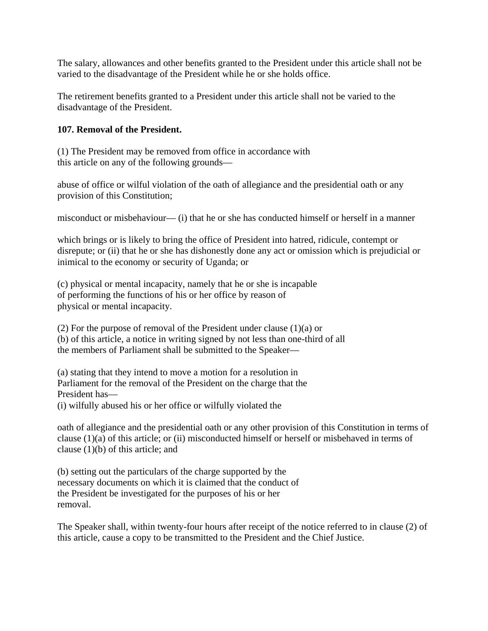The salary, allowances and other benefits granted to the President under this article shall not be varied to the disadvantage of the President while he or she holds office.

The retirement benefits granted to a President under this article shall not be varied to the disadvantage of the President.

# **107. Removal of the President.**

(1) The President may be removed from office in accordance with this article on any of the following grounds—

abuse of office or wilful violation of the oath of allegiance and the presidential oath or any provision of this Constitution;

misconduct or misbehaviour— (i) that he or she has conducted himself or herself in a manner

which brings or is likely to bring the office of President into hatred, ridicule, contempt or disrepute; or (ii) that he or she has dishonestly done any act or omission which is prejudicial or inimical to the economy or security of Uganda; or

(c) physical or mental incapacity, namely that he or she is incapable of performing the functions of his or her office by reason of physical or mental incapacity.

(2) For the purpose of removal of the President under clause (1)(a) or (b) of this article, a notice in writing signed by not less than one-third of all the members of Parliament shall be submitted to the Speaker—

(a) stating that they intend to move a motion for a resolution in Parliament for the removal of the President on the charge that the President has—

(i) wilfully abused his or her office or wilfully violated the

oath of allegiance and the presidential oath or any other provision of this Constitution in terms of clause (1)(a) of this article; or (ii) misconducted himself or herself or misbehaved in terms of clause (1)(b) of this article; and

(b) setting out the particulars of the charge supported by the necessary documents on which it is claimed that the conduct of the President be investigated for the purposes of his or her removal.

The Speaker shall, within twenty-four hours after receipt of the notice referred to in clause (2) of this article, cause a copy to be transmitted to the President and the Chief Justice.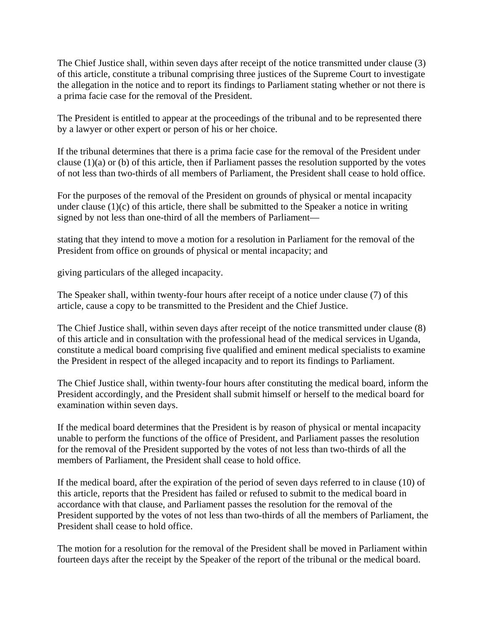The Chief Justice shall, within seven days after receipt of the notice transmitted under clause (3) of this article, constitute a tribunal comprising three justices of the Supreme Court to investigate the allegation in the notice and to report its findings to Parliament stating whether or not there is a prima facie case for the removal of the President.

The President is entitled to appear at the proceedings of the tribunal and to be represented there by a lawyer or other expert or person of his or her choice.

If the tribunal determines that there is a prima facie case for the removal of the President under clause  $(1)(a)$  or  $(b)$  of this article, then if Parliament passes the resolution supported by the votes of not less than two-thirds of all members of Parliament, the President shall cease to hold office.

For the purposes of the removal of the President on grounds of physical or mental incapacity under clause  $(1)(c)$  of this article, there shall be submitted to the Speaker a notice in writing signed by not less than one-third of all the members of Parliament—

stating that they intend to move a motion for a resolution in Parliament for the removal of the President from office on grounds of physical or mental incapacity; and

giving particulars of the alleged incapacity.

The Speaker shall, within twenty-four hours after receipt of a notice under clause (7) of this article, cause a copy to be transmitted to the President and the Chief Justice.

The Chief Justice shall, within seven days after receipt of the notice transmitted under clause (8) of this article and in consultation with the professional head of the medical services in Uganda, constitute a medical board comprising five qualified and eminent medical specialists to examine the President in respect of the alleged incapacity and to report its findings to Parliament.

The Chief Justice shall, within twenty-four hours after constituting the medical board, inform the President accordingly, and the President shall submit himself or herself to the medical board for examination within seven days.

If the medical board determines that the President is by reason of physical or mental incapacity unable to perform the functions of the office of President, and Parliament passes the resolution for the removal of the President supported by the votes of not less than two-thirds of all the members of Parliament, the President shall cease to hold office.

If the medical board, after the expiration of the period of seven days referred to in clause (10) of this article, reports that the President has failed or refused to submit to the medical board in accordance with that clause, and Parliament passes the resolution for the removal of the President supported by the votes of not less than two-thirds of all the members of Parliament, the President shall cease to hold office.

The motion for a resolution for the removal of the President shall be moved in Parliament within fourteen days after the receipt by the Speaker of the report of the tribunal or the medical board.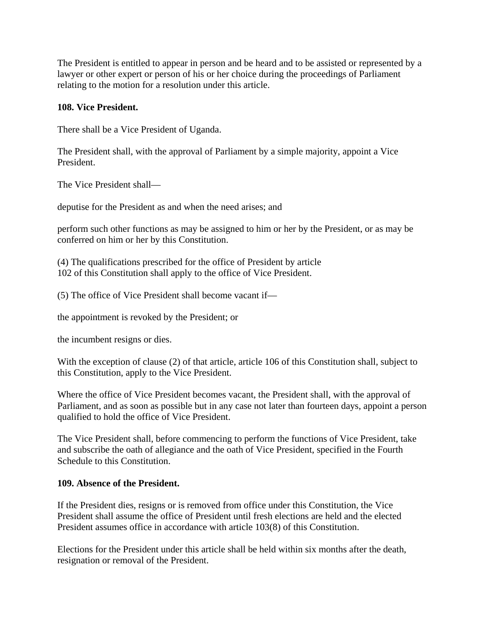The President is entitled to appear in person and be heard and to be assisted or represented by a lawyer or other expert or person of his or her choice during the proceedings of Parliament relating to the motion for a resolution under this article.

### **108. Vice President.**

There shall be a Vice President of Uganda.

The President shall, with the approval of Parliament by a simple majority, appoint a Vice President.

The Vice President shall—

deputise for the President as and when the need arises; and

perform such other functions as may be assigned to him or her by the President, or as may be conferred on him or her by this Constitution.

(4) The qualifications prescribed for the office of President by article 102 of this Constitution shall apply to the office of Vice President.

(5) The office of Vice President shall become vacant if—

the appointment is revoked by the President; or

the incumbent resigns or dies.

With the exception of clause (2) of that article, article 106 of this Constitution shall, subject to this Constitution, apply to the Vice President.

Where the office of Vice President becomes vacant, the President shall, with the approval of Parliament, and as soon as possible but in any case not later than fourteen days, appoint a person qualified to hold the office of Vice President.

The Vice President shall, before commencing to perform the functions of Vice President, take and subscribe the oath of allegiance and the oath of Vice President, specified in the Fourth Schedule to this Constitution.

#### **109. Absence of the President.**

If the President dies, resigns or is removed from office under this Constitution, the Vice President shall assume the office of President until fresh elections are held and the elected President assumes office in accordance with article 103(8) of this Constitution.

Elections for the President under this article shall be held within six months after the death, resignation or removal of the President.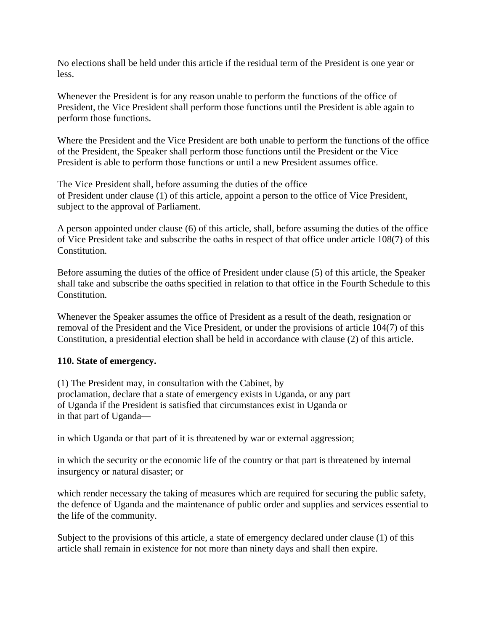No elections shall be held under this article if the residual term of the President is one year or less.

Whenever the President is for any reason unable to perform the functions of the office of President, the Vice President shall perform those functions until the President is able again to perform those functions.

Where the President and the Vice President are both unable to perform the functions of the office of the President, the Speaker shall perform those functions until the President or the Vice President is able to perform those functions or until a new President assumes office.

The Vice President shall, before assuming the duties of the office of President under clause (1) of this article, appoint a person to the office of Vice President, subject to the approval of Parliament.

A person appointed under clause (6) of this article, shall, before assuming the duties of the office of Vice President take and subscribe the oaths in respect of that office under article 108(7) of this Constitution.

Before assuming the duties of the office of President under clause (5) of this article, the Speaker shall take and subscribe the oaths specified in relation to that office in the Fourth Schedule to this Constitution.

Whenever the Speaker assumes the office of President as a result of the death, resignation or removal of the President and the Vice President, or under the provisions of article 104(7) of this Constitution, a presidential election shall be held in accordance with clause (2) of this article.

# **110. State of emergency.**

(1) The President may, in consultation with the Cabinet, by proclamation, declare that a state of emergency exists in Uganda, or any part of Uganda if the President is satisfied that circumstances exist in Uganda or in that part of Uganda—

in which Uganda or that part of it is threatened by war or external aggression;

in which the security or the economic life of the country or that part is threatened by internal insurgency or natural disaster; or

which render necessary the taking of measures which are required for securing the public safety, the defence of Uganda and the maintenance of public order and supplies and services essential to the life of the community.

Subject to the provisions of this article, a state of emergency declared under clause (1) of this article shall remain in existence for not more than ninety days and shall then expire.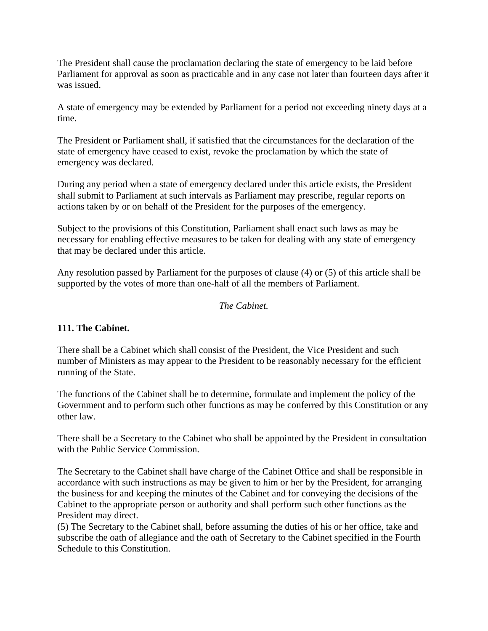The President shall cause the proclamation declaring the state of emergency to be laid before Parliament for approval as soon as practicable and in any case not later than fourteen days after it was issued.

A state of emergency may be extended by Parliament for a period not exceeding ninety days at a time.

The President or Parliament shall, if satisfied that the circumstances for the declaration of the state of emergency have ceased to exist, revoke the proclamation by which the state of emergency was declared.

During any period when a state of emergency declared under this article exists, the President shall submit to Parliament at such intervals as Parliament may prescribe, regular reports on actions taken by or on behalf of the President for the purposes of the emergency.

Subject to the provisions of this Constitution, Parliament shall enact such laws as may be necessary for enabling effective measures to be taken for dealing with any state of emergency that may be declared under this article.

Any resolution passed by Parliament for the purposes of clause (4) or (5) of this article shall be supported by the votes of more than one-half of all the members of Parliament.

### *The Cabinet.*

# **111. The Cabinet.**

There shall be a Cabinet which shall consist of the President, the Vice President and such number of Ministers as may appear to the President to be reasonably necessary for the efficient running of the State.

The functions of the Cabinet shall be to determine, formulate and implement the policy of the Government and to perform such other functions as may be conferred by this Constitution or any other law.

There shall be a Secretary to the Cabinet who shall be appointed by the President in consultation with the Public Service Commission.

The Secretary to the Cabinet shall have charge of the Cabinet Office and shall be responsible in accordance with such instructions as may be given to him or her by the President, for arranging the business for and keeping the minutes of the Cabinet and for conveying the decisions of the Cabinet to the appropriate person or authority and shall perform such other functions as the President may direct.

(5) The Secretary to the Cabinet shall, before assuming the duties of his or her office, take and subscribe the oath of allegiance and the oath of Secretary to the Cabinet specified in the Fourth Schedule to this Constitution.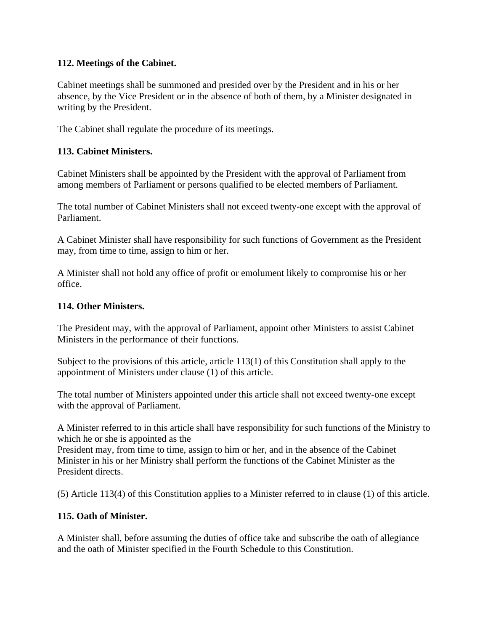## **112. Meetings of the Cabinet.**

Cabinet meetings shall be summoned and presided over by the President and in his or her absence, by the Vice President or in the absence of both of them, by a Minister designated in writing by the President.

The Cabinet shall regulate the procedure of its meetings.

## **113. Cabinet Ministers.**

Cabinet Ministers shall be appointed by the President with the approval of Parliament from among members of Parliament or persons qualified to be elected members of Parliament.

The total number of Cabinet Ministers shall not exceed twenty-one except with the approval of Parliament.

A Cabinet Minister shall have responsibility for such functions of Government as the President may, from time to time, assign to him or her.

A Minister shall not hold any office of profit or emolument likely to compromise his or her office.

## **114. Other Ministers.**

The President may, with the approval of Parliament, appoint other Ministers to assist Cabinet Ministers in the performance of their functions.

Subject to the provisions of this article, article 113(1) of this Constitution shall apply to the appointment of Ministers under clause (1) of this article.

The total number of Ministers appointed under this article shall not exceed twenty-one except with the approval of Parliament.

A Minister referred to in this article shall have responsibility for such functions of the Ministry to which he or she is appointed as the

President may, from time to time, assign to him or her, and in the absence of the Cabinet Minister in his or her Ministry shall perform the functions of the Cabinet Minister as the President directs.

(5) Article 113(4) of this Constitution applies to a Minister referred to in clause (1) of this article.

### **115. Oath of Minister.**

A Minister shall, before assuming the duties of office take and subscribe the oath of allegiance and the oath of Minister specified in the Fourth Schedule to this Constitution.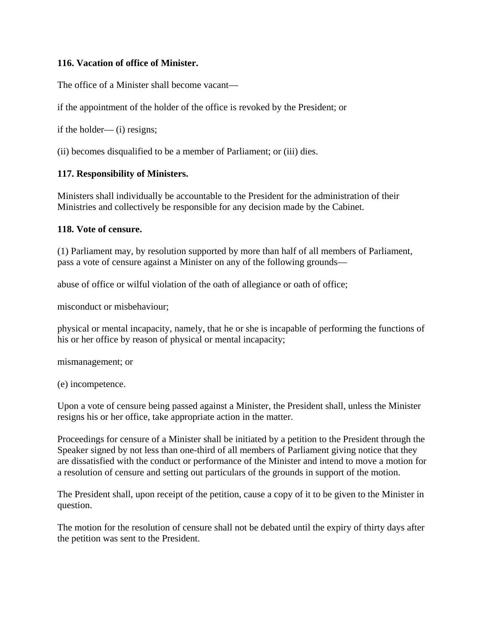## **116. Vacation of office of Minister.**

The office of a Minister shall become vacant—

if the appointment of the holder of the office is revoked by the President; or

if the holder— (i) resigns;

(ii) becomes disqualified to be a member of Parliament; or (iii) dies.

## **117. Responsibility of Ministers.**

Ministers shall individually be accountable to the President for the administration of their Ministries and collectively be responsible for any decision made by the Cabinet.

### **118. Vote of censure.**

(1) Parliament may, by resolution supported by more than half of all members of Parliament, pass a vote of censure against a Minister on any of the following grounds—

abuse of office or wilful violation of the oath of allegiance or oath of office;

misconduct or misbehaviour;

physical or mental incapacity, namely, that he or she is incapable of performing the functions of his or her office by reason of physical or mental incapacity;

mismanagement; or

(e) incompetence.

Upon a vote of censure being passed against a Minister, the President shall, unless the Minister resigns his or her office, take appropriate action in the matter.

Proceedings for censure of a Minister shall be initiated by a petition to the President through the Speaker signed by not less than one-third of all members of Parliament giving notice that they are dissatisfied with the conduct or performance of the Minister and intend to move a motion for a resolution of censure and setting out particulars of the grounds in support of the motion.

The President shall, upon receipt of the petition, cause a copy of it to be given to the Minister in question.

The motion for the resolution of censure shall not be debated until the expiry of thirty days after the petition was sent to the President.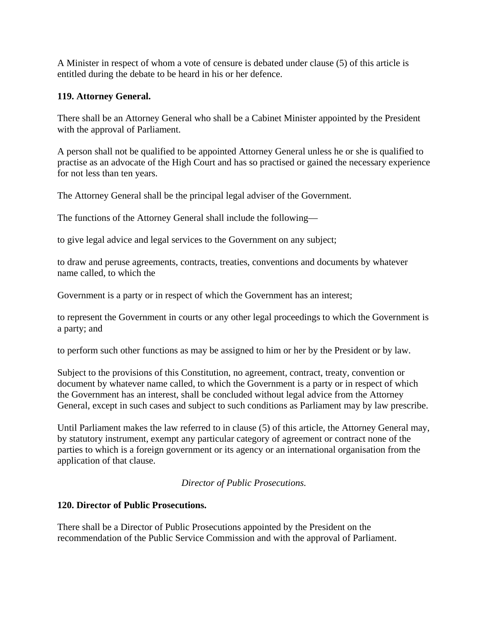A Minister in respect of whom a vote of censure is debated under clause (5) of this article is entitled during the debate to be heard in his or her defence.

## **119. Attorney General.**

There shall be an Attorney General who shall be a Cabinet Minister appointed by the President with the approval of Parliament.

A person shall not be qualified to be appointed Attorney General unless he or she is qualified to practise as an advocate of the High Court and has so practised or gained the necessary experience for not less than ten years.

The Attorney General shall be the principal legal adviser of the Government.

The functions of the Attorney General shall include the following—

to give legal advice and legal services to the Government on any subject;

to draw and peruse agreements, contracts, treaties, conventions and documents by whatever name called, to which the

Government is a party or in respect of which the Government has an interest;

to represent the Government in courts or any other legal proceedings to which the Government is a party; and

to perform such other functions as may be assigned to him or her by the President or by law.

Subject to the provisions of this Constitution, no agreement, contract, treaty, convention or document by whatever name called, to which the Government is a party or in respect of which the Government has an interest, shall be concluded without legal advice from the Attorney General, except in such cases and subject to such conditions as Parliament may by law prescribe.

Until Parliament makes the law referred to in clause (5) of this article, the Attorney General may, by statutory instrument, exempt any particular category of agreement or contract none of the parties to which is a foreign government or its agency or an international organisation from the application of that clause.

*Director of Public Prosecutions.*

# **120. Director of Public Prosecutions.**

There shall be a Director of Public Prosecutions appointed by the President on the recommendation of the Public Service Commission and with the approval of Parliament.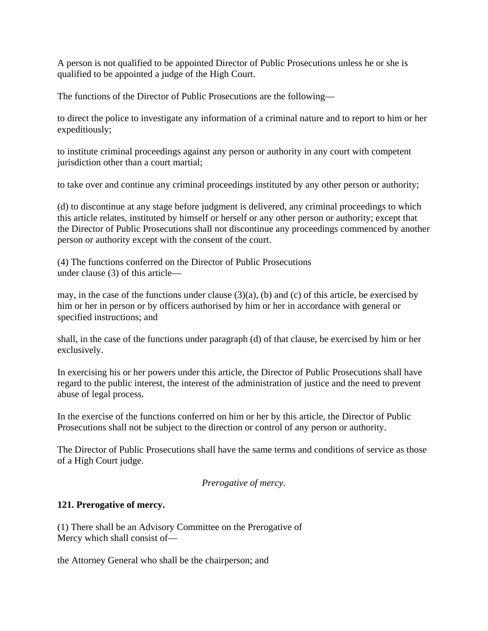A person is not qualified to be appointed Director of Public Prosecutions unless he or she is qualified to be appointed a judge of the High Court.

The functions of the Director of Public Prosecutions are the following—

to direct the police to investigate any information of a criminal nature and to report to him or her expeditiously;

to institute criminal proceedings against any person or authority in any court with competent jurisdiction other than a court martial;

to take over and continue any criminal proceedings instituted by any other person or authority;

(d) to discontinue at any stage before judgment is delivered, any criminal proceedings to which this article relates, instituted by himself or herself or any other person or authority; except that the Director of Public Prosecutions shall not discontinue any proceedings commenced by another person or authority except with the consent of the court.

(4) The functions conferred on the Director of Public Prosecutions under clause (3) of this article—

may, in the case of the functions under clause  $(3)(a)$ , (b) and (c) of this article, be exercised by him or her in person or by officers authorised by him or her in accordance with general or specified instructions; and

shall, in the case of the functions under paragraph (d) of that clause, be exercised by him or her exclusively.

In exercising his or her powers under this article, the Director of Public Prosecutions shall have regard to the public interest, the interest of the administration of justice and the need to prevent abuse of legal process.

In the exercise of the functions conferred on him or her by this article, the Director of Public Prosecutions shall not be subject to the direction or control of any person or authority.

The Director of Public Prosecutions shall have the same terms and conditions of service as those of a High Court judge.

### *Prerogative of mercy.*

# **121. Prerogative of mercy.**

(1) There shall be an Advisory Committee on the Prerogative of Mercy which shall consist of—

the Attorney General who shall be the chairperson; and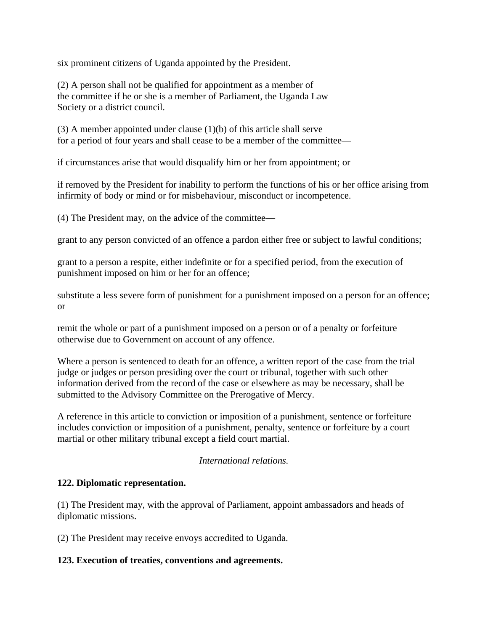six prominent citizens of Uganda appointed by the President.

(2) A person shall not be qualified for appointment as a member of the committee if he or she is a member of Parliament, the Uganda Law Society or a district council.

(3) A member appointed under clause (1)(b) of this article shall serve for a period of four years and shall cease to be a member of the committee—

if circumstances arise that would disqualify him or her from appointment; or

if removed by the President for inability to perform the functions of his or her office arising from infirmity of body or mind or for misbehaviour, misconduct or incompetence.

(4) The President may, on the advice of the committee—

grant to any person convicted of an offence a pardon either free or subject to lawful conditions;

grant to a person a respite, either indefinite or for a specified period, from the execution of punishment imposed on him or her for an offence;

substitute a less severe form of punishment for a punishment imposed on a person for an offence; or

remit the whole or part of a punishment imposed on a person or of a penalty or forfeiture otherwise due to Government on account of any offence.

Where a person is sentenced to death for an offence, a written report of the case from the trial judge or judges or person presiding over the court or tribunal, together with such other information derived from the record of the case or elsewhere as may be necessary, shall be submitted to the Advisory Committee on the Prerogative of Mercy.

A reference in this article to conviction or imposition of a punishment, sentence or forfeiture includes conviction or imposition of a punishment, penalty, sentence or forfeiture by a court martial or other military tribunal except a field court martial.

### *International relations.*

# **122. Diplomatic representation.**

(1) The President may, with the approval of Parliament, appoint ambassadors and heads of diplomatic missions.

(2) The President may receive envoys accredited to Uganda.

# **123. Execution of treaties, conventions and agreements.**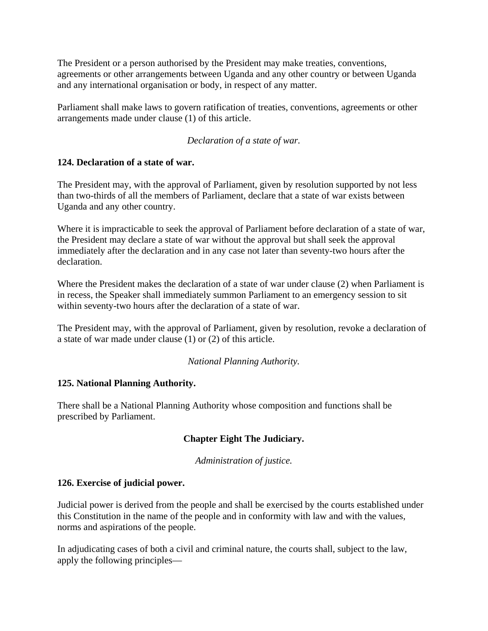The President or a person authorised by the President may make treaties, conventions, agreements or other arrangements between Uganda and any other country or between Uganda and any international organisation or body, in respect of any matter.

Parliament shall make laws to govern ratification of treaties, conventions, agreements or other arrangements made under clause (1) of this article.

*Declaration of a state of war.*

# **124. Declaration of a state of war.**

The President may, with the approval of Parliament, given by resolution supported by not less than two-thirds of all the members of Parliament, declare that a state of war exists between Uganda and any other country.

Where it is impracticable to seek the approval of Parliament before declaration of a state of war, the President may declare a state of war without the approval but shall seek the approval immediately after the declaration and in any case not later than seventy-two hours after the declaration.

Where the President makes the declaration of a state of war under clause (2) when Parliament is in recess, the Speaker shall immediately summon Parliament to an emergency session to sit within seventy-two hours after the declaration of a state of war.

The President may, with the approval of Parliament, given by resolution, revoke a declaration of a state of war made under clause (1) or (2) of this article.

# *National Planning Authority.*

# **125. National Planning Authority.**

There shall be a National Planning Authority whose composition and functions shall be prescribed by Parliament.

# **Chapter Eight The Judiciary.**

*Administration of justice.*

# **126. Exercise of judicial power.**

Judicial power is derived from the people and shall be exercised by the courts established under this Constitution in the name of the people and in conformity with law and with the values, norms and aspirations of the people.

In adjudicating cases of both a civil and criminal nature, the courts shall, subject to the law, apply the following principles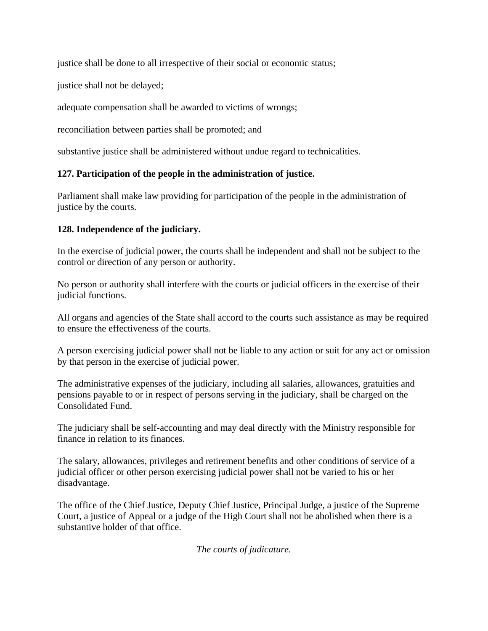justice shall be done to all irrespective of their social or economic status;

justice shall not be delayed;

adequate compensation shall be awarded to victims of wrongs;

reconciliation between parties shall be promoted; and

substantive justice shall be administered without undue regard to technicalities.

# **127. Participation of the people in the administration of justice.**

Parliament shall make law providing for participation of the people in the administration of justice by the courts.

# **128. Independence of the judiciary.**

In the exercise of judicial power, the courts shall be independent and shall not be subject to the control or direction of any person or authority.

No person or authority shall interfere with the courts or judicial officers in the exercise of their judicial functions.

All organs and agencies of the State shall accord to the courts such assistance as may be required to ensure the effectiveness of the courts.

A person exercising judicial power shall not be liable to any action or suit for any act or omission by that person in the exercise of judicial power.

The administrative expenses of the judiciary, including all salaries, allowances, gratuities and pensions payable to or in respect of persons serving in the judiciary, shall be charged on the Consolidated Fund.

The judiciary shall be self-accounting and may deal directly with the Ministry responsible for finance in relation to its finances.

The salary, allowances, privileges and retirement benefits and other conditions of service of a judicial officer or other person exercising judicial power shall not be varied to his or her disadvantage.

The office of the Chief Justice, Deputy Chief Justice, Principal Judge, a justice of the Supreme Court, a justice of Appeal or a judge of the High Court shall not be abolished when there is a substantive holder of that office.

*The courts of judicature.*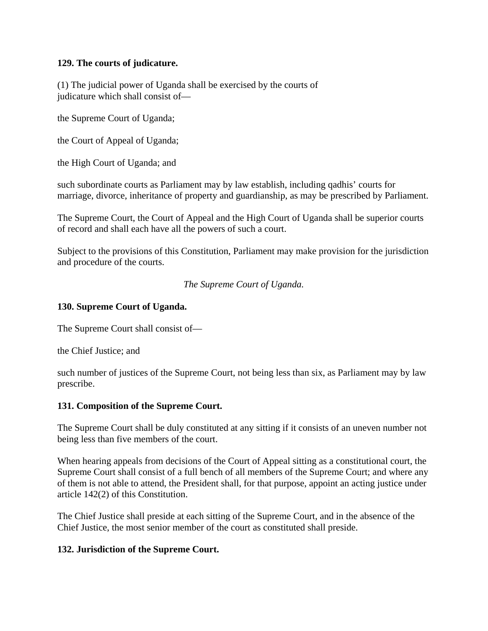## **129. The courts of judicature.**

(1) The judicial power of Uganda shall be exercised by the courts of judicature which shall consist of—

the Supreme Court of Uganda;

the Court of Appeal of Uganda;

the High Court of Uganda; and

such subordinate courts as Parliament may by law establish, including qadhis' courts for marriage, divorce, inheritance of property and guardianship, as may be prescribed by Parliament.

The Supreme Court, the Court of Appeal and the High Court of Uganda shall be superior courts of record and shall each have all the powers of such a court.

Subject to the provisions of this Constitution, Parliament may make provision for the jurisdiction and procedure of the courts.

*The Supreme Court of Uganda.*

## **130. Supreme Court of Uganda.**

The Supreme Court shall consist of—

the Chief Justice; and

such number of justices of the Supreme Court, not being less than six, as Parliament may by law prescribe.

### **131. Composition of the Supreme Court.**

The Supreme Court shall be duly constituted at any sitting if it consists of an uneven number not being less than five members of the court.

When hearing appeals from decisions of the Court of Appeal sitting as a constitutional court, the Supreme Court shall consist of a full bench of all members of the Supreme Court; and where any of them is not able to attend, the President shall, for that purpose, appoint an acting justice under article 142(2) of this Constitution.

The Chief Justice shall preside at each sitting of the Supreme Court, and in the absence of the Chief Justice, the most senior member of the court as constituted shall preside.

### **132. Jurisdiction of the Supreme Court.**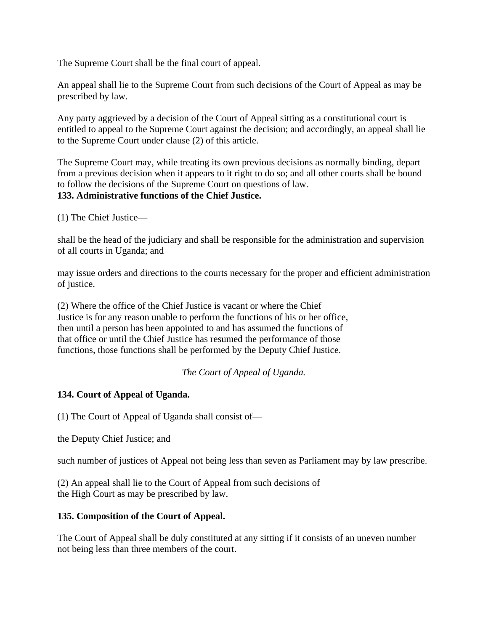The Supreme Court shall be the final court of appeal.

An appeal shall lie to the Supreme Court from such decisions of the Court of Appeal as may be prescribed by law.

Any party aggrieved by a decision of the Court of Appeal sitting as a constitutional court is entitled to appeal to the Supreme Court against the decision; and accordingly, an appeal shall lie to the Supreme Court under clause (2) of this article.

The Supreme Court may, while treating its own previous decisions as normally binding, depart from a previous decision when it appears to it right to do so; and all other courts shall be bound to follow the decisions of the Supreme Court on questions of law. **133. Administrative functions of the Chief Justice.**

(1) The Chief Justice—

shall be the head of the judiciary and shall be responsible for the administration and supervision of all courts in Uganda; and

may issue orders and directions to the courts necessary for the proper and efficient administration of justice.

(2) Where the office of the Chief Justice is vacant or where the Chief Justice is for any reason unable to perform the functions of his or her office, then until a person has been appointed to and has assumed the functions of that office or until the Chief Justice has resumed the performance of those functions, those functions shall be performed by the Deputy Chief Justice.

*The Court of Appeal of Uganda.*

# **134. Court of Appeal of Uganda.**

(1) The Court of Appeal of Uganda shall consist of—

the Deputy Chief Justice; and

such number of justices of Appeal not being less than seven as Parliament may by law prescribe.

(2) An appeal shall lie to the Court of Appeal from such decisions of the High Court as may be prescribed by law.

### **135. Composition of the Court of Appeal.**

The Court of Appeal shall be duly constituted at any sitting if it consists of an uneven number not being less than three members of the court.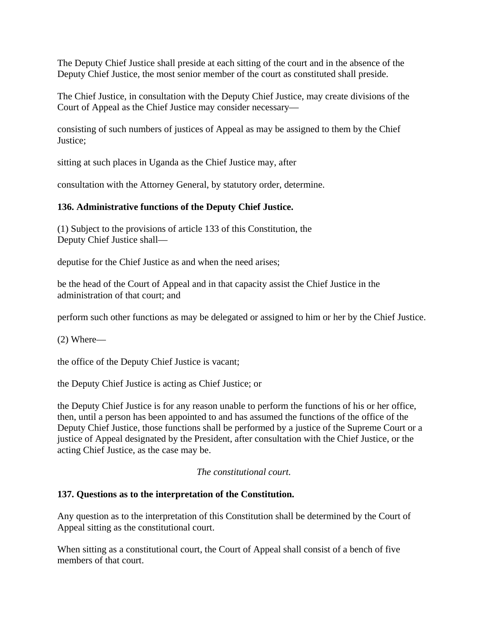The Deputy Chief Justice shall preside at each sitting of the court and in the absence of the Deputy Chief Justice, the most senior member of the court as constituted shall preside.

The Chief Justice, in consultation with the Deputy Chief Justice, may create divisions of the Court of Appeal as the Chief Justice may consider necessary—

consisting of such numbers of justices of Appeal as may be assigned to them by the Chief Justice;

sitting at such places in Uganda as the Chief Justice may, after

consultation with the Attorney General, by statutory order, determine.

## **136. Administrative functions of the Deputy Chief Justice.**

(1) Subject to the provisions of article 133 of this Constitution, the Deputy Chief Justice shall—

deputise for the Chief Justice as and when the need arises;

be the head of the Court of Appeal and in that capacity assist the Chief Justice in the administration of that court; and

perform such other functions as may be delegated or assigned to him or her by the Chief Justice.

(2) Where—

the office of the Deputy Chief Justice is vacant;

the Deputy Chief Justice is acting as Chief Justice; or

the Deputy Chief Justice is for any reason unable to perform the functions of his or her office, then, until a person has been appointed to and has assumed the functions of the office of the Deputy Chief Justice, those functions shall be performed by a justice of the Supreme Court or a justice of Appeal designated by the President, after consultation with the Chief Justice, or the acting Chief Justice, as the case may be.

*The constitutional court.*

### **137. Questions as to the interpretation of the Constitution.**

Any question as to the interpretation of this Constitution shall be determined by the Court of Appeal sitting as the constitutional court.

When sitting as a constitutional court, the Court of Appeal shall consist of a bench of five members of that court.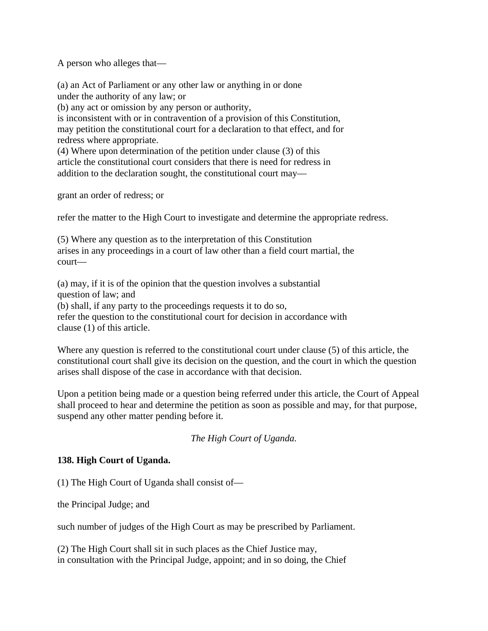A person who alleges that—

(a) an Act of Parliament or any other law or anything in or done under the authority of any law; or (b) any act or omission by any person or authority, is inconsistent with or in contravention of a provision of this Constitution, may petition the constitutional court for a declaration to that effect, and for redress where appropriate. (4) Where upon determination of the petition under clause (3) of this article the constitutional court considers that there is need for redress in addition to the declaration sought, the constitutional court may—

grant an order of redress; or

refer the matter to the High Court to investigate and determine the appropriate redress.

(5) Where any question as to the interpretation of this Constitution arises in any proceedings in a court of law other than a field court martial, the court—

(a) may, if it is of the opinion that the question involves a substantial question of law; and (b) shall, if any party to the proceedings requests it to do so, refer the question to the constitutional court for decision in accordance with clause (1) of this article.

Where any question is referred to the constitutional court under clause (5) of this article, the constitutional court shall give its decision on the question, and the court in which the question arises shall dispose of the case in accordance with that decision.

Upon a petition being made or a question being referred under this article, the Court of Appeal shall proceed to hear and determine the petition as soon as possible and may, for that purpose, suspend any other matter pending before it.

*The High Court of Uganda.*

### **138. High Court of Uganda.**

(1) The High Court of Uganda shall consist of—

the Principal Judge; and

such number of judges of the High Court as may be prescribed by Parliament.

(2) The High Court shall sit in such places as the Chief Justice may, in consultation with the Principal Judge, appoint; and in so doing, the Chief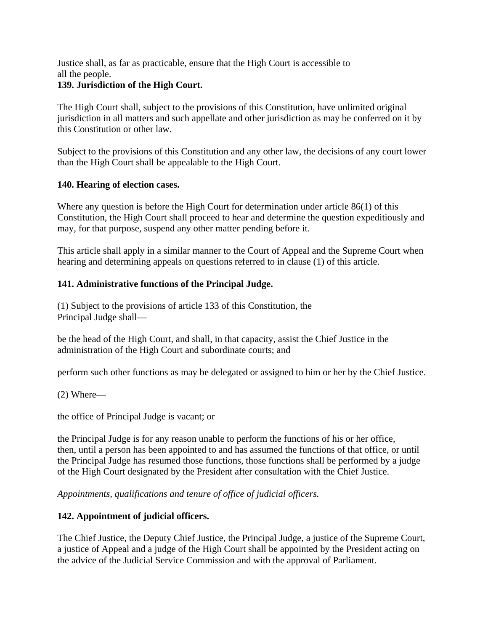Justice shall, as far as practicable, ensure that the High Court is accessible to all the people.

# **139. Jurisdiction of the High Court.**

The High Court shall, subject to the provisions of this Constitution, have unlimited original jurisdiction in all matters and such appellate and other jurisdiction as may be conferred on it by this Constitution or other law.

Subject to the provisions of this Constitution and any other law, the decisions of any court lower than the High Court shall be appealable to the High Court.

## **140. Hearing of election cases.**

Where any question is before the High Court for determination under article 86(1) of this Constitution, the High Court shall proceed to hear and determine the question expeditiously and may, for that purpose, suspend any other matter pending before it.

This article shall apply in a similar manner to the Court of Appeal and the Supreme Court when hearing and determining appeals on questions referred to in clause (1) of this article.

# **141. Administrative functions of the Principal Judge.**

(1) Subject to the provisions of article 133 of this Constitution, the Principal Judge shall—

be the head of the High Court, and shall, in that capacity, assist the Chief Justice in the administration of the High Court and subordinate courts; and

perform such other functions as may be delegated or assigned to him or her by the Chief Justice.

(2) Where—

the office of Principal Judge is vacant; or

the Principal Judge is for any reason unable to perform the functions of his or her office, then, until a person has been appointed to and has assumed the functions of that office, or until the Principal Judge has resumed those functions, those functions shall be performed by a judge of the High Court designated by the President after consultation with the Chief Justice.

*Appointments, qualifications and tenure of office of judicial officers.*

# **142. Appointment of judicial officers.**

The Chief Justice, the Deputy Chief Justice, the Principal Judge, a justice of the Supreme Court, a justice of Appeal and a judge of the High Court shall be appointed by the President acting on the advice of the Judicial Service Commission and with the approval of Parliament.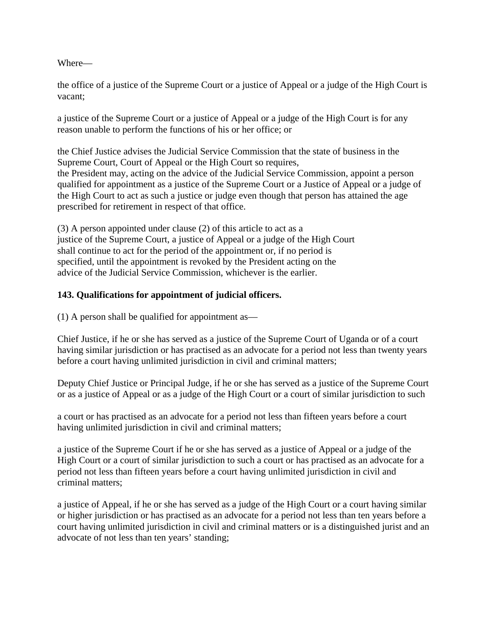Where—

the office of a justice of the Supreme Court or a justice of Appeal or a judge of the High Court is vacant;

a justice of the Supreme Court or a justice of Appeal or a judge of the High Court is for any reason unable to perform the functions of his or her office; or

the Chief Justice advises the Judicial Service Commission that the state of business in the Supreme Court, Court of Appeal or the High Court so requires, the President may, acting on the advice of the Judicial Service Commission, appoint a person qualified for appointment as a justice of the Supreme Court or a Justice of Appeal or a judge of the High Court to act as such a justice or judge even though that person has attained the age prescribed for retirement in respect of that office.

(3) A person appointed under clause (2) of this article to act as a justice of the Supreme Court, a justice of Appeal or a judge of the High Court shall continue to act for the period of the appointment or, if no period is specified, until the appointment is revoked by the President acting on the advice of the Judicial Service Commission, whichever is the earlier.

# **143. Qualifications for appointment of judicial officers.**

(1) A person shall be qualified for appointment as—

Chief Justice, if he or she has served as a justice of the Supreme Court of Uganda or of a court having similar jurisdiction or has practised as an advocate for a period not less than twenty years before a court having unlimited jurisdiction in civil and criminal matters;

Deputy Chief Justice or Principal Judge, if he or she has served as a justice of the Supreme Court or as a justice of Appeal or as a judge of the High Court or a court of similar jurisdiction to such

a court or has practised as an advocate for a period not less than fifteen years before a court having unlimited jurisdiction in civil and criminal matters;

a justice of the Supreme Court if he or she has served as a justice of Appeal or a judge of the High Court or a court of similar jurisdiction to such a court or has practised as an advocate for a period not less than fifteen years before a court having unlimited jurisdiction in civil and criminal matters;

a justice of Appeal, if he or she has served as a judge of the High Court or a court having similar or higher jurisdiction or has practised as an advocate for a period not less than ten years before a court having unlimited jurisdiction in civil and criminal matters or is a distinguished jurist and an advocate of not less than ten years' standing;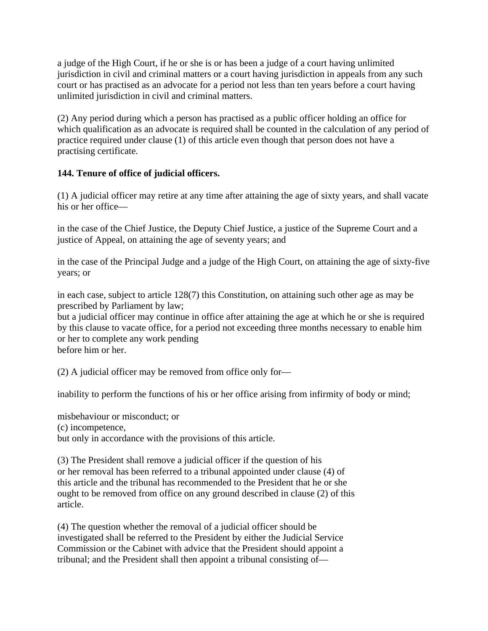a judge of the High Court, if he or she is or has been a judge of a court having unlimited jurisdiction in civil and criminal matters or a court having jurisdiction in appeals from any such court or has practised as an advocate for a period not less than ten years before a court having unlimited jurisdiction in civil and criminal matters.

(2) Any period during which a person has practised as a public officer holding an office for which qualification as an advocate is required shall be counted in the calculation of any period of practice required under clause (1) of this article even though that person does not have a practising certificate.

# **144. Tenure of office of judicial officers.**

(1) A judicial officer may retire at any time after attaining the age of sixty years, and shall vacate his or her office—

in the case of the Chief Justice, the Deputy Chief Justice, a justice of the Supreme Court and a justice of Appeal, on attaining the age of seventy years; and

in the case of the Principal Judge and a judge of the High Court, on attaining the age of sixty-five years; or

in each case, subject to article 128(7) this Constitution, on attaining such other age as may be prescribed by Parliament by law;

but a judicial officer may continue in office after attaining the age at which he or she is required by this clause to vacate office, for a period not exceeding three months necessary to enable him or her to complete any work pending

before him or her.

(2) A judicial officer may be removed from office only for—

inability to perform the functions of his or her office arising from infirmity of body or mind;

misbehaviour or misconduct; or (c) incompetence, but only in accordance with the provisions of this article.

(3) The President shall remove a judicial officer if the question of his or her removal has been referred to a tribunal appointed under clause (4) of this article and the tribunal has recommended to the President that he or she ought to be removed from office on any ground described in clause (2) of this article.

(4) The question whether the removal of a judicial officer should be investigated shall be referred to the President by either the Judicial Service Commission or the Cabinet with advice that the President should appoint a tribunal; and the President shall then appoint a tribunal consisting of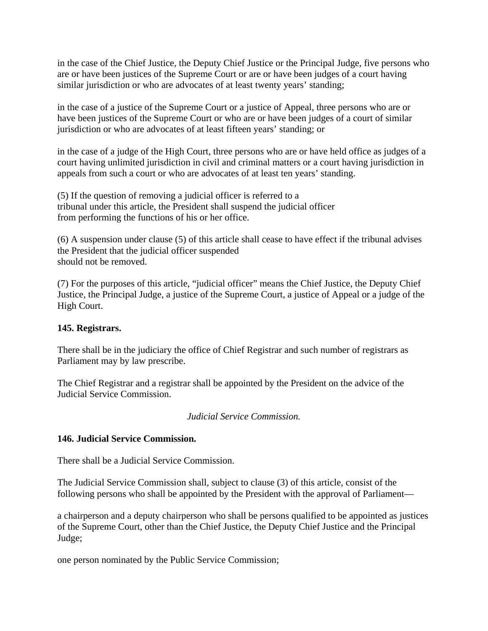in the case of the Chief Justice, the Deputy Chief Justice or the Principal Judge, five persons who are or have been justices of the Supreme Court or are or have been judges of a court having similar jurisdiction or who are advocates of at least twenty years' standing;

in the case of a justice of the Supreme Court or a justice of Appeal, three persons who are or have been justices of the Supreme Court or who are or have been judges of a court of similar jurisdiction or who are advocates of at least fifteen years' standing; or

in the case of a judge of the High Court, three persons who are or have held office as judges of a court having unlimited jurisdiction in civil and criminal matters or a court having jurisdiction in appeals from such a court or who are advocates of at least ten years' standing.

(5) If the question of removing a judicial officer is referred to a tribunal under this article, the President shall suspend the judicial officer from performing the functions of his or her office.

(6) A suspension under clause (5) of this article shall cease to have effect if the tribunal advises the President that the judicial officer suspended should not be removed.

(7) For the purposes of this article, "judicial officer" means the Chief Justice, the Deputy Chief Justice, the Principal Judge, a justice of the Supreme Court, a justice of Appeal or a judge of the High Court.

# **145. Registrars.**

There shall be in the judiciary the office of Chief Registrar and such number of registrars as Parliament may by law prescribe.

The Chief Registrar and a registrar shall be appointed by the President on the advice of the Judicial Service Commission.

### *Judicial Service Commission.*

# **146. Judicial Service Commission.**

There shall be a Judicial Service Commission.

The Judicial Service Commission shall, subject to clause (3) of this article, consist of the following persons who shall be appointed by the President with the approval of Parliament—

a chairperson and a deputy chairperson who shall be persons qualified to be appointed as justices of the Supreme Court, other than the Chief Justice, the Deputy Chief Justice and the Principal Judge;

one person nominated by the Public Service Commission;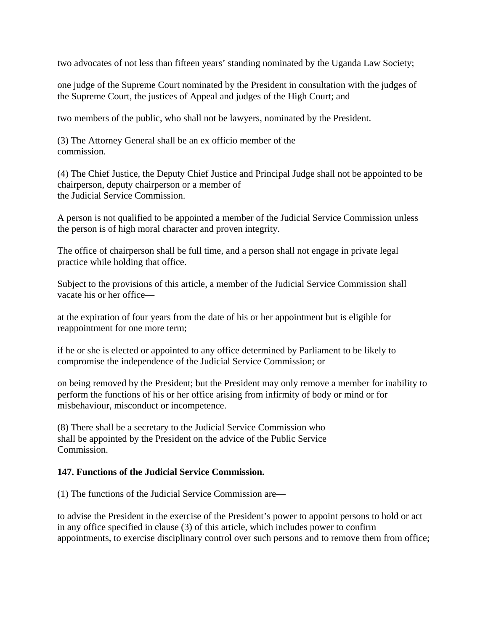two advocates of not less than fifteen years' standing nominated by the Uganda Law Society;

one judge of the Supreme Court nominated by the President in consultation with the judges of the Supreme Court, the justices of Appeal and judges of the High Court; and

two members of the public, who shall not be lawyers, nominated by the President.

(3) The Attorney General shall be an ex officio member of the commission.

(4) The Chief Justice, the Deputy Chief Justice and Principal Judge shall not be appointed to be chairperson, deputy chairperson or a member of the Judicial Service Commission.

A person is not qualified to be appointed a member of the Judicial Service Commission unless the person is of high moral character and proven integrity.

The office of chairperson shall be full time, and a person shall not engage in private legal practice while holding that office.

Subject to the provisions of this article, a member of the Judicial Service Commission shall vacate his or her office—

at the expiration of four years from the date of his or her appointment but is eligible for reappointment for one more term;

if he or she is elected or appointed to any office determined by Parliament to be likely to compromise the independence of the Judicial Service Commission; or

on being removed by the President; but the President may only remove a member for inability to perform the functions of his or her office arising from infirmity of body or mind or for misbehaviour, misconduct or incompetence.

(8) There shall be a secretary to the Judicial Service Commission who shall be appointed by the President on the advice of the Public Service Commission.

### **147. Functions of the Judicial Service Commission.**

(1) The functions of the Judicial Service Commission are—

to advise the President in the exercise of the President's power to appoint persons to hold or act in any office specified in clause (3) of this article, which includes power to confirm appointments, to exercise disciplinary control over such persons and to remove them from office;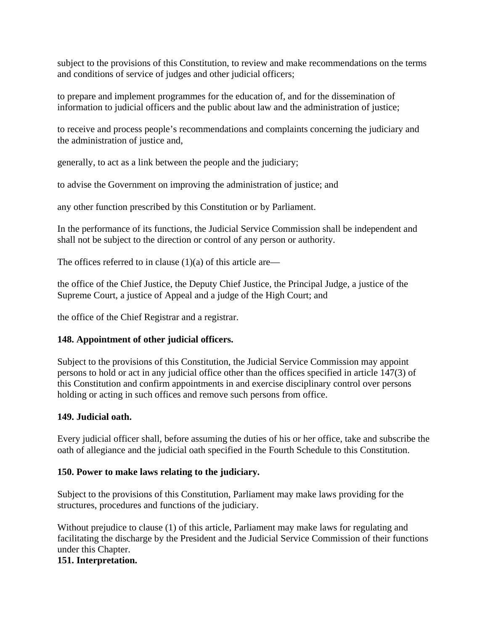subject to the provisions of this Constitution, to review and make recommendations on the terms and conditions of service of judges and other judicial officers;

to prepare and implement programmes for the education of, and for the dissemination of information to judicial officers and the public about law and the administration of justice;

to receive and process people's recommendations and complaints concerning the judiciary and the administration of justice and,

generally, to act as a link between the people and the judiciary;

to advise the Government on improving the administration of justice; and

any other function prescribed by this Constitution or by Parliament.

In the performance of its functions, the Judicial Service Commission shall be independent and shall not be subject to the direction or control of any person or authority.

The offices referred to in clause  $(1)(a)$  of this article are—

the office of the Chief Justice, the Deputy Chief Justice, the Principal Judge, a justice of the Supreme Court, a justice of Appeal and a judge of the High Court; and

the office of the Chief Registrar and a registrar.

# **148. Appointment of other judicial officers.**

Subject to the provisions of this Constitution, the Judicial Service Commission may appoint persons to hold or act in any judicial office other than the offices specified in article 147(3) of this Constitution and confirm appointments in and exercise disciplinary control over persons holding or acting in such offices and remove such persons from office.

# **149. Judicial oath.**

Every judicial officer shall, before assuming the duties of his or her office, take and subscribe the oath of allegiance and the judicial oath specified in the Fourth Schedule to this Constitution.

# **150. Power to make laws relating to the judiciary.**

Subject to the provisions of this Constitution, Parliament may make laws providing for the structures, procedures and functions of the judiciary.

Without prejudice to clause (1) of this article, Parliament may make laws for regulating and facilitating the discharge by the President and the Judicial Service Commission of their functions under this Chapter.

# **151. Interpretation.**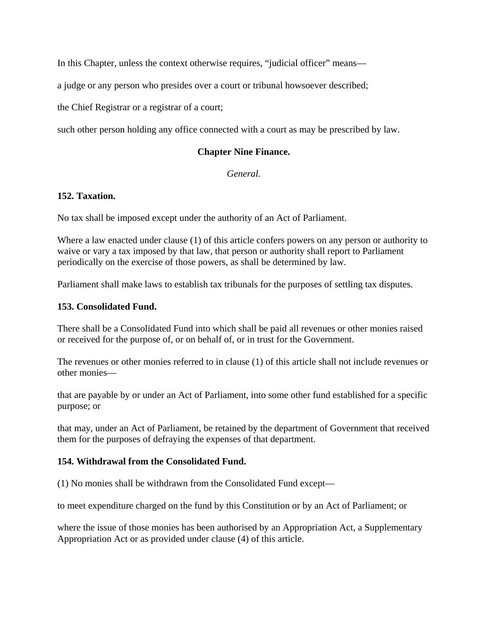In this Chapter, unless the context otherwise requires, "judicial officer" means—

a judge or any person who presides over a court or tribunal howsoever described;

the Chief Registrar or a registrar of a court;

such other person holding any office connected with a court as may be prescribed by law.

## **Chapter Nine Finance.**

*General.*

### **152. Taxation.**

No tax shall be imposed except under the authority of an Act of Parliament.

Where a law enacted under clause (1) of this article confers powers on any person or authority to waive or vary a tax imposed by that law, that person or authority shall report to Parliament periodically on the exercise of those powers, as shall be determined by law.

Parliament shall make laws to establish tax tribunals for the purposes of settling tax disputes.

#### **153. Consolidated Fund.**

There shall be a Consolidated Fund into which shall be paid all revenues or other monies raised or received for the purpose of, or on behalf of, or in trust for the Government.

The revenues or other monies referred to in clause (1) of this article shall not include revenues or other monies—

that are payable by or under an Act of Parliament, into some other fund established for a specific purpose; or

that may, under an Act of Parliament, be retained by the department of Government that received them for the purposes of defraying the expenses of that department.

#### **154. Withdrawal from the Consolidated Fund.**

(1) No monies shall be withdrawn from the Consolidated Fund except—

to meet expenditure charged on the fund by this Constitution or by an Act of Parliament; or

where the issue of those monies has been authorised by an Appropriation Act, a Supplementary Appropriation Act or as provided under clause (4) of this article.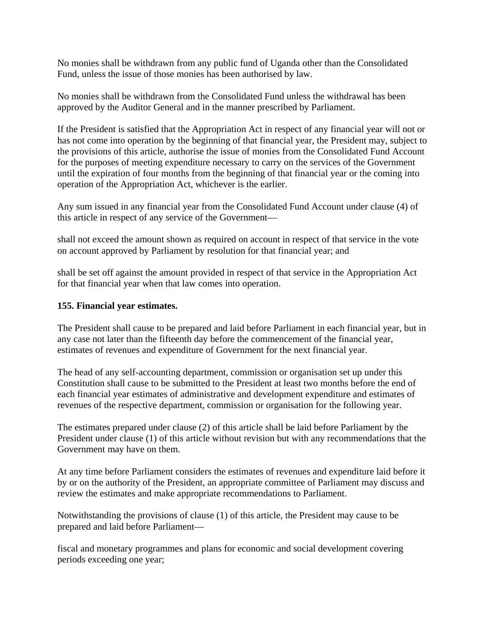No monies shall be withdrawn from any public fund of Uganda other than the Consolidated Fund, unless the issue of those monies has been authorised by law.

No monies shall be withdrawn from the Consolidated Fund unless the withdrawal has been approved by the Auditor General and in the manner prescribed by Parliament.

If the President is satisfied that the Appropriation Act in respect of any financial year will not or has not come into operation by the beginning of that financial year, the President may, subject to the provisions of this article, authorise the issue of monies from the Consolidated Fund Account for the purposes of meeting expenditure necessary to carry on the services of the Government until the expiration of four months from the beginning of that financial year or the coming into operation of the Appropriation Act, whichever is the earlier.

Any sum issued in any financial year from the Consolidated Fund Account under clause (4) of this article in respect of any service of the Government—

shall not exceed the amount shown as required on account in respect of that service in the vote on account approved by Parliament by resolution for that financial year; and

shall be set off against the amount provided in respect of that service in the Appropriation Act for that financial year when that law comes into operation.

## **155. Financial year estimates.**

The President shall cause to be prepared and laid before Parliament in each financial year, but in any case not later than the fifteenth day before the commencement of the financial year, estimates of revenues and expenditure of Government for the next financial year.

The head of any self-accounting department, commission or organisation set up under this Constitution shall cause to be submitted to the President at least two months before the end of each financial year estimates of administrative and development expenditure and estimates of revenues of the respective department, commission or organisation for the following year.

The estimates prepared under clause (2) of this article shall be laid before Parliament by the President under clause (1) of this article without revision but with any recommendations that the Government may have on them.

At any time before Parliament considers the estimates of revenues and expenditure laid before it by or on the authority of the President, an appropriate committee of Parliament may discuss and review the estimates and make appropriate recommendations to Parliament.

Notwithstanding the provisions of clause (1) of this article, the President may cause to be prepared and laid before Parliament—

fiscal and monetary programmes and plans for economic and social development covering periods exceeding one year;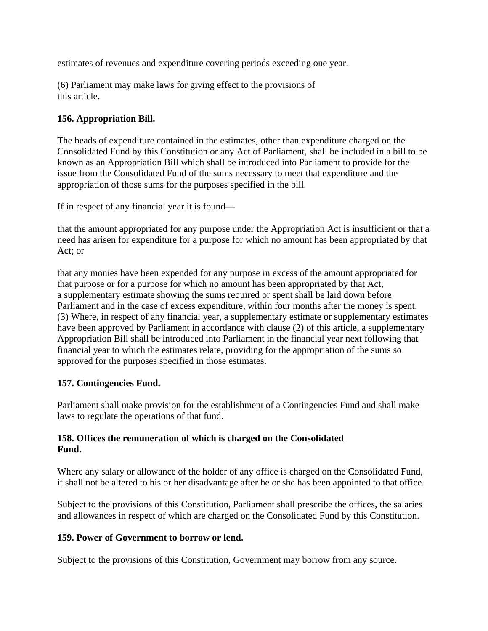estimates of revenues and expenditure covering periods exceeding one year.

(6) Parliament may make laws for giving effect to the provisions of this article.

## **156. Appropriation Bill.**

The heads of expenditure contained in the estimates, other than expenditure charged on the Consolidated Fund by this Constitution or any Act of Parliament, shall be included in a bill to be known as an Appropriation Bill which shall be introduced into Parliament to provide for the issue from the Consolidated Fund of the sums necessary to meet that expenditure and the appropriation of those sums for the purposes specified in the bill.

If in respect of any financial year it is found—

that the amount appropriated for any purpose under the Appropriation Act is insufficient or that a need has arisen for expenditure for a purpose for which no amount has been appropriated by that Act; or

that any monies have been expended for any purpose in excess of the amount appropriated for that purpose or for a purpose for which no amount has been appropriated by that Act, a supplementary estimate showing the sums required or spent shall be laid down before Parliament and in the case of excess expenditure, within four months after the money is spent. (3) Where, in respect of any financial year, a supplementary estimate or supplementary estimates have been approved by Parliament in accordance with clause (2) of this article, a supplementary Appropriation Bill shall be introduced into Parliament in the financial year next following that financial year to which the estimates relate, providing for the appropriation of the sums so approved for the purposes specified in those estimates.

### **157. Contingencies Fund.**

Parliament shall make provision for the establishment of a Contingencies Fund and shall make laws to regulate the operations of that fund.

## **158. Offices the remuneration of which is charged on the Consolidated Fund.**

Where any salary or allowance of the holder of any office is charged on the Consolidated Fund, it shall not be altered to his or her disadvantage after he or she has been appointed to that office.

Subject to the provisions of this Constitution, Parliament shall prescribe the offices, the salaries and allowances in respect of which are charged on the Consolidated Fund by this Constitution.

# **159. Power of Government to borrow or lend.**

Subject to the provisions of this Constitution, Government may borrow from any source.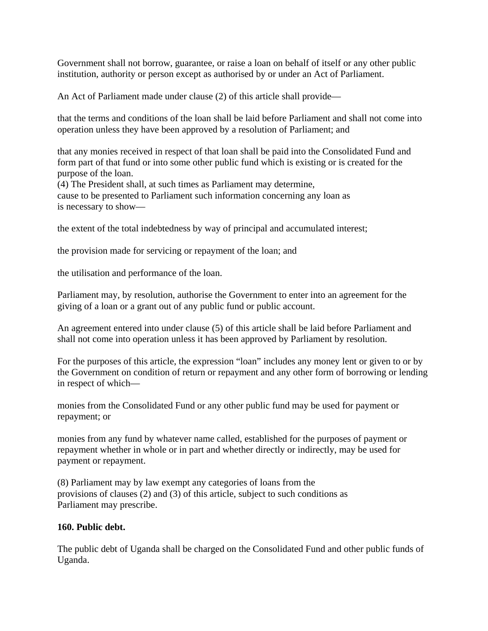Government shall not borrow, guarantee, or raise a loan on behalf of itself or any other public institution, authority or person except as authorised by or under an Act of Parliament.

An Act of Parliament made under clause (2) of this article shall provide—

that the terms and conditions of the loan shall be laid before Parliament and shall not come into operation unless they have been approved by a resolution of Parliament; and

that any monies received in respect of that loan shall be paid into the Consolidated Fund and form part of that fund or into some other public fund which is existing or is created for the purpose of the loan.

(4) The President shall, at such times as Parliament may determine, cause to be presented to Parliament such information concerning any loan as is necessary to show—

the extent of the total indebtedness by way of principal and accumulated interest;

the provision made for servicing or repayment of the loan; and

the utilisation and performance of the loan.

Parliament may, by resolution, authorise the Government to enter into an agreement for the giving of a loan or a grant out of any public fund or public account.

An agreement entered into under clause (5) of this article shall be laid before Parliament and shall not come into operation unless it has been approved by Parliament by resolution.

For the purposes of this article, the expression "loan" includes any money lent or given to or by the Government on condition of return or repayment and any other form of borrowing or lending in respect of which—

monies from the Consolidated Fund or any other public fund may be used for payment or repayment; or

monies from any fund by whatever name called, established for the purposes of payment or repayment whether in whole or in part and whether directly or indirectly, may be used for payment or repayment.

(8) Parliament may by law exempt any categories of loans from the provisions of clauses (2) and (3) of this article, subject to such conditions as Parliament may prescribe.

### **160. Public debt.**

The public debt of Uganda shall be charged on the Consolidated Fund and other public funds of Uganda.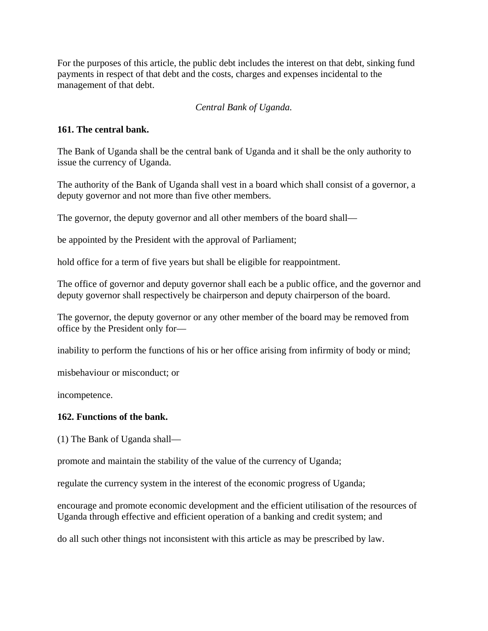For the purposes of this article, the public debt includes the interest on that debt, sinking fund payments in respect of that debt and the costs, charges and expenses incidental to the management of that debt.

## *Central Bank of Uganda.*

### **161. The central bank.**

The Bank of Uganda shall be the central bank of Uganda and it shall be the only authority to issue the currency of Uganda.

The authority of the Bank of Uganda shall vest in a board which shall consist of a governor, a deputy governor and not more than five other members.

The governor, the deputy governor and all other members of the board shall—

be appointed by the President with the approval of Parliament;

hold office for a term of five years but shall be eligible for reappointment.

The office of governor and deputy governor shall each be a public office, and the governor and deputy governor shall respectively be chairperson and deputy chairperson of the board.

The governor, the deputy governor or any other member of the board may be removed from office by the President only for—

inability to perform the functions of his or her office arising from infirmity of body or mind;

misbehaviour or misconduct; or

incompetence.

# **162. Functions of the bank.**

(1) The Bank of Uganda shall—

promote and maintain the stability of the value of the currency of Uganda;

regulate the currency system in the interest of the economic progress of Uganda;

encourage and promote economic development and the efficient utilisation of the resources of Uganda through effective and efficient operation of a banking and credit system; and

do all such other things not inconsistent with this article as may be prescribed by law.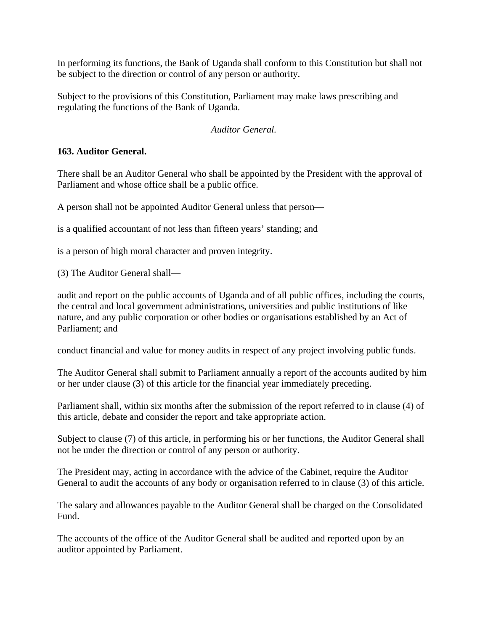In performing its functions, the Bank of Uganda shall conform to this Constitution but shall not be subject to the direction or control of any person or authority.

Subject to the provisions of this Constitution, Parliament may make laws prescribing and regulating the functions of the Bank of Uganda.

*Auditor General.*

# **163. Auditor General.**

There shall be an Auditor General who shall be appointed by the President with the approval of Parliament and whose office shall be a public office.

A person shall not be appointed Auditor General unless that person—

is a qualified accountant of not less than fifteen years' standing; and

is a person of high moral character and proven integrity.

(3) The Auditor General shall—

audit and report on the public accounts of Uganda and of all public offices, including the courts, the central and local government administrations, universities and public institutions of like nature, and any public corporation or other bodies or organisations established by an Act of Parliament; and

conduct financial and value for money audits in respect of any project involving public funds.

The Auditor General shall submit to Parliament annually a report of the accounts audited by him or her under clause (3) of this article for the financial year immediately preceding.

Parliament shall, within six months after the submission of the report referred to in clause (4) of this article, debate and consider the report and take appropriate action.

Subject to clause (7) of this article, in performing his or her functions, the Auditor General shall not be under the direction or control of any person or authority.

The President may, acting in accordance with the advice of the Cabinet, require the Auditor General to audit the accounts of any body or organisation referred to in clause (3) of this article.

The salary and allowances payable to the Auditor General shall be charged on the Consolidated Fund.

The accounts of the office of the Auditor General shall be audited and reported upon by an auditor appointed by Parliament.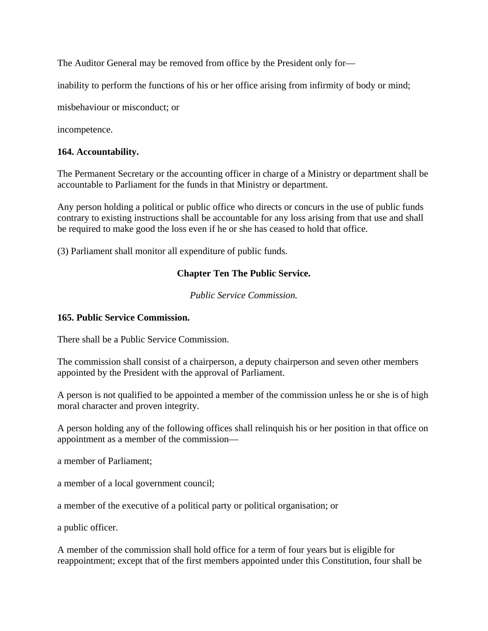The Auditor General may be removed from office by the President only for—

inability to perform the functions of his or her office arising from infirmity of body or mind;

misbehaviour or misconduct; or

incompetence.

## **164. Accountability.**

The Permanent Secretary or the accounting officer in charge of a Ministry or department shall be accountable to Parliament for the funds in that Ministry or department.

Any person holding a political or public office who directs or concurs in the use of public funds contrary to existing instructions shall be accountable for any loss arising from that use and shall be required to make good the loss even if he or she has ceased to hold that office.

(3) Parliament shall monitor all expenditure of public funds.

# **Chapter Ten The Public Service.**

*Public Service Commission.*

### **165. Public Service Commission.**

There shall be a Public Service Commission.

The commission shall consist of a chairperson, a deputy chairperson and seven other members appointed by the President with the approval of Parliament.

A person is not qualified to be appointed a member of the commission unless he or she is of high moral character and proven integrity.

A person holding any of the following offices shall relinquish his or her position in that office on appointment as a member of the commission—

a member of Parliament;

a member of a local government council;

a member of the executive of a political party or political organisation; or

a public officer.

A member of the commission shall hold office for a term of four years but is eligible for reappointment; except that of the first members appointed under this Constitution, four shall be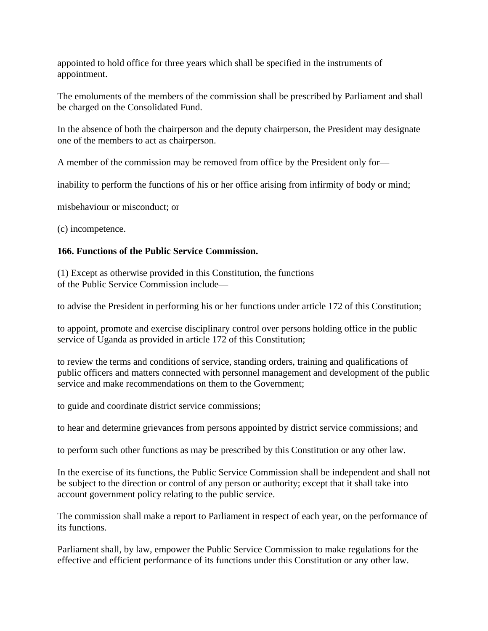appointed to hold office for three years which shall be specified in the instruments of appointment.

The emoluments of the members of the commission shall be prescribed by Parliament and shall be charged on the Consolidated Fund.

In the absence of both the chairperson and the deputy chairperson, the President may designate one of the members to act as chairperson.

A member of the commission may be removed from office by the President only for—

inability to perform the functions of his or her office arising from infirmity of body or mind;

misbehaviour or misconduct; or

(c) incompetence.

# **166. Functions of the Public Service Commission.**

(1) Except as otherwise provided in this Constitution, the functions of the Public Service Commission include—

to advise the President in performing his or her functions under article 172 of this Constitution;

to appoint, promote and exercise disciplinary control over persons holding office in the public service of Uganda as provided in article 172 of this Constitution;

to review the terms and conditions of service, standing orders, training and qualifications of public officers and matters connected with personnel management and development of the public service and make recommendations on them to the Government;

to guide and coordinate district service commissions;

to hear and determine grievances from persons appointed by district service commissions; and

to perform such other functions as may be prescribed by this Constitution or any other law.

In the exercise of its functions, the Public Service Commission shall be independent and shall not be subject to the direction or control of any person or authority; except that it shall take into account government policy relating to the public service.

The commission shall make a report to Parliament in respect of each year, on the performance of its functions.

Parliament shall, by law, empower the Public Service Commission to make regulations for the effective and efficient performance of its functions under this Constitution or any other law.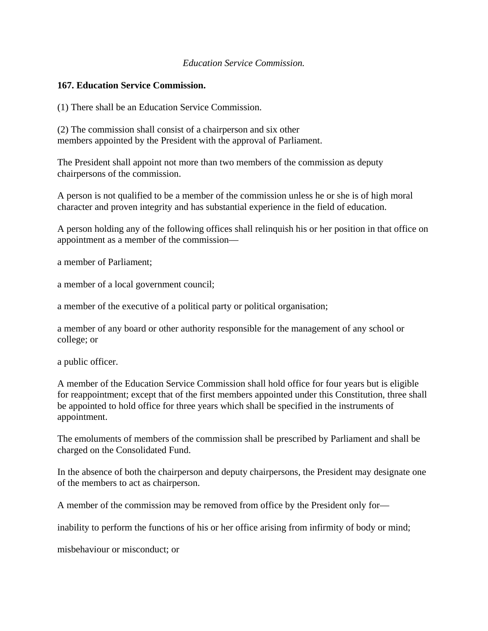### *Education Service Commission.*

### **167. Education Service Commission.**

(1) There shall be an Education Service Commission.

(2) The commission shall consist of a chairperson and six other members appointed by the President with the approval of Parliament.

The President shall appoint not more than two members of the commission as deputy chairpersons of the commission.

A person is not qualified to be a member of the commission unless he or she is of high moral character and proven integrity and has substantial experience in the field of education.

A person holding any of the following offices shall relinquish his or her position in that office on appointment as a member of the commission—

a member of Parliament;

a member of a local government council;

a member of the executive of a political party or political organisation;

a member of any board or other authority responsible for the management of any school or college; or

a public officer.

A member of the Education Service Commission shall hold office for four years but is eligible for reappointment; except that of the first members appointed under this Constitution, three shall be appointed to hold office for three years which shall be specified in the instruments of appointment.

The emoluments of members of the commission shall be prescribed by Parliament and shall be charged on the Consolidated Fund.

In the absence of both the chairperson and deputy chairpersons, the President may designate one of the members to act as chairperson.

A member of the commission may be removed from office by the President only for—

inability to perform the functions of his or her office arising from infirmity of body or mind;

misbehaviour or misconduct; or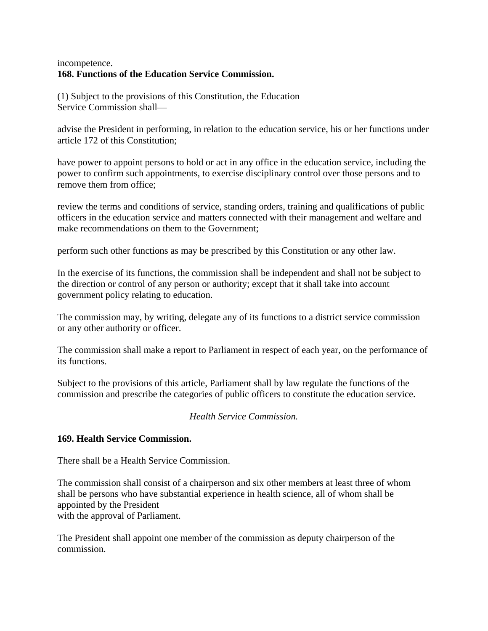### incompetence. **168. Functions of the Education Service Commission.**

(1) Subject to the provisions of this Constitution, the Education Service Commission shall—

advise the President in performing, in relation to the education service, his or her functions under article 172 of this Constitution;

have power to appoint persons to hold or act in any office in the education service, including the power to confirm such appointments, to exercise disciplinary control over those persons and to remove them from office;

review the terms and conditions of service, standing orders, training and qualifications of public officers in the education service and matters connected with their management and welfare and make recommendations on them to the Government;

perform such other functions as may be prescribed by this Constitution or any other law.

In the exercise of its functions, the commission shall be independent and shall not be subject to the direction or control of any person or authority; except that it shall take into account government policy relating to education.

The commission may, by writing, delegate any of its functions to a district service commission or any other authority or officer.

The commission shall make a report to Parliament in respect of each year, on the performance of its functions.

Subject to the provisions of this article, Parliament shall by law regulate the functions of the commission and prescribe the categories of public officers to constitute the education service.

# *Health Service Commission.*

# **169. Health Service Commission.**

There shall be a Health Service Commission.

The commission shall consist of a chairperson and six other members at least three of whom shall be persons who have substantial experience in health science, all of whom shall be appointed by the President with the approval of Parliament.

The President shall appoint one member of the commission as deputy chairperson of the commission.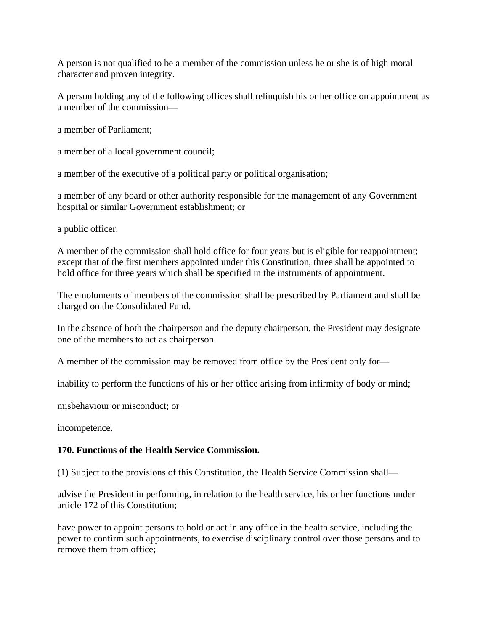A person is not qualified to be a member of the commission unless he or she is of high moral character and proven integrity.

A person holding any of the following offices shall relinquish his or her office on appointment as a member of the commission—

a member of Parliament;

a member of a local government council;

a member of the executive of a political party or political organisation;

a member of any board or other authority responsible for the management of any Government hospital or similar Government establishment; or

a public officer.

A member of the commission shall hold office for four years but is eligible for reappointment; except that of the first members appointed under this Constitution, three shall be appointed to hold office for three years which shall be specified in the instruments of appointment.

The emoluments of members of the commission shall be prescribed by Parliament and shall be charged on the Consolidated Fund.

In the absence of both the chairperson and the deputy chairperson, the President may designate one of the members to act as chairperson.

A member of the commission may be removed from office by the President only for—

inability to perform the functions of his or her office arising from infirmity of body or mind;

misbehaviour or misconduct; or

incompetence.

### **170. Functions of the Health Service Commission.**

(1) Subject to the provisions of this Constitution, the Health Service Commission shall—

advise the President in performing, in relation to the health service, his or her functions under article 172 of this Constitution;

have power to appoint persons to hold or act in any office in the health service, including the power to confirm such appointments, to exercise disciplinary control over those persons and to remove them from office;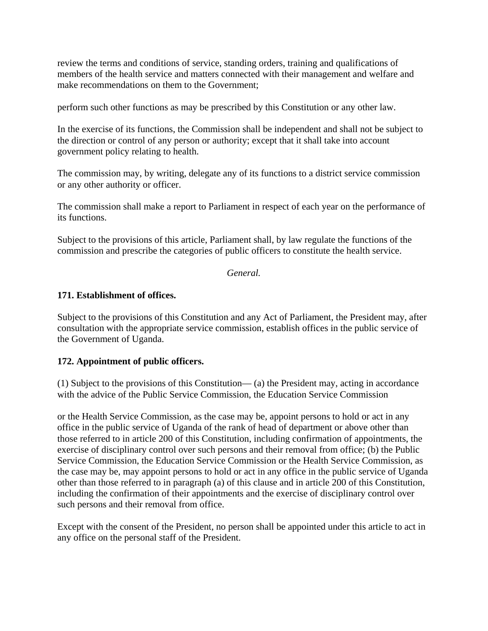review the terms and conditions of service, standing orders, training and qualifications of members of the health service and matters connected with their management and welfare and make recommendations on them to the Government;

perform such other functions as may be prescribed by this Constitution or any other law.

In the exercise of its functions, the Commission shall be independent and shall not be subject to the direction or control of any person or authority; except that it shall take into account government policy relating to health.

The commission may, by writing, delegate any of its functions to a district service commission or any other authority or officer.

The commission shall make a report to Parliament in respect of each year on the performance of its functions.

Subject to the provisions of this article, Parliament shall, by law regulate the functions of the commission and prescribe the categories of public officers to constitute the health service.

*General.*

# **171. Establishment of offices.**

Subject to the provisions of this Constitution and any Act of Parliament, the President may, after consultation with the appropriate service commission, establish offices in the public service of the Government of Uganda.

# **172. Appointment of public officers.**

(1) Subject to the provisions of this Constitution— (a) the President may, acting in accordance with the advice of the Public Service Commission, the Education Service Commission

or the Health Service Commission, as the case may be, appoint persons to hold or act in any office in the public service of Uganda of the rank of head of department or above other than those referred to in article 200 of this Constitution, including confirmation of appointments, the exercise of disciplinary control over such persons and their removal from office; (b) the Public Service Commission, the Education Service Commission or the Health Service Commission, as the case may be, may appoint persons to hold or act in any office in the public service of Uganda other than those referred to in paragraph (a) of this clause and in article 200 of this Constitution, including the confirmation of their appointments and the exercise of disciplinary control over such persons and their removal from office.

Except with the consent of the President, no person shall be appointed under this article to act in any office on the personal staff of the President.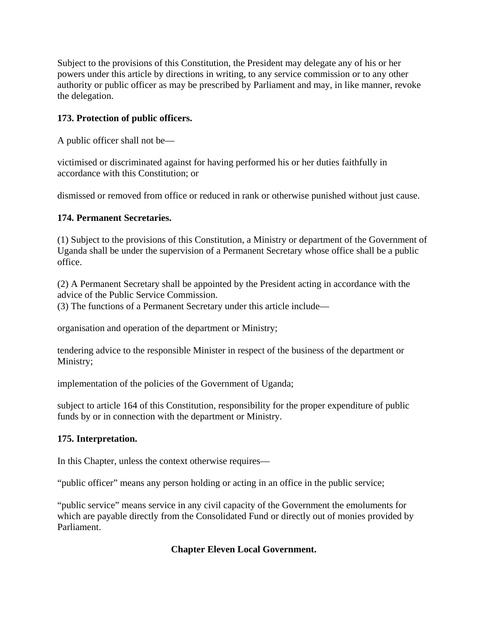Subject to the provisions of this Constitution, the President may delegate any of his or her powers under this article by directions in writing, to any service commission or to any other authority or public officer as may be prescribed by Parliament and may, in like manner, revoke the delegation.

# **173. Protection of public officers.**

A public officer shall not be—

victimised or discriminated against for having performed his or her duties faithfully in accordance with this Constitution; or

dismissed or removed from office or reduced in rank or otherwise punished without just cause.

# **174. Permanent Secretaries.**

(1) Subject to the provisions of this Constitution, a Ministry or department of the Government of Uganda shall be under the supervision of a Permanent Secretary whose office shall be a public office.

(2) A Permanent Secretary shall be appointed by the President acting in accordance with the advice of the Public Service Commission.

(3) The functions of a Permanent Secretary under this article include—

organisation and operation of the department or Ministry;

tendering advice to the responsible Minister in respect of the business of the department or Ministry;

implementation of the policies of the Government of Uganda;

subject to article 164 of this Constitution, responsibility for the proper expenditure of public funds by or in connection with the department or Ministry.

# **175. Interpretation.**

In this Chapter, unless the context otherwise requires—

"public officer" means any person holding or acting in an office in the public service;

"public service" means service in any civil capacity of the Government the emoluments for which are payable directly from the Consolidated Fund or directly out of monies provided by Parliament.

# **Chapter Eleven Local Government.**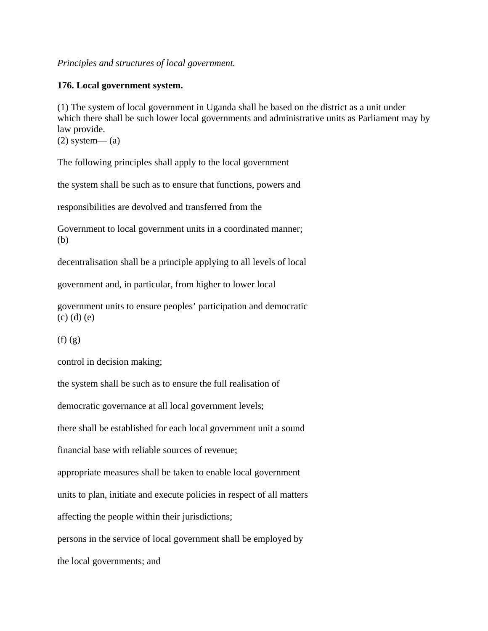#### *Principles and structures of local government.*

### **176. Local government system.**

(1) The system of local government in Uganda shall be based on the district as a unit under which there shall be such lower local governments and administrative units as Parliament may by law provide.  $(2)$  system— $(a)$ 

The following principles shall apply to the local government

the system shall be such as to ensure that functions, powers and

responsibilities are devolved and transferred from the

Government to local government units in a coordinated manner; (b)

decentralisation shall be a principle applying to all levels of local

government and, in particular, from higher to lower local

government units to ensure peoples' participation and democratic (c) (d) (e)

(f) (g)

control in decision making;

the system shall be such as to ensure the full realisation of

democratic governance at all local government levels;

there shall be established for each local government unit a sound

financial base with reliable sources of revenue;

appropriate measures shall be taken to enable local government

units to plan, initiate and execute policies in respect of all matters

affecting the people within their jurisdictions;

persons in the service of local government shall be employed by

the local governments; and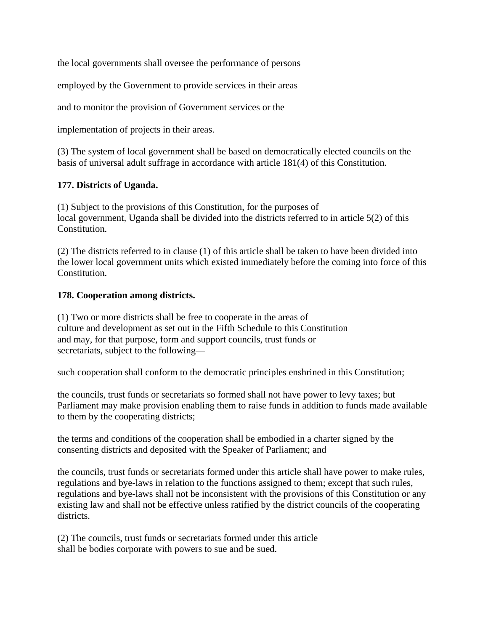the local governments shall oversee the performance of persons

employed by the Government to provide services in their areas

and to monitor the provision of Government services or the

implementation of projects in their areas.

(3) The system of local government shall be based on democratically elected councils on the basis of universal adult suffrage in accordance with article 181(4) of this Constitution.

## **177. Districts of Uganda.**

(1) Subject to the provisions of this Constitution, for the purposes of local government, Uganda shall be divided into the districts referred to in article 5(2) of this Constitution.

(2) The districts referred to in clause (1) of this article shall be taken to have been divided into the lower local government units which existed immediately before the coming into force of this Constitution.

## **178. Cooperation among districts.**

(1) Two or more districts shall be free to cooperate in the areas of culture and development as set out in the Fifth Schedule to this Constitution and may, for that purpose, form and support councils, trust funds or secretariats, subject to the following—

such cooperation shall conform to the democratic principles enshrined in this Constitution;

the councils, trust funds or secretariats so formed shall not have power to levy taxes; but Parliament may make provision enabling them to raise funds in addition to funds made available to them by the cooperating districts;

the terms and conditions of the cooperation shall be embodied in a charter signed by the consenting districts and deposited with the Speaker of Parliament; and

the councils, trust funds or secretariats formed under this article shall have power to make rules, regulations and bye-laws in relation to the functions assigned to them; except that such rules, regulations and bye-laws shall not be inconsistent with the provisions of this Constitution or any existing law and shall not be effective unless ratified by the district councils of the cooperating districts.

(2) The councils, trust funds or secretariats formed under this article shall be bodies corporate with powers to sue and be sued.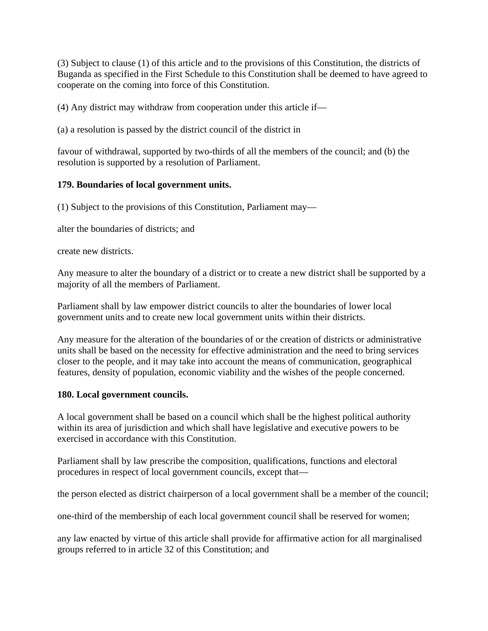(3) Subject to clause (1) of this article and to the provisions of this Constitution, the districts of Buganda as specified in the First Schedule to this Constitution shall be deemed to have agreed to cooperate on the coming into force of this Constitution.

(4) Any district may withdraw from cooperation under this article if—

(a) a resolution is passed by the district council of the district in

favour of withdrawal, supported by two-thirds of all the members of the council; and (b) the resolution is supported by a resolution of Parliament.

## **179. Boundaries of local government units.**

(1) Subject to the provisions of this Constitution, Parliament may—

alter the boundaries of districts; and

create new districts.

Any measure to alter the boundary of a district or to create a new district shall be supported by a majority of all the members of Parliament.

Parliament shall by law empower district councils to alter the boundaries of lower local government units and to create new local government units within their districts.

Any measure for the alteration of the boundaries of or the creation of districts or administrative units shall be based on the necessity for effective administration and the need to bring services closer to the people, and it may take into account the means of communication, geographical features, density of population, economic viability and the wishes of the people concerned.

### **180. Local government councils.**

A local government shall be based on a council which shall be the highest political authority within its area of jurisdiction and which shall have legislative and executive powers to be exercised in accordance with this Constitution.

Parliament shall by law prescribe the composition, qualifications, functions and electoral procedures in respect of local government councils, except that—

the person elected as district chairperson of a local government shall be a member of the council;

one-third of the membership of each local government council shall be reserved for women;

any law enacted by virtue of this article shall provide for affirmative action for all marginalised groups referred to in article 32 of this Constitution; and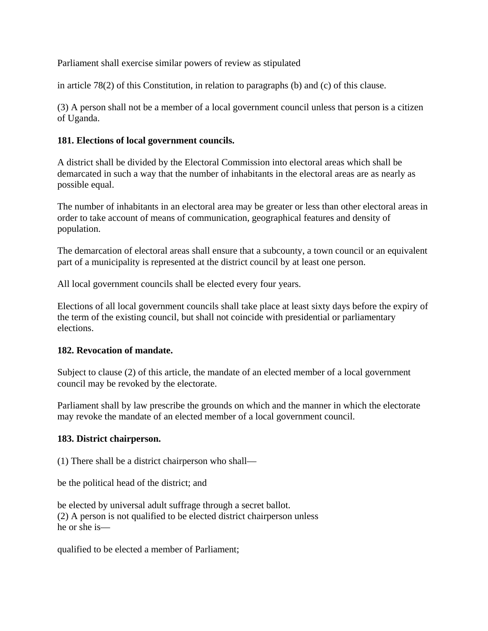Parliament shall exercise similar powers of review as stipulated

in article 78(2) of this Constitution, in relation to paragraphs (b) and (c) of this clause.

(3) A person shall not be a member of a local government council unless that person is a citizen of Uganda.

### **181. Elections of local government councils.**

A district shall be divided by the Electoral Commission into electoral areas which shall be demarcated in such a way that the number of inhabitants in the electoral areas are as nearly as possible equal.

The number of inhabitants in an electoral area may be greater or less than other electoral areas in order to take account of means of communication, geographical features and density of population.

The demarcation of electoral areas shall ensure that a subcounty, a town council or an equivalent part of a municipality is represented at the district council by at least one person.

All local government councils shall be elected every four years.

Elections of all local government councils shall take place at least sixty days before the expiry of the term of the existing council, but shall not coincide with presidential or parliamentary elections.

### **182. Revocation of mandate.**

Subject to clause (2) of this article, the mandate of an elected member of a local government council may be revoked by the electorate.

Parliament shall by law prescribe the grounds on which and the manner in which the electorate may revoke the mandate of an elected member of a local government council.

### **183. District chairperson.**

(1) There shall be a district chairperson who shall—

be the political head of the district; and

be elected by universal adult suffrage through a secret ballot. (2) A person is not qualified to be elected district chairperson unless he or she is—

qualified to be elected a member of Parliament;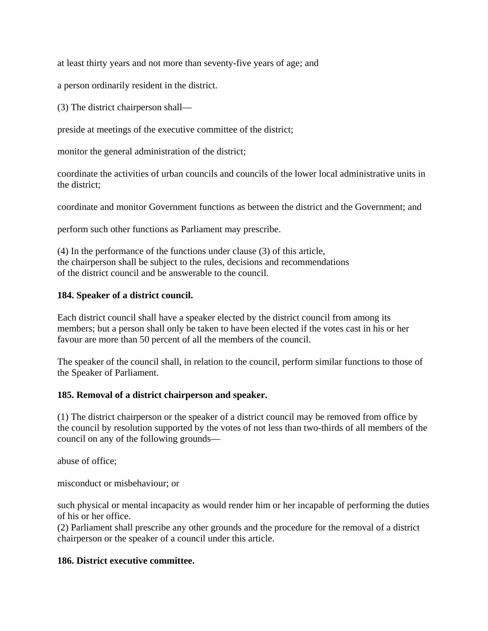at least thirty years and not more than seventy-five years of age; and

a person ordinarily resident in the district.

(3) The district chairperson shall—

preside at meetings of the executive committee of the district;

monitor the general administration of the district;

coordinate the activities of urban councils and councils of the lower local administrative units in the district;

coordinate and monitor Government functions as between the district and the Government; and

perform such other functions as Parliament may prescribe.

(4) In the performance of the functions under clause (3) of this article, the chairperson shall be subject to the rules, decisions and recommendations of the district council and be answerable to the council.

### **184. Speaker of a district council.**

Each district council shall have a speaker elected by the district council from among its members; but a person shall only be taken to have been elected if the votes cast in his or her favour are more than 50 percent of all the members of the council.

The speaker of the council shall, in relation to the council, perform similar functions to those of the Speaker of Parliament.

### **185. Removal of a district chairperson and speaker.**

(1) The district chairperson or the speaker of a district council may be removed from office by the council by resolution supported by the votes of not less than two-thirds of all members of the council on any of the following grounds—

abuse of office;

misconduct or misbehaviour; or

such physical or mental incapacity as would render him or her incapable of performing the duties of his or her office.

(2) Parliament shall prescribe any other grounds and the procedure for the removal of a district chairperson or the speaker of a council under this article.

### **186. District executive committee.**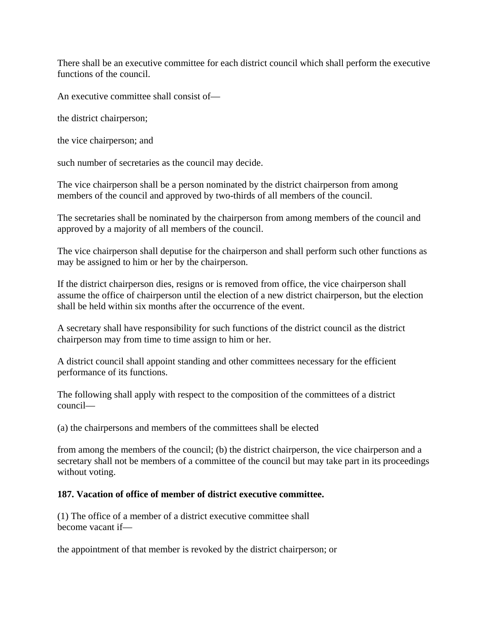There shall be an executive committee for each district council which shall perform the executive functions of the council.

An executive committee shall consist of—

the district chairperson;

the vice chairperson; and

such number of secretaries as the council may decide.

The vice chairperson shall be a person nominated by the district chairperson from among members of the council and approved by two-thirds of all members of the council.

The secretaries shall be nominated by the chairperson from among members of the council and approved by a majority of all members of the council.

The vice chairperson shall deputise for the chairperson and shall perform such other functions as may be assigned to him or her by the chairperson.

If the district chairperson dies, resigns or is removed from office, the vice chairperson shall assume the office of chairperson until the election of a new district chairperson, but the election shall be held within six months after the occurrence of the event.

A secretary shall have responsibility for such functions of the district council as the district chairperson may from time to time assign to him or her.

A district council shall appoint standing and other committees necessary for the efficient performance of its functions.

The following shall apply with respect to the composition of the committees of a district council—

(a) the chairpersons and members of the committees shall be elected

from among the members of the council; (b) the district chairperson, the vice chairperson and a secretary shall not be members of a committee of the council but may take part in its proceedings without voting.

# **187. Vacation of office of member of district executive committee.**

(1) The office of a member of a district executive committee shall become vacant if—

the appointment of that member is revoked by the district chairperson; or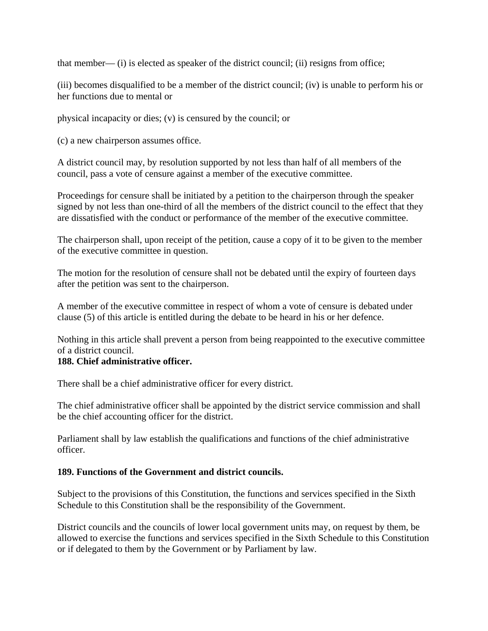that member— (i) is elected as speaker of the district council; (ii) resigns from office;

(iii) becomes disqualified to be a member of the district council; (iv) is unable to perform his or her functions due to mental or

physical incapacity or dies; (v) is censured by the council; or

(c) a new chairperson assumes office.

A district council may, by resolution supported by not less than half of all members of the council, pass a vote of censure against a member of the executive committee.

Proceedings for censure shall be initiated by a petition to the chairperson through the speaker signed by not less than one-third of all the members of the district council to the effect that they are dissatisfied with the conduct or performance of the member of the executive committee.

The chairperson shall, upon receipt of the petition, cause a copy of it to be given to the member of the executive committee in question.

The motion for the resolution of censure shall not be debated until the expiry of fourteen days after the petition was sent to the chairperson.

A member of the executive committee in respect of whom a vote of censure is debated under clause (5) of this article is entitled during the debate to be heard in his or her defence.

Nothing in this article shall prevent a person from being reappointed to the executive committee of a district council.

# **188. Chief administrative officer.**

There shall be a chief administrative officer for every district.

The chief administrative officer shall be appointed by the district service commission and shall be the chief accounting officer for the district.

Parliament shall by law establish the qualifications and functions of the chief administrative officer.

## **189. Functions of the Government and district councils.**

Subject to the provisions of this Constitution, the functions and services specified in the Sixth Schedule to this Constitution shall be the responsibility of the Government.

District councils and the councils of lower local government units may, on request by them, be allowed to exercise the functions and services specified in the Sixth Schedule to this Constitution or if delegated to them by the Government or by Parliament by law.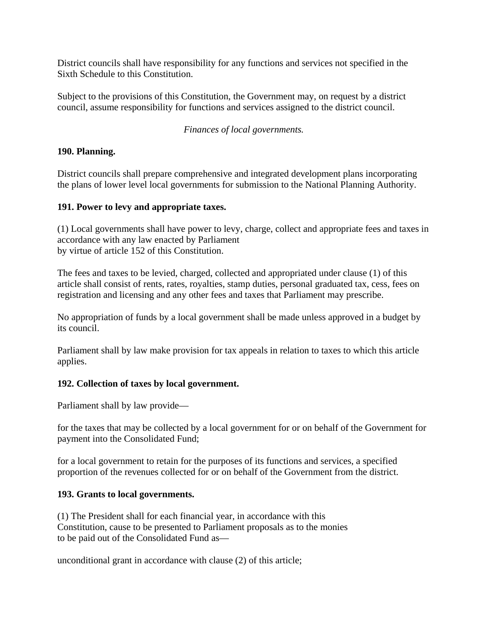District councils shall have responsibility for any functions and services not specified in the Sixth Schedule to this Constitution.

Subject to the provisions of this Constitution, the Government may, on request by a district council, assume responsibility for functions and services assigned to the district council.

*Finances of local governments.*

## **190. Planning.**

District councils shall prepare comprehensive and integrated development plans incorporating the plans of lower level local governments for submission to the National Planning Authority.

## **191. Power to levy and appropriate taxes.**

(1) Local governments shall have power to levy, charge, collect and appropriate fees and taxes in accordance with any law enacted by Parliament by virtue of article 152 of this Constitution.

The fees and taxes to be levied, charged, collected and appropriated under clause (1) of this article shall consist of rents, rates, royalties, stamp duties, personal graduated tax, cess, fees on registration and licensing and any other fees and taxes that Parliament may prescribe.

No appropriation of funds by a local government shall be made unless approved in a budget by its council.

Parliament shall by law make provision for tax appeals in relation to taxes to which this article applies.

# **192. Collection of taxes by local government.**

Parliament shall by law provide—

for the taxes that may be collected by a local government for or on behalf of the Government for payment into the Consolidated Fund;

for a local government to retain for the purposes of its functions and services, a specified proportion of the revenues collected for or on behalf of the Government from the district.

## **193. Grants to local governments.**

(1) The President shall for each financial year, in accordance with this Constitution, cause to be presented to Parliament proposals as to the monies to be paid out of the Consolidated Fund as—

unconditional grant in accordance with clause (2) of this article;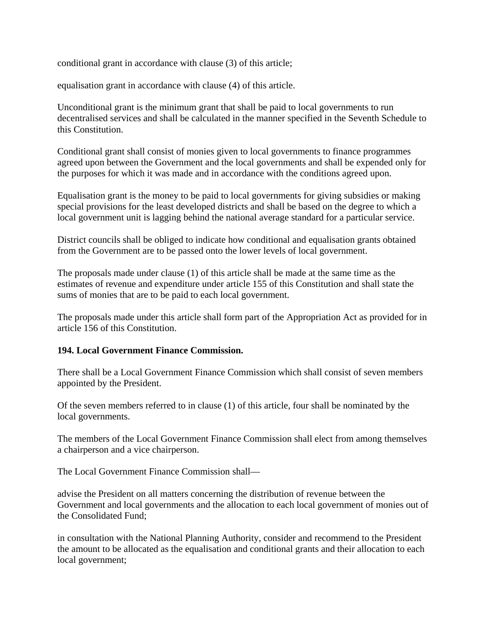conditional grant in accordance with clause (3) of this article;

equalisation grant in accordance with clause (4) of this article.

Unconditional grant is the minimum grant that shall be paid to local governments to run decentralised services and shall be calculated in the manner specified in the Seventh Schedule to this Constitution.

Conditional grant shall consist of monies given to local governments to finance programmes agreed upon between the Government and the local governments and shall be expended only for the purposes for which it was made and in accordance with the conditions agreed upon.

Equalisation grant is the money to be paid to local governments for giving subsidies or making special provisions for the least developed districts and shall be based on the degree to which a local government unit is lagging behind the national average standard for a particular service.

District councils shall be obliged to indicate how conditional and equalisation grants obtained from the Government are to be passed onto the lower levels of local government.

The proposals made under clause (1) of this article shall be made at the same time as the estimates of revenue and expenditure under article 155 of this Constitution and shall state the sums of monies that are to be paid to each local government.

The proposals made under this article shall form part of the Appropriation Act as provided for in article 156 of this Constitution.

## **194. Local Government Finance Commission.**

There shall be a Local Government Finance Commission which shall consist of seven members appointed by the President.

Of the seven members referred to in clause (1) of this article, four shall be nominated by the local governments.

The members of the Local Government Finance Commission shall elect from among themselves a chairperson and a vice chairperson.

The Local Government Finance Commission shall—

advise the President on all matters concerning the distribution of revenue between the Government and local governments and the allocation to each local government of monies out of the Consolidated Fund;

in consultation with the National Planning Authority, consider and recommend to the President the amount to be allocated as the equalisation and conditional grants and their allocation to each local government;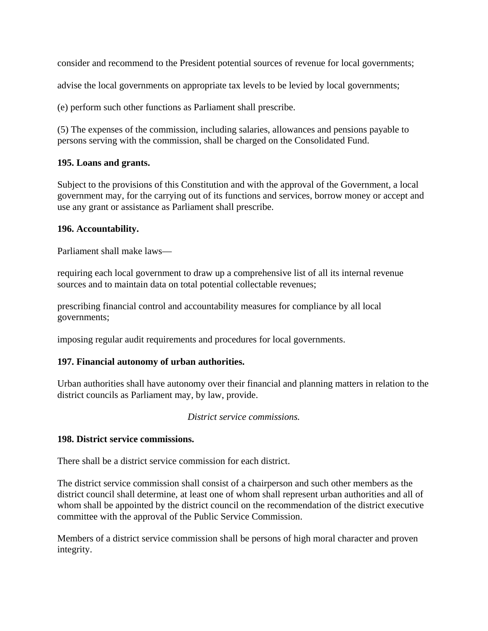consider and recommend to the President potential sources of revenue for local governments;

advise the local governments on appropriate tax levels to be levied by local governments;

(e) perform such other functions as Parliament shall prescribe.

(5) The expenses of the commission, including salaries, allowances and pensions payable to persons serving with the commission, shall be charged on the Consolidated Fund.

## **195. Loans and grants.**

Subject to the provisions of this Constitution and with the approval of the Government, a local government may, for the carrying out of its functions and services, borrow money or accept and use any grant or assistance as Parliament shall prescribe.

#### **196. Accountability.**

Parliament shall make laws—

requiring each local government to draw up a comprehensive list of all its internal revenue sources and to maintain data on total potential collectable revenues;

prescribing financial control and accountability measures for compliance by all local governments;

imposing regular audit requirements and procedures for local governments.

## **197. Financial autonomy of urban authorities.**

Urban authorities shall have autonomy over their financial and planning matters in relation to the district councils as Parliament may, by law, provide.

*District service commissions.*

#### **198. District service commissions.**

There shall be a district service commission for each district.

The district service commission shall consist of a chairperson and such other members as the district council shall determine, at least one of whom shall represent urban authorities and all of whom shall be appointed by the district council on the recommendation of the district executive committee with the approval of the Public Service Commission.

Members of a district service commission shall be persons of high moral character and proven integrity.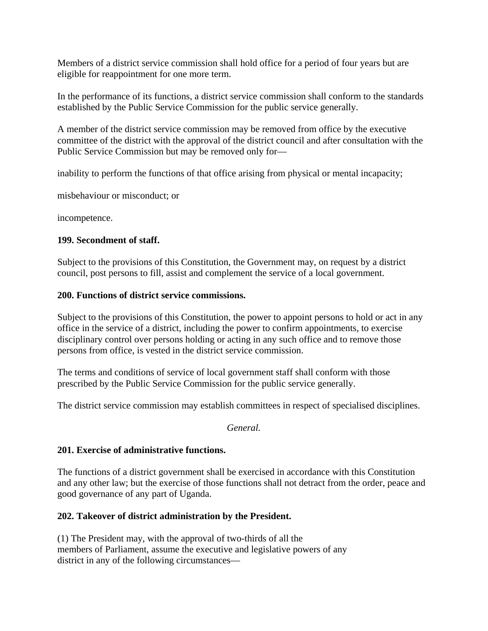Members of a district service commission shall hold office for a period of four years but are eligible for reappointment for one more term.

In the performance of its functions, a district service commission shall conform to the standards established by the Public Service Commission for the public service generally.

A member of the district service commission may be removed from office by the executive committee of the district with the approval of the district council and after consultation with the Public Service Commission but may be removed only for—

inability to perform the functions of that office arising from physical or mental incapacity;

misbehaviour or misconduct; or

incompetence.

## **199. Secondment of staff.**

Subject to the provisions of this Constitution, the Government may, on request by a district council, post persons to fill, assist and complement the service of a local government.

#### **200. Functions of district service commissions.**

Subject to the provisions of this Constitution, the power to appoint persons to hold or act in any office in the service of a district, including the power to confirm appointments, to exercise disciplinary control over persons holding or acting in any such office and to remove those persons from office, is vested in the district service commission.

The terms and conditions of service of local government staff shall conform with those prescribed by the Public Service Commission for the public service generally.

The district service commission may establish committees in respect of specialised disciplines.

*General.*

## **201. Exercise of administrative functions.**

The functions of a district government shall be exercised in accordance with this Constitution and any other law; but the exercise of those functions shall not detract from the order, peace and good governance of any part of Uganda.

## **202. Takeover of district administration by the President.**

(1) The President may, with the approval of two-thirds of all the members of Parliament, assume the executive and legislative powers of any district in any of the following circumstances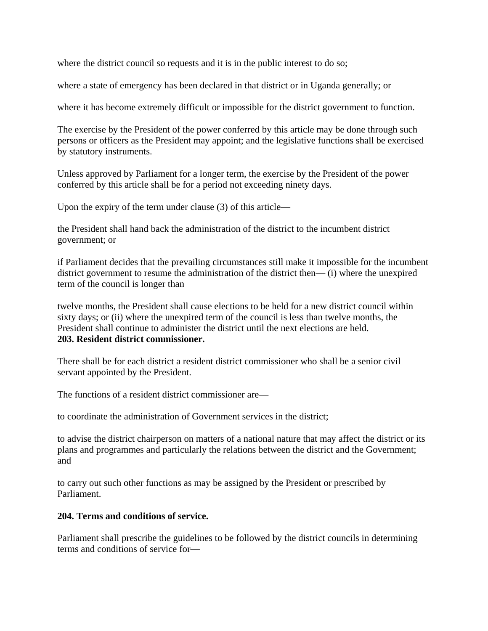where the district council so requests and it is in the public interest to do so;

where a state of emergency has been declared in that district or in Uganda generally; or

where it has become extremely difficult or impossible for the district government to function.

The exercise by the President of the power conferred by this article may be done through such persons or officers as the President may appoint; and the legislative functions shall be exercised by statutory instruments.

Unless approved by Parliament for a longer term, the exercise by the President of the power conferred by this article shall be for a period not exceeding ninety days.

Upon the expiry of the term under clause (3) of this article—

the President shall hand back the administration of the district to the incumbent district government; or

if Parliament decides that the prevailing circumstances still make it impossible for the incumbent district government to resume the administration of the district then— (i) where the unexpired term of the council is longer than

twelve months, the President shall cause elections to be held for a new district council within sixty days; or (ii) where the unexpired term of the council is less than twelve months, the President shall continue to administer the district until the next elections are held. **203. Resident district commissioner.**

There shall be for each district a resident district commissioner who shall be a senior civil servant appointed by the President.

The functions of a resident district commissioner are—

to coordinate the administration of Government services in the district;

to advise the district chairperson on matters of a national nature that may affect the district or its plans and programmes and particularly the relations between the district and the Government; and

to carry out such other functions as may be assigned by the President or prescribed by Parliament.

## **204. Terms and conditions of service.**

Parliament shall prescribe the guidelines to be followed by the district councils in determining terms and conditions of service for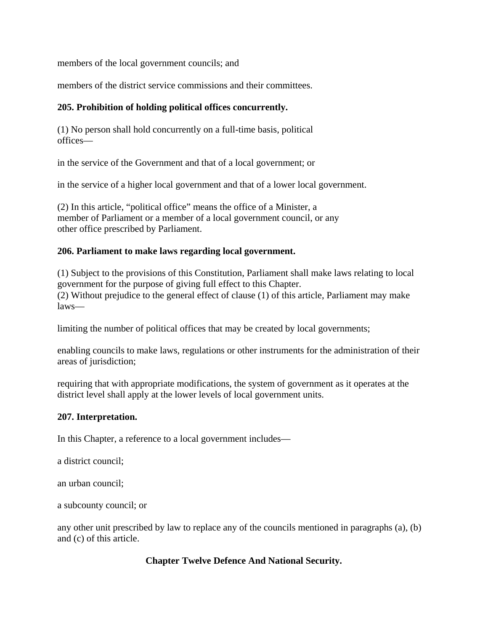members of the local government councils; and

members of the district service commissions and their committees.

## **205. Prohibition of holding political offices concurrently.**

(1) No person shall hold concurrently on a full-time basis, political offices—

in the service of the Government and that of a local government; or

in the service of a higher local government and that of a lower local government.

(2) In this article, "political office" means the office of a Minister, a member of Parliament or a member of a local government council, or any other office prescribed by Parliament.

## **206. Parliament to make laws regarding local government.**

(1) Subject to the provisions of this Constitution, Parliament shall make laws relating to local government for the purpose of giving full effect to this Chapter. (2) Without prejudice to the general effect of clause (1) of this article, Parliament may make laws—

limiting the number of political offices that may be created by local governments;

enabling councils to make laws, regulations or other instruments for the administration of their areas of jurisdiction;

requiring that with appropriate modifications, the system of government as it operates at the district level shall apply at the lower levels of local government units.

## **207. Interpretation.**

In this Chapter, a reference to a local government includes—

a district council;

an urban council;

a subcounty council; or

any other unit prescribed by law to replace any of the councils mentioned in paragraphs (a), (b) and (c) of this article.

# **Chapter Twelve Defence And National Security.**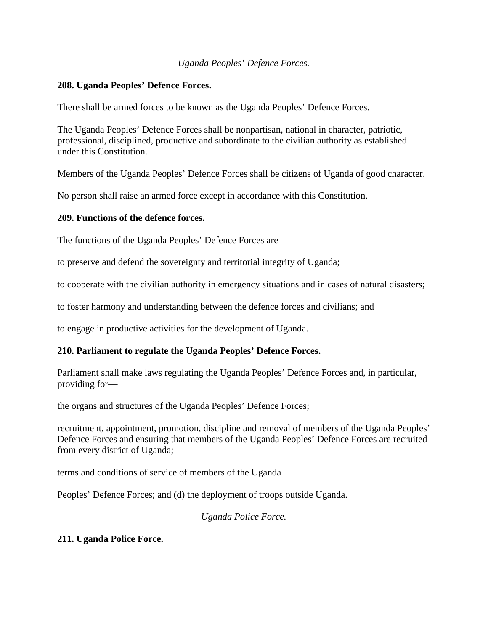## *Uganda Peoples' Defence Forces.*

## **208. Uganda Peoples' Defence Forces.**

There shall be armed forces to be known as the Uganda Peoples' Defence Forces.

The Uganda Peoples' Defence Forces shall be nonpartisan, national in character, patriotic, professional, disciplined, productive and subordinate to the civilian authority as established under this Constitution.

Members of the Uganda Peoples' Defence Forces shall be citizens of Uganda of good character.

No person shall raise an armed force except in accordance with this Constitution.

#### **209. Functions of the defence forces.**

The functions of the Uganda Peoples' Defence Forces are—

to preserve and defend the sovereignty and territorial integrity of Uganda;

to cooperate with the civilian authority in emergency situations and in cases of natural disasters;

to foster harmony and understanding between the defence forces and civilians; and

to engage in productive activities for the development of Uganda.

## **210. Parliament to regulate the Uganda Peoples' Defence Forces.**

Parliament shall make laws regulating the Uganda Peoples' Defence Forces and, in particular, providing for—

the organs and structures of the Uganda Peoples' Defence Forces;

recruitment, appointment, promotion, discipline and removal of members of the Uganda Peoples' Defence Forces and ensuring that members of the Uganda Peoples' Defence Forces are recruited from every district of Uganda;

terms and conditions of service of members of the Uganda

Peoples' Defence Forces; and (d) the deployment of troops outside Uganda.

*Uganda Police Force.*

## **211. Uganda Police Force.**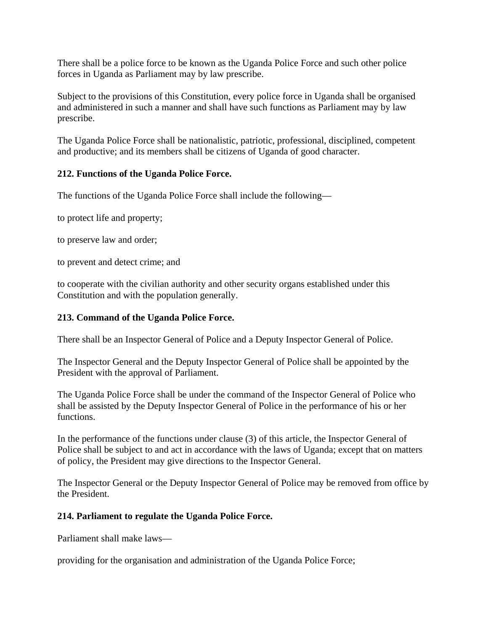There shall be a police force to be known as the Uganda Police Force and such other police forces in Uganda as Parliament may by law prescribe.

Subject to the provisions of this Constitution, every police force in Uganda shall be organised and administered in such a manner and shall have such functions as Parliament may by law prescribe.

The Uganda Police Force shall be nationalistic, patriotic, professional, disciplined, competent and productive; and its members shall be citizens of Uganda of good character.

# **212. Functions of the Uganda Police Force.**

The functions of the Uganda Police Force shall include the following—

to protect life and property;

to preserve law and order;

to prevent and detect crime; and

to cooperate with the civilian authority and other security organs established under this Constitution and with the population generally.

# **213. Command of the Uganda Police Force.**

There shall be an Inspector General of Police and a Deputy Inspector General of Police.

The Inspector General and the Deputy Inspector General of Police shall be appointed by the President with the approval of Parliament.

The Uganda Police Force shall be under the command of the Inspector General of Police who shall be assisted by the Deputy Inspector General of Police in the performance of his or her functions.

In the performance of the functions under clause (3) of this article, the Inspector General of Police shall be subject to and act in accordance with the laws of Uganda; except that on matters of policy, the President may give directions to the Inspector General.

The Inspector General or the Deputy Inspector General of Police may be removed from office by the President.

# **214. Parliament to regulate the Uganda Police Force.**

Parliament shall make laws—

providing for the organisation and administration of the Uganda Police Force;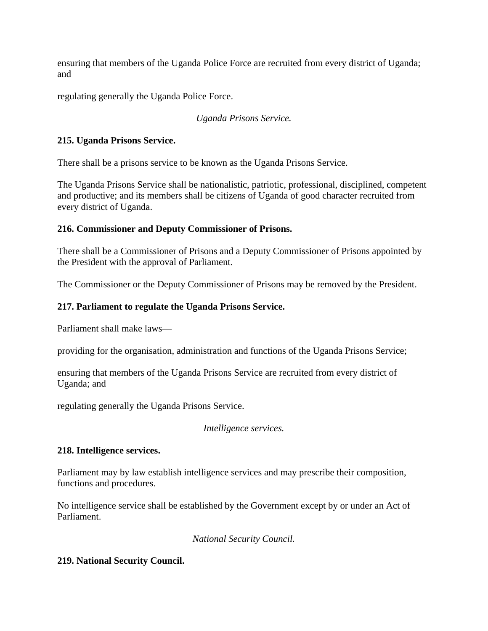ensuring that members of the Uganda Police Force are recruited from every district of Uganda; and

regulating generally the Uganda Police Force.

# *Uganda Prisons Service.*

# **215. Uganda Prisons Service.**

There shall be a prisons service to be known as the Uganda Prisons Service.

The Uganda Prisons Service shall be nationalistic, patriotic, professional, disciplined, competent and productive; and its members shall be citizens of Uganda of good character recruited from every district of Uganda.

# **216. Commissioner and Deputy Commissioner of Prisons.**

There shall be a Commissioner of Prisons and a Deputy Commissioner of Prisons appointed by the President with the approval of Parliament.

The Commissioner or the Deputy Commissioner of Prisons may be removed by the President.

# **217. Parliament to regulate the Uganda Prisons Service.**

Parliament shall make laws—

providing for the organisation, administration and functions of the Uganda Prisons Service;

ensuring that members of the Uganda Prisons Service are recruited from every district of Uganda; and

regulating generally the Uganda Prisons Service.

*Intelligence services.*

# **218. Intelligence services.**

Parliament may by law establish intelligence services and may prescribe their composition, functions and procedures.

No intelligence service shall be established by the Government except by or under an Act of Parliament.

*National Security Council.*

# **219. National Security Council.**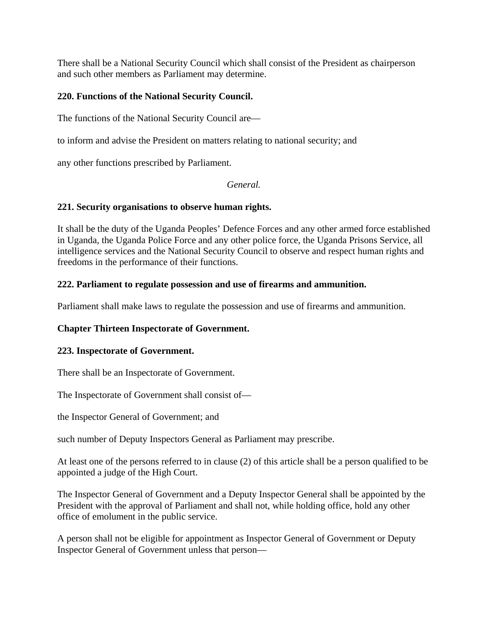There shall be a National Security Council which shall consist of the President as chairperson and such other members as Parliament may determine.

# **220. Functions of the National Security Council.**

The functions of the National Security Council are—

to inform and advise the President on matters relating to national security; and

any other functions prescribed by Parliament.

# *General.*

# **221. Security organisations to observe human rights.**

It shall be the duty of the Uganda Peoples' Defence Forces and any other armed force established in Uganda, the Uganda Police Force and any other police force, the Uganda Prisons Service, all intelligence services and the National Security Council to observe and respect human rights and freedoms in the performance of their functions.

# **222. Parliament to regulate possession and use of firearms and ammunition.**

Parliament shall make laws to regulate the possession and use of firearms and ammunition.

# **Chapter Thirteen Inspectorate of Government.**

# **223. Inspectorate of Government.**

There shall be an Inspectorate of Government.

The Inspectorate of Government shall consist of—

the Inspector General of Government; and

such number of Deputy Inspectors General as Parliament may prescribe.

At least one of the persons referred to in clause (2) of this article shall be a person qualified to be appointed a judge of the High Court.

The Inspector General of Government and a Deputy Inspector General shall be appointed by the President with the approval of Parliament and shall not, while holding office, hold any other office of emolument in the public service.

A person shall not be eligible for appointment as Inspector General of Government or Deputy Inspector General of Government unless that person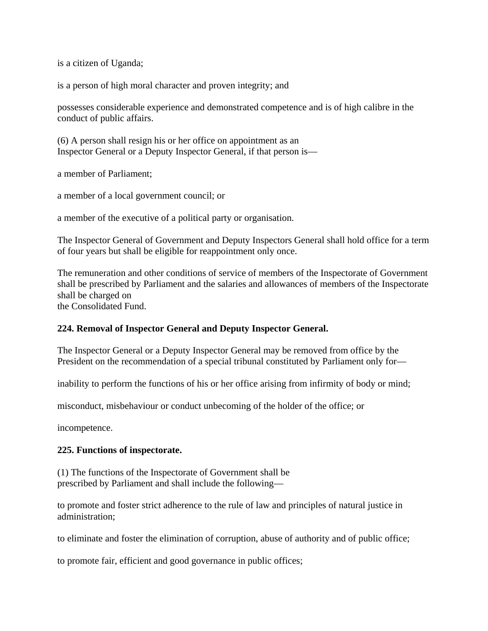is a citizen of Uganda;

is a person of high moral character and proven integrity; and

possesses considerable experience and demonstrated competence and is of high calibre in the conduct of public affairs.

(6) A person shall resign his or her office on appointment as an Inspector General or a Deputy Inspector General, if that person is—

a member of Parliament;

a member of a local government council; or

a member of the executive of a political party or organisation.

The Inspector General of Government and Deputy Inspectors General shall hold office for a term of four years but shall be eligible for reappointment only once.

The remuneration and other conditions of service of members of the Inspectorate of Government shall be prescribed by Parliament and the salaries and allowances of members of the Inspectorate shall be charged on the Consolidated Fund.

## **224. Removal of Inspector General and Deputy Inspector General.**

The Inspector General or a Deputy Inspector General may be removed from office by the President on the recommendation of a special tribunal constituted by Parliament only for—

inability to perform the functions of his or her office arising from infirmity of body or mind;

misconduct, misbehaviour or conduct unbecoming of the holder of the office; or

incompetence.

## **225. Functions of inspectorate.**

(1) The functions of the Inspectorate of Government shall be prescribed by Parliament and shall include the following—

to promote and foster strict adherence to the rule of law and principles of natural justice in administration;

to eliminate and foster the elimination of corruption, abuse of authority and of public office;

to promote fair, efficient and good governance in public offices;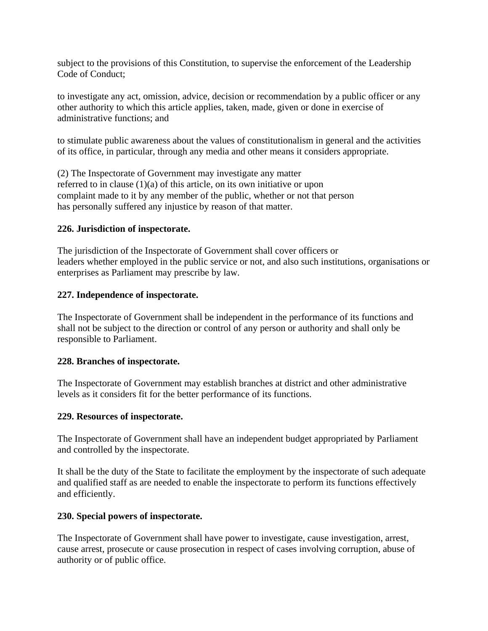subject to the provisions of this Constitution, to supervise the enforcement of the Leadership Code of Conduct;

to investigate any act, omission, advice, decision or recommendation by a public officer or any other authority to which this article applies, taken, made, given or done in exercise of administrative functions; and

to stimulate public awareness about the values of constitutionalism in general and the activities of its office, in particular, through any media and other means it considers appropriate.

(2) The Inspectorate of Government may investigate any matter referred to in clause (1)(a) of this article, on its own initiative or upon complaint made to it by any member of the public, whether or not that person has personally suffered any injustice by reason of that matter.

## **226. Jurisdiction of inspectorate.**

The jurisdiction of the Inspectorate of Government shall cover officers or leaders whether employed in the public service or not, and also such institutions, organisations or enterprises as Parliament may prescribe by law.

## **227. Independence of inspectorate.**

The Inspectorate of Government shall be independent in the performance of its functions and shall not be subject to the direction or control of any person or authority and shall only be responsible to Parliament.

## **228. Branches of inspectorate.**

The Inspectorate of Government may establish branches at district and other administrative levels as it considers fit for the better performance of its functions.

## **229. Resources of inspectorate.**

The Inspectorate of Government shall have an independent budget appropriated by Parliament and controlled by the inspectorate.

It shall be the duty of the State to facilitate the employment by the inspectorate of such adequate and qualified staff as are needed to enable the inspectorate to perform its functions effectively and efficiently.

## **230. Special powers of inspectorate.**

The Inspectorate of Government shall have power to investigate, cause investigation, arrest, cause arrest, prosecute or cause prosecution in respect of cases involving corruption, abuse of authority or of public office.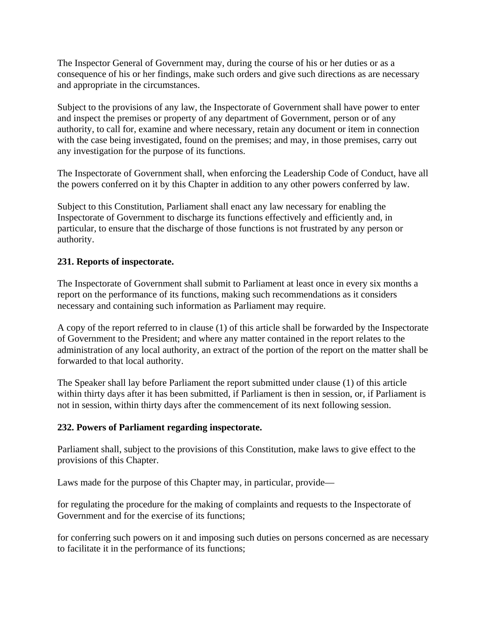The Inspector General of Government may, during the course of his or her duties or as a consequence of his or her findings, make such orders and give such directions as are necessary and appropriate in the circumstances.

Subject to the provisions of any law, the Inspectorate of Government shall have power to enter and inspect the premises or property of any department of Government, person or of any authority, to call for, examine and where necessary, retain any document or item in connection with the case being investigated, found on the premises; and may, in those premises, carry out any investigation for the purpose of its functions.

The Inspectorate of Government shall, when enforcing the Leadership Code of Conduct, have all the powers conferred on it by this Chapter in addition to any other powers conferred by law.

Subject to this Constitution, Parliament shall enact any law necessary for enabling the Inspectorate of Government to discharge its functions effectively and efficiently and, in particular, to ensure that the discharge of those functions is not frustrated by any person or authority.

# **231. Reports of inspectorate.**

The Inspectorate of Government shall submit to Parliament at least once in every six months a report on the performance of its functions, making such recommendations as it considers necessary and containing such information as Parliament may require.

A copy of the report referred to in clause (1) of this article shall be forwarded by the Inspectorate of Government to the President; and where any matter contained in the report relates to the administration of any local authority, an extract of the portion of the report on the matter shall be forwarded to that local authority.

The Speaker shall lay before Parliament the report submitted under clause (1) of this article within thirty days after it has been submitted, if Parliament is then in session, or, if Parliament is not in session, within thirty days after the commencement of its next following session.

# **232. Powers of Parliament regarding inspectorate.**

Parliament shall, subject to the provisions of this Constitution, make laws to give effect to the provisions of this Chapter.

Laws made for the purpose of this Chapter may, in particular, provide—

for regulating the procedure for the making of complaints and requests to the Inspectorate of Government and for the exercise of its functions;

for conferring such powers on it and imposing such duties on persons concerned as are necessary to facilitate it in the performance of its functions;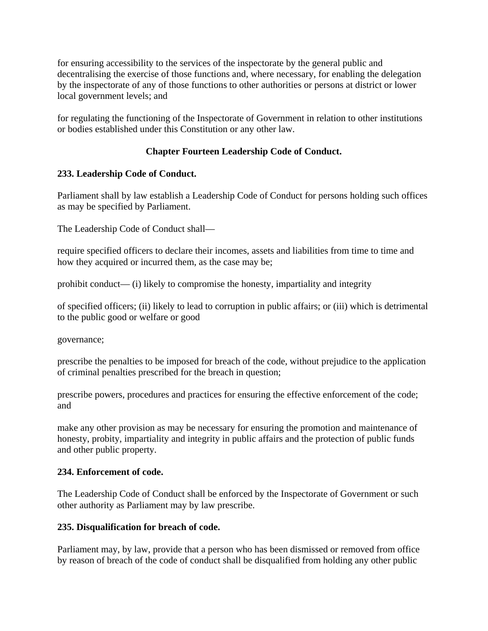for ensuring accessibility to the services of the inspectorate by the general public and decentralising the exercise of those functions and, where necessary, for enabling the delegation by the inspectorate of any of those functions to other authorities or persons at district or lower local government levels; and

for regulating the functioning of the Inspectorate of Government in relation to other institutions or bodies established under this Constitution or any other law.

# **Chapter Fourteen Leadership Code of Conduct.**

# **233. Leadership Code of Conduct.**

Parliament shall by law establish a Leadership Code of Conduct for persons holding such offices as may be specified by Parliament.

The Leadership Code of Conduct shall—

require specified officers to declare their incomes, assets and liabilities from time to time and how they acquired or incurred them, as the case may be;

prohibit conduct— (i) likely to compromise the honesty, impartiality and integrity

of specified officers; (ii) likely to lead to corruption in public affairs; or (iii) which is detrimental to the public good or welfare or good

governance;

prescribe the penalties to be imposed for breach of the code, without prejudice to the application of criminal penalties prescribed for the breach in question;

prescribe powers, procedures and practices for ensuring the effective enforcement of the code; and

make any other provision as may be necessary for ensuring the promotion and maintenance of honesty, probity, impartiality and integrity in public affairs and the protection of public funds and other public property.

## **234. Enforcement of code.**

The Leadership Code of Conduct shall be enforced by the Inspectorate of Government or such other authority as Parliament may by law prescribe.

## **235. Disqualification for breach of code.**

Parliament may, by law, provide that a person who has been dismissed or removed from office by reason of breach of the code of conduct shall be disqualified from holding any other public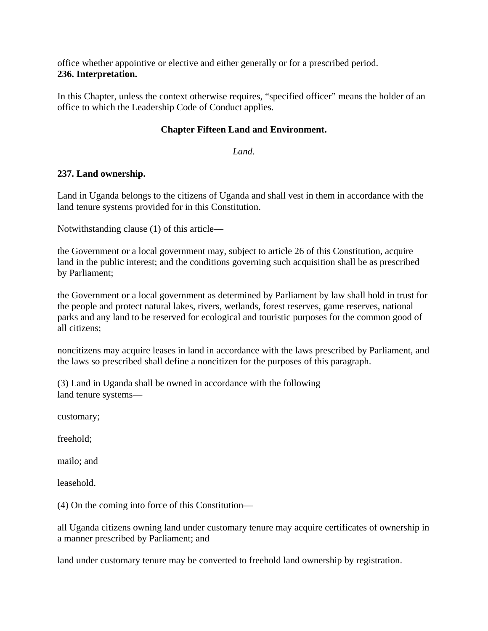office whether appointive or elective and either generally or for a prescribed period. **236. Interpretation.**

In this Chapter, unless the context otherwise requires, "specified officer" means the holder of an office to which the Leadership Code of Conduct applies.

# **Chapter Fifteen Land and Environment.**

*Land.*

# **237. Land ownership.**

Land in Uganda belongs to the citizens of Uganda and shall vest in them in accordance with the land tenure systems provided for in this Constitution.

Notwithstanding clause (1) of this article—

the Government or a local government may, subject to article 26 of this Constitution, acquire land in the public interest; and the conditions governing such acquisition shall be as prescribed by Parliament;

the Government or a local government as determined by Parliament by law shall hold in trust for the people and protect natural lakes, rivers, wetlands, forest reserves, game reserves, national parks and any land to be reserved for ecological and touristic purposes for the common good of all citizens;

noncitizens may acquire leases in land in accordance with the laws prescribed by Parliament, and the laws so prescribed shall define a noncitizen for the purposes of this paragraph.

(3) Land in Uganda shall be owned in accordance with the following land tenure systems—

customary;

freehold;

mailo; and

leasehold.

(4) On the coming into force of this Constitution—

all Uganda citizens owning land under customary tenure may acquire certificates of ownership in a manner prescribed by Parliament; and

land under customary tenure may be converted to freehold land ownership by registration.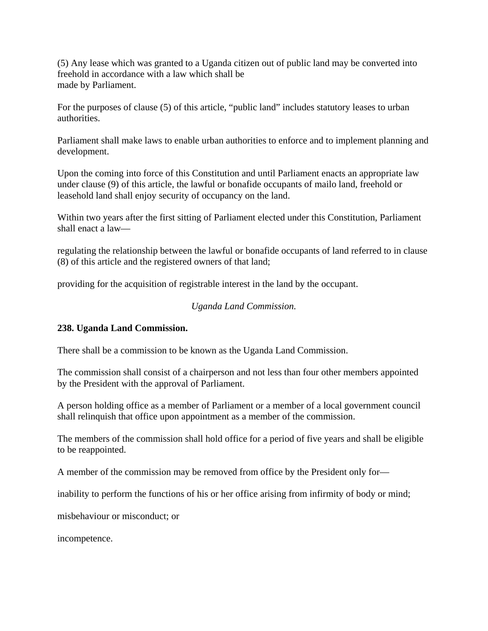(5) Any lease which was granted to a Uganda citizen out of public land may be converted into freehold in accordance with a law which shall be made by Parliament.

For the purposes of clause (5) of this article, "public land" includes statutory leases to urban authorities.

Parliament shall make laws to enable urban authorities to enforce and to implement planning and development.

Upon the coming into force of this Constitution and until Parliament enacts an appropriate law under clause (9) of this article, the lawful or bonafide occupants of mailo land, freehold or leasehold land shall enjoy security of occupancy on the land.

Within two years after the first sitting of Parliament elected under this Constitution, Parliament shall enact a law—

regulating the relationship between the lawful or bonafide occupants of land referred to in clause (8) of this article and the registered owners of that land;

providing for the acquisition of registrable interest in the land by the occupant.

## *Uganda Land Commission.*

# **238. Uganda Land Commission.**

There shall be a commission to be known as the Uganda Land Commission.

The commission shall consist of a chairperson and not less than four other members appointed by the President with the approval of Parliament.

A person holding office as a member of Parliament or a member of a local government council shall relinquish that office upon appointment as a member of the commission.

The members of the commission shall hold office for a period of five years and shall be eligible to be reappointed.

A member of the commission may be removed from office by the President only for—

inability to perform the functions of his or her office arising from infirmity of body or mind;

misbehaviour or misconduct; or

incompetence.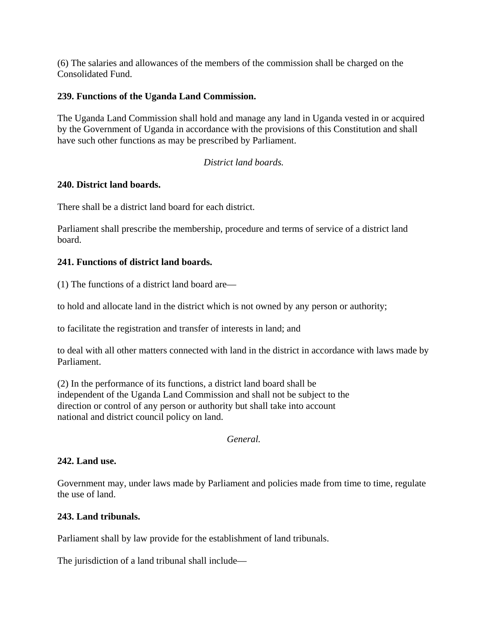(6) The salaries and allowances of the members of the commission shall be charged on the Consolidated Fund.

## **239. Functions of the Uganda Land Commission.**

The Uganda Land Commission shall hold and manage any land in Uganda vested in or acquired by the Government of Uganda in accordance with the provisions of this Constitution and shall have such other functions as may be prescribed by Parliament.

## *District land boards.*

## **240. District land boards.**

There shall be a district land board for each district.

Parliament shall prescribe the membership, procedure and terms of service of a district land board.

## **241. Functions of district land boards.**

(1) The functions of a district land board are—

to hold and allocate land in the district which is not owned by any person or authority;

to facilitate the registration and transfer of interests in land; and

to deal with all other matters connected with land in the district in accordance with laws made by Parliament.

(2) In the performance of its functions, a district land board shall be independent of the Uganda Land Commission and shall not be subject to the direction or control of any person or authority but shall take into account national and district council policy on land.

*General.*

## **242. Land use.**

Government may, under laws made by Parliament and policies made from time to time, regulate the use of land.

## **243. Land tribunals.**

Parliament shall by law provide for the establishment of land tribunals.

The jurisdiction of a land tribunal shall include—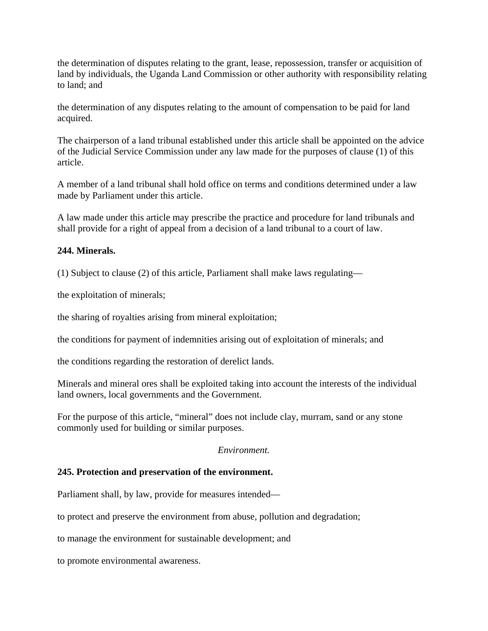the determination of disputes relating to the grant, lease, repossession, transfer or acquisition of land by individuals, the Uganda Land Commission or other authority with responsibility relating to land; and

the determination of any disputes relating to the amount of compensation to be paid for land acquired.

The chairperson of a land tribunal established under this article shall be appointed on the advice of the Judicial Service Commission under any law made for the purposes of clause (1) of this article.

A member of a land tribunal shall hold office on terms and conditions determined under a law made by Parliament under this article.

A law made under this article may prescribe the practice and procedure for land tribunals and shall provide for a right of appeal from a decision of a land tribunal to a court of law.

## **244. Minerals.**

(1) Subject to clause (2) of this article, Parliament shall make laws regulating—

the exploitation of minerals;

the sharing of royalties arising from mineral exploitation;

the conditions for payment of indemnities arising out of exploitation of minerals; and

the conditions regarding the restoration of derelict lands.

Minerals and mineral ores shall be exploited taking into account the interests of the individual land owners, local governments and the Government.

For the purpose of this article, "mineral" does not include clay, murram, sand or any stone commonly used for building or similar purposes.

## *Environment.*

# **245. Protection and preservation of the environment.**

Parliament shall, by law, provide for measures intended—

to protect and preserve the environment from abuse, pollution and degradation;

to manage the environment for sustainable development; and

to promote environmental awareness.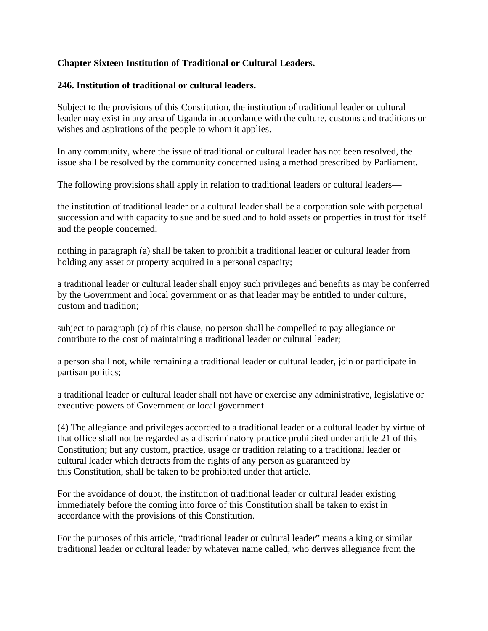# **Chapter Sixteen Institution of Traditional or Cultural Leaders.**

## **246. Institution of traditional or cultural leaders.**

Subject to the provisions of this Constitution, the institution of traditional leader or cultural leader may exist in any area of Uganda in accordance with the culture, customs and traditions or wishes and aspirations of the people to whom it applies.

In any community, where the issue of traditional or cultural leader has not been resolved, the issue shall be resolved by the community concerned using a method prescribed by Parliament.

The following provisions shall apply in relation to traditional leaders or cultural leaders—

the institution of traditional leader or a cultural leader shall be a corporation sole with perpetual succession and with capacity to sue and be sued and to hold assets or properties in trust for itself and the people concerned;

nothing in paragraph (a) shall be taken to prohibit a traditional leader or cultural leader from holding any asset or property acquired in a personal capacity;

a traditional leader or cultural leader shall enjoy such privileges and benefits as may be conferred by the Government and local government or as that leader may be entitled to under culture, custom and tradition;

subject to paragraph (c) of this clause, no person shall be compelled to pay allegiance or contribute to the cost of maintaining a traditional leader or cultural leader;

a person shall not, while remaining a traditional leader or cultural leader, join or participate in partisan politics;

a traditional leader or cultural leader shall not have or exercise any administrative, legislative or executive powers of Government or local government.

(4) The allegiance and privileges accorded to a traditional leader or a cultural leader by virtue of that office shall not be regarded as a discriminatory practice prohibited under article 21 of this Constitution; but any custom, practice, usage or tradition relating to a traditional leader or cultural leader which detracts from the rights of any person as guaranteed by this Constitution, shall be taken to be prohibited under that article.

For the avoidance of doubt, the institution of traditional leader or cultural leader existing immediately before the coming into force of this Constitution shall be taken to exist in accordance with the provisions of this Constitution.

For the purposes of this article, "traditional leader or cultural leader" means a king or similar traditional leader or cultural leader by whatever name called, who derives allegiance from the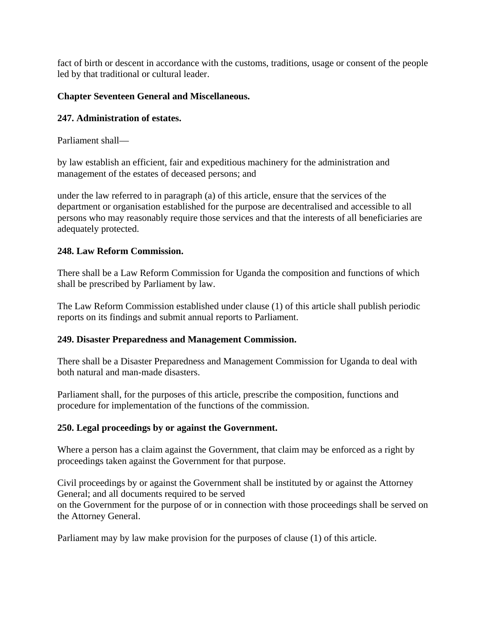fact of birth or descent in accordance with the customs, traditions, usage or consent of the people led by that traditional or cultural leader.

## **Chapter Seventeen General and Miscellaneous.**

## **247. Administration of estates.**

Parliament shall—

by law establish an efficient, fair and expeditious machinery for the administration and management of the estates of deceased persons; and

under the law referred to in paragraph (a) of this article, ensure that the services of the department or organisation established for the purpose are decentralised and accessible to all persons who may reasonably require those services and that the interests of all beneficiaries are adequately protected.

## **248. Law Reform Commission.**

There shall be a Law Reform Commission for Uganda the composition and functions of which shall be prescribed by Parliament by law.

The Law Reform Commission established under clause (1) of this article shall publish periodic reports on its findings and submit annual reports to Parliament.

## **249. Disaster Preparedness and Management Commission.**

There shall be a Disaster Preparedness and Management Commission for Uganda to deal with both natural and man-made disasters.

Parliament shall, for the purposes of this article, prescribe the composition, functions and procedure for implementation of the functions of the commission.

# **250. Legal proceedings by or against the Government.**

Where a person has a claim against the Government, that claim may be enforced as a right by proceedings taken against the Government for that purpose.

Civil proceedings by or against the Government shall be instituted by or against the Attorney General; and all documents required to be served on the Government for the purpose of or in connection with those proceedings shall be served on the Attorney General.

Parliament may by law make provision for the purposes of clause (1) of this article.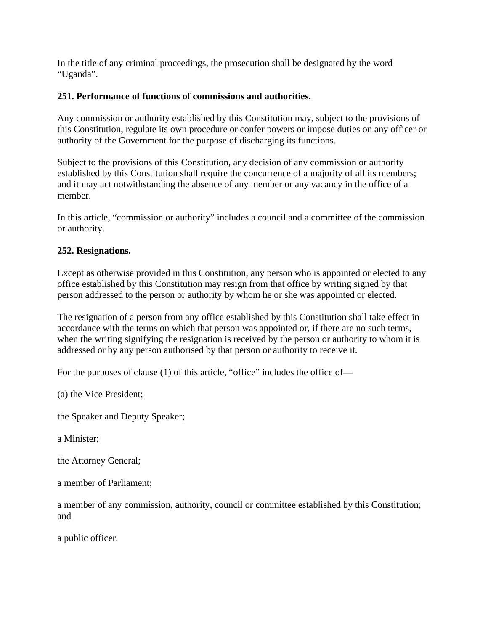In the title of any criminal proceedings, the prosecution shall be designated by the word "Uganda".

# **251. Performance of functions of commissions and authorities.**

Any commission or authority established by this Constitution may, subject to the provisions of this Constitution, regulate its own procedure or confer powers or impose duties on any officer or authority of the Government for the purpose of discharging its functions.

Subject to the provisions of this Constitution, any decision of any commission or authority established by this Constitution shall require the concurrence of a majority of all its members; and it may act notwithstanding the absence of any member or any vacancy in the office of a member.

In this article, "commission or authority" includes a council and a committee of the commission or authority.

# **252. Resignations.**

Except as otherwise provided in this Constitution, any person who is appointed or elected to any office established by this Constitution may resign from that office by writing signed by that person addressed to the person or authority by whom he or she was appointed or elected.

The resignation of a person from any office established by this Constitution shall take effect in accordance with the terms on which that person was appointed or, if there are no such terms, when the writing signifying the resignation is received by the person or authority to whom it is addressed or by any person authorised by that person or authority to receive it.

For the purposes of clause (1) of this article, "office" includes the office of—

(a) the Vice President;

the Speaker and Deputy Speaker;

a Minister;

the Attorney General;

a member of Parliament;

a member of any commission, authority, council or committee established by this Constitution; and

a public officer.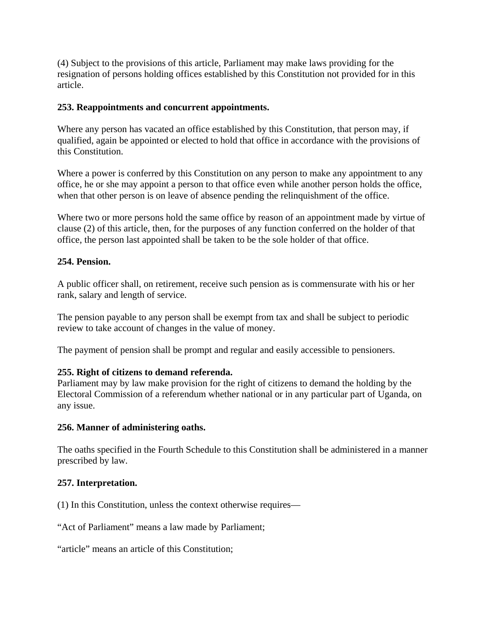(4) Subject to the provisions of this article, Parliament may make laws providing for the resignation of persons holding offices established by this Constitution not provided for in this article.

## **253. Reappointments and concurrent appointments.**

Where any person has vacated an office established by this Constitution, that person may, if qualified, again be appointed or elected to hold that office in accordance with the provisions of this Constitution.

Where a power is conferred by this Constitution on any person to make any appointment to any office, he or she may appoint a person to that office even while another person holds the office, when that other person is on leave of absence pending the relinquishment of the office.

Where two or more persons hold the same office by reason of an appointment made by virtue of clause (2) of this article, then, for the purposes of any function conferred on the holder of that office, the person last appointed shall be taken to be the sole holder of that office.

## **254. Pension.**

A public officer shall, on retirement, receive such pension as is commensurate with his or her rank, salary and length of service.

The pension payable to any person shall be exempt from tax and shall be subject to periodic review to take account of changes in the value of money.

The payment of pension shall be prompt and regular and easily accessible to pensioners.

# **255. Right of citizens to demand referenda.**

Parliament may by law make provision for the right of citizens to demand the holding by the Electoral Commission of a referendum whether national or in any particular part of Uganda, on any issue.

## **256. Manner of administering oaths.**

The oaths specified in the Fourth Schedule to this Constitution shall be administered in a manner prescribed by law.

## **257. Interpretation.**

(1) In this Constitution, unless the context otherwise requires—

"Act of Parliament" means a law made by Parliament;

"article" means an article of this Constitution;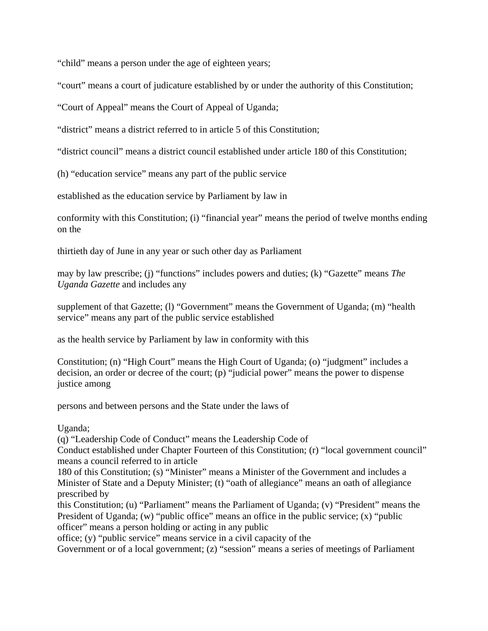"child" means a person under the age of eighteen years;

"court" means a court of judicature established by or under the authority of this Constitution;

"Court of Appeal" means the Court of Appeal of Uganda;

"district" means a district referred to in article 5 of this Constitution;

"district council" means a district council established under article 180 of this Constitution;

(h) "education service" means any part of the public service

established as the education service by Parliament by law in

conformity with this Constitution; (i) "financial year" means the period of twelve months ending on the

thirtieth day of June in any year or such other day as Parliament

may by law prescribe; (j) "functions" includes powers and duties; (k) "Gazette" means *The Uganda Gazette* and includes any

supplement of that Gazette; (1) "Government" means the Government of Uganda; (m) "health service" means any part of the public service established

as the health service by Parliament by law in conformity with this

Constitution; (n) "High Court" means the High Court of Uganda; (o) "judgment" includes a decision, an order or decree of the court; (p) "judicial power" means the power to dispense justice among

persons and between persons and the State under the laws of

Uganda;

(q) "Leadership Code of Conduct" means the Leadership Code of

Conduct established under Chapter Fourteen of this Constitution; (r) "local government council" means a council referred to in article

180 of this Constitution; (s) "Minister" means a Minister of the Government and includes a Minister of State and a Deputy Minister; (t) "oath of allegiance" means an oath of allegiance prescribed by

this Constitution; (u) "Parliament" means the Parliament of Uganda; (v) "President" means the President of Uganda; (w) "public office" means an office in the public service; (x) "public officer" means a person holding or acting in any public

office; (y) "public service" means service in a civil capacity of the

Government or of a local government; (z) "session" means a series of meetings of Parliament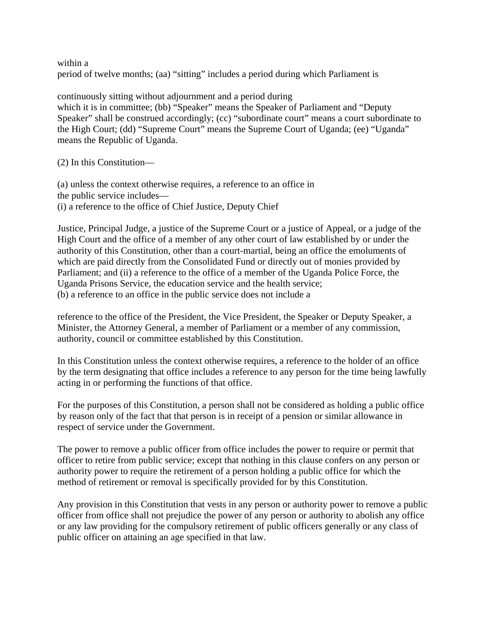within a period of twelve months; (aa) "sitting" includes a period during which Parliament is

continuously sitting without adjournment and a period during which it is in committee; (bb) "Speaker" means the Speaker of Parliament and "Deputy" Speaker" shall be construed accordingly; (cc) "subordinate court" means a court subordinate to the High Court; (dd) "Supreme Court" means the Supreme Court of Uganda; (ee) "Uganda" means the Republic of Uganda.

(2) In this Constitution—

(a) unless the context otherwise requires, a reference to an office in the public service includes— (i) a reference to the office of Chief Justice, Deputy Chief

Justice, Principal Judge, a justice of the Supreme Court or a justice of Appeal, or a judge of the High Court and the office of a member of any other court of law established by or under the authority of this Constitution, other than a court-martial, being an office the emoluments of which are paid directly from the Consolidated Fund or directly out of monies provided by Parliament; and (ii) a reference to the office of a member of the Uganda Police Force, the Uganda Prisons Service, the education service and the health service; (b) a reference to an office in the public service does not include a

reference to the office of the President, the Vice President, the Speaker or Deputy Speaker, a Minister, the Attorney General, a member of Parliament or a member of any commission, authority, council or committee established by this Constitution.

In this Constitution unless the context otherwise requires, a reference to the holder of an office by the term designating that office includes a reference to any person for the time being lawfully acting in or performing the functions of that office.

For the purposes of this Constitution, a person shall not be considered as holding a public office by reason only of the fact that that person is in receipt of a pension or similar allowance in respect of service under the Government.

The power to remove a public officer from office includes the power to require or permit that officer to retire from public service; except that nothing in this clause confers on any person or authority power to require the retirement of a person holding a public office for which the method of retirement or removal is specifically provided for by this Constitution.

Any provision in this Constitution that vests in any person or authority power to remove a public officer from office shall not prejudice the power of any person or authority to abolish any office or any law providing for the compulsory retirement of public officers generally or any class of public officer on attaining an age specified in that law.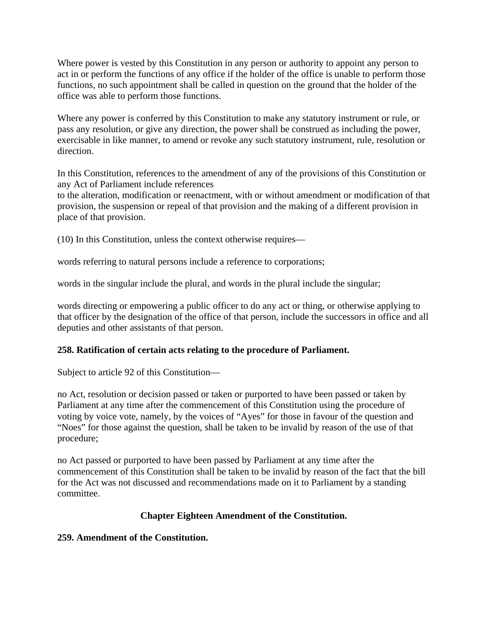Where power is vested by this Constitution in any person or authority to appoint any person to act in or perform the functions of any office if the holder of the office is unable to perform those functions, no such appointment shall be called in question on the ground that the holder of the office was able to perform those functions.

Where any power is conferred by this Constitution to make any statutory instrument or rule, or pass any resolution, or give any direction, the power shall be construed as including the power, exercisable in like manner, to amend or revoke any such statutory instrument, rule, resolution or direction.

In this Constitution, references to the amendment of any of the provisions of this Constitution or any Act of Parliament include references

to the alteration, modification or reenactment, with or without amendment or modification of that provision, the suspension or repeal of that provision and the making of a different provision in place of that provision.

(10) In this Constitution, unless the context otherwise requires—

words referring to natural persons include a reference to corporations;

words in the singular include the plural, and words in the plural include the singular;

words directing or empowering a public officer to do any act or thing, or otherwise applying to that officer by the designation of the office of that person, include the successors in office and all deputies and other assistants of that person.

# **258. Ratification of certain acts relating to the procedure of Parliament.**

Subject to article 92 of this Constitution—

no Act, resolution or decision passed or taken or purported to have been passed or taken by Parliament at any time after the commencement of this Constitution using the procedure of voting by voice vote, namely, by the voices of "Ayes" for those in favour of the question and "Noes" for those against the question, shall be taken to be invalid by reason of the use of that procedure;

no Act passed or purported to have been passed by Parliament at any time after the commencement of this Constitution shall be taken to be invalid by reason of the fact that the bill for the Act was not discussed and recommendations made on it to Parliament by a standing committee.

# **Chapter Eighteen Amendment of the Constitution.**

## **259. Amendment of the Constitution.**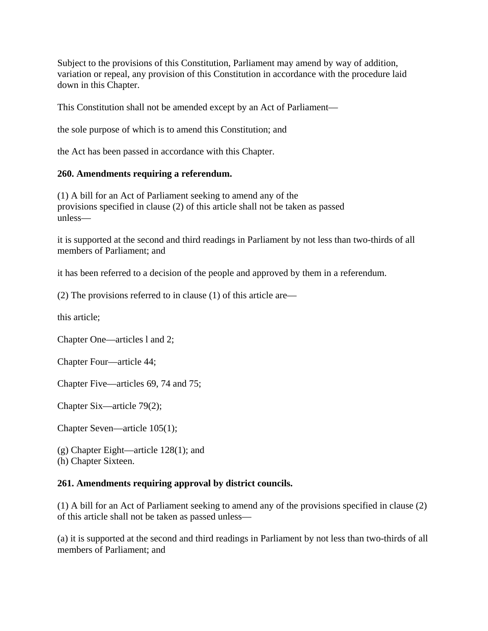Subject to the provisions of this Constitution, Parliament may amend by way of addition, variation or repeal, any provision of this Constitution in accordance with the procedure laid down in this Chapter.

This Constitution shall not be amended except by an Act of Parliament—

the sole purpose of which is to amend this Constitution; and

the Act has been passed in accordance with this Chapter.

## **260. Amendments requiring a referendum.**

(1) A bill for an Act of Parliament seeking to amend any of the provisions specified in clause (2) of this article shall not be taken as passed unless—

it is supported at the second and third readings in Parliament by not less than two-thirds of all members of Parliament; and

it has been referred to a decision of the people and approved by them in a referendum.

(2) The provisions referred to in clause (1) of this article are—

this article;

Chapter One—articles l and 2;

Chapter Four—article 44;

Chapter Five—articles 69, 74 and 75;

Chapter Six—article 79(2);

Chapter Seven—article 105(1);

(g) Chapter Eight—article 128(1); and

(h) Chapter Sixteen.

## **261. Amendments requiring approval by district councils.**

(1) A bill for an Act of Parliament seeking to amend any of the provisions specified in clause (2) of this article shall not be taken as passed unless—

(a) it is supported at the second and third readings in Parliament by not less than two-thirds of all members of Parliament; and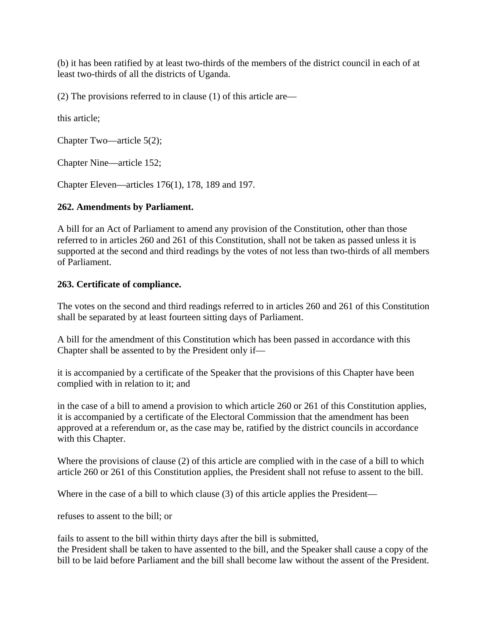(b) it has been ratified by at least two-thirds of the members of the district council in each of at least two-thirds of all the districts of Uganda.

(2) The provisions referred to in clause (1) of this article are—

this article;

Chapter Two—article 5(2);

Chapter Nine—article 152;

Chapter Eleven—articles 176(1), 178, 189 and 197.

## **262. Amendments by Parliament.**

A bill for an Act of Parliament to amend any provision of the Constitution, other than those referred to in articles 260 and 261 of this Constitution, shall not be taken as passed unless it is supported at the second and third readings by the votes of not less than two-thirds of all members of Parliament.

## **263. Certificate of compliance.**

The votes on the second and third readings referred to in articles 260 and 261 of this Constitution shall be separated by at least fourteen sitting days of Parliament.

A bill for the amendment of this Constitution which has been passed in accordance with this Chapter shall be assented to by the President only if—

it is accompanied by a certificate of the Speaker that the provisions of this Chapter have been complied with in relation to it; and

in the case of a bill to amend a provision to which article 260 or 261 of this Constitution applies, it is accompanied by a certificate of the Electoral Commission that the amendment has been approved at a referendum or, as the case may be, ratified by the district councils in accordance with this Chapter.

Where the provisions of clause (2) of this article are complied with in the case of a bill to which article 260 or 261 of this Constitution applies, the President shall not refuse to assent to the bill.

Where in the case of a bill to which clause (3) of this article applies the President—

refuses to assent to the bill; or

fails to assent to the bill within thirty days after the bill is submitted, the President shall be taken to have assented to the bill, and the Speaker shall cause a copy of the bill to be laid before Parliament and the bill shall become law without the assent of the President.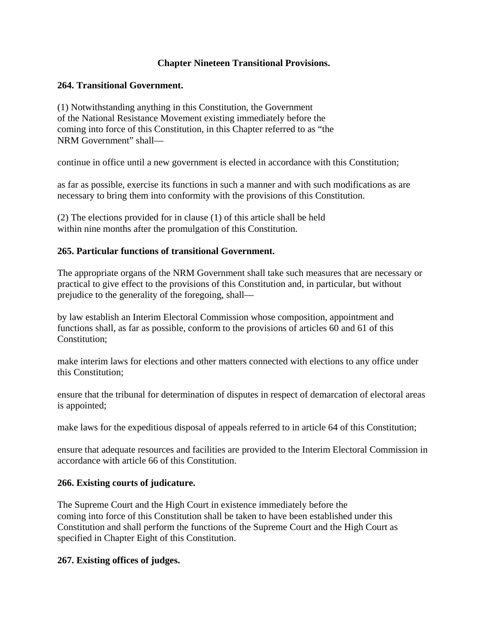# **Chapter Nineteen Transitional Provisions.**

# **264. Transitional Government.**

(1) Notwithstanding anything in this Constitution, the Government of the National Resistance Movement existing immediately before the coming into force of this Constitution, in this Chapter referred to as "the NRM Government" shall—

continue in office until a new government is elected in accordance with this Constitution;

as far as possible, exercise its functions in such a manner and with such modifications as are necessary to bring them into conformity with the provisions of this Constitution.

(2) The elections provided for in clause (1) of this article shall be held within nine months after the promulgation of this Constitution.

## **265. Particular functions of transitional Government.**

The appropriate organs of the NRM Government shall take such measures that are necessary or practical to give effect to the provisions of this Constitution and, in particular, but without prejudice to the generality of the foregoing, shall—

by law establish an Interim Electoral Commission whose composition, appointment and functions shall, as far as possible, conform to the provisions of articles 60 and 61 of this Constitution;

make interim laws for elections and other matters connected with elections to any office under this Constitution;

ensure that the tribunal for determination of disputes in respect of demarcation of electoral areas is appointed;

make laws for the expeditious disposal of appeals referred to in article 64 of this Constitution;

ensure that adequate resources and facilities are provided to the Interim Electoral Commission in accordance with article 66 of this Constitution.

# **266. Existing courts of judicature.**

The Supreme Court and the High Court in existence immediately before the coming into force of this Constitution shall be taken to have been established under this Constitution and shall perform the functions of the Supreme Court and the High Court as specified in Chapter Eight of this Constitution.

# **267. Existing offices of judges.**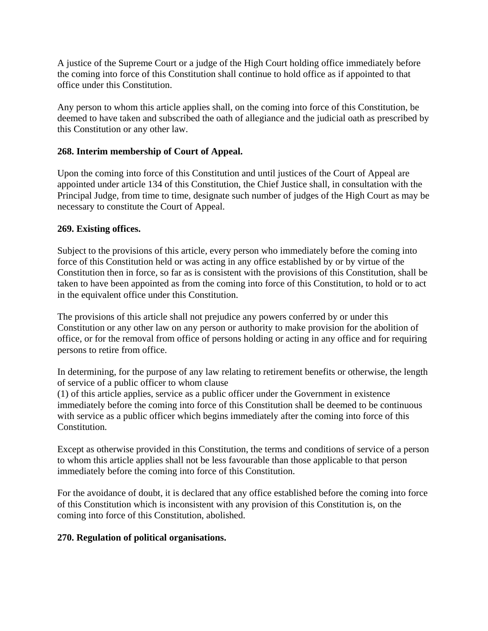A justice of the Supreme Court or a judge of the High Court holding office immediately before the coming into force of this Constitution shall continue to hold office as if appointed to that office under this Constitution.

Any person to whom this article applies shall, on the coming into force of this Constitution, be deemed to have taken and subscribed the oath of allegiance and the judicial oath as prescribed by this Constitution or any other law.

# **268. Interim membership of Court of Appeal.**

Upon the coming into force of this Constitution and until justices of the Court of Appeal are appointed under article 134 of this Constitution, the Chief Justice shall, in consultation with the Principal Judge, from time to time, designate such number of judges of the High Court as may be necessary to constitute the Court of Appeal.

# **269. Existing offices.**

Subject to the provisions of this article, every person who immediately before the coming into force of this Constitution held or was acting in any office established by or by virtue of the Constitution then in force, so far as is consistent with the provisions of this Constitution, shall be taken to have been appointed as from the coming into force of this Constitution, to hold or to act in the equivalent office under this Constitution.

The provisions of this article shall not prejudice any powers conferred by or under this Constitution or any other law on any person or authority to make provision for the abolition of office, or for the removal from office of persons holding or acting in any office and for requiring persons to retire from office.

In determining, for the purpose of any law relating to retirement benefits or otherwise, the length of service of a public officer to whom clause

(1) of this article applies, service as a public officer under the Government in existence immediately before the coming into force of this Constitution shall be deemed to be continuous with service as a public officer which begins immediately after the coming into force of this Constitution.

Except as otherwise provided in this Constitution, the terms and conditions of service of a person to whom this article applies shall not be less favourable than those applicable to that person immediately before the coming into force of this Constitution.

For the avoidance of doubt, it is declared that any office established before the coming into force of this Constitution which is inconsistent with any provision of this Constitution is, on the coming into force of this Constitution, abolished.

# **270. Regulation of political organisations.**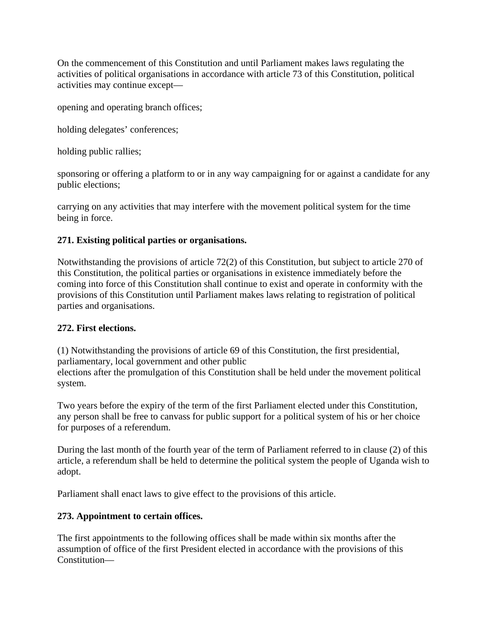On the commencement of this Constitution and until Parliament makes laws regulating the activities of political organisations in accordance with article 73 of this Constitution, political activities may continue except—

opening and operating branch offices;

holding delegates' conferences;

holding public rallies;

sponsoring or offering a platform to or in any way campaigning for or against a candidate for any public elections;

carrying on any activities that may interfere with the movement political system for the time being in force.

## **271. Existing political parties or organisations.**

Notwithstanding the provisions of article 72(2) of this Constitution, but subject to article 270 of this Constitution, the political parties or organisations in existence immediately before the coming into force of this Constitution shall continue to exist and operate in conformity with the provisions of this Constitution until Parliament makes laws relating to registration of political parties and organisations.

## **272. First elections.**

(1) Notwithstanding the provisions of article 69 of this Constitution, the first presidential, parliamentary, local government and other public

elections after the promulgation of this Constitution shall be held under the movement political system.

Two years before the expiry of the term of the first Parliament elected under this Constitution, any person shall be free to canvass for public support for a political system of his or her choice for purposes of a referendum.

During the last month of the fourth year of the term of Parliament referred to in clause (2) of this article, a referendum shall be held to determine the political system the people of Uganda wish to adopt.

Parliament shall enact laws to give effect to the provisions of this article.

# **273. Appointment to certain offices.**

The first appointments to the following offices shall be made within six months after the assumption of office of the first President elected in accordance with the provisions of this Constitution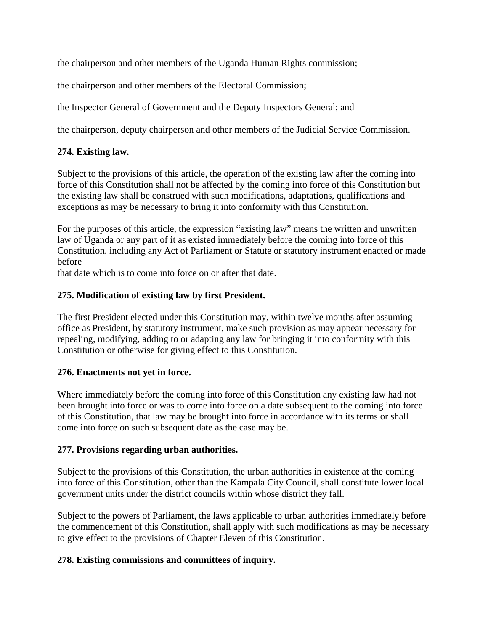the chairperson and other members of the Uganda Human Rights commission;

the chairperson and other members of the Electoral Commission;

the Inspector General of Government and the Deputy Inspectors General; and

the chairperson, deputy chairperson and other members of the Judicial Service Commission.

# **274. Existing law.**

Subject to the provisions of this article, the operation of the existing law after the coming into force of this Constitution shall not be affected by the coming into force of this Constitution but the existing law shall be construed with such modifications, adaptations, qualifications and exceptions as may be necessary to bring it into conformity with this Constitution.

For the purposes of this article, the expression "existing law" means the written and unwritten law of Uganda or any part of it as existed immediately before the coming into force of this Constitution, including any Act of Parliament or Statute or statutory instrument enacted or made before

that date which is to come into force on or after that date.

# **275. Modification of existing law by first President.**

The first President elected under this Constitution may, within twelve months after assuming office as President, by statutory instrument, make such provision as may appear necessary for repealing, modifying, adding to or adapting any law for bringing it into conformity with this Constitution or otherwise for giving effect to this Constitution.

# **276. Enactments not yet in force.**

Where immediately before the coming into force of this Constitution any existing law had not been brought into force or was to come into force on a date subsequent to the coming into force of this Constitution, that law may be brought into force in accordance with its terms or shall come into force on such subsequent date as the case may be.

# **277. Provisions regarding urban authorities.**

Subject to the provisions of this Constitution, the urban authorities in existence at the coming into force of this Constitution, other than the Kampala City Council, shall constitute lower local government units under the district councils within whose district they fall.

Subject to the powers of Parliament, the laws applicable to urban authorities immediately before the commencement of this Constitution, shall apply with such modifications as may be necessary to give effect to the provisions of Chapter Eleven of this Constitution.

# **278. Existing commissions and committees of inquiry.**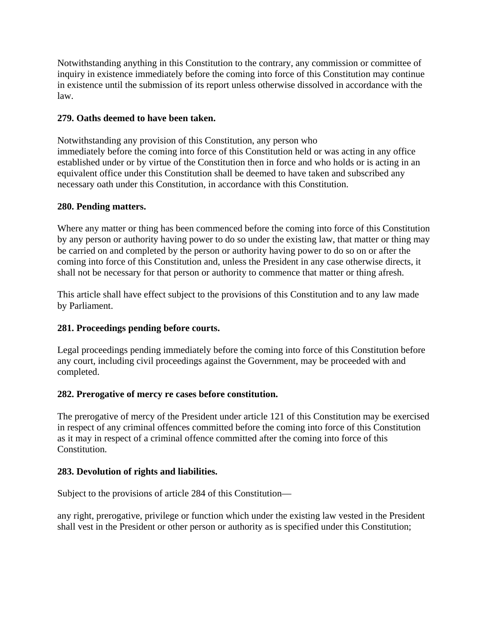Notwithstanding anything in this Constitution to the contrary, any commission or committee of inquiry in existence immediately before the coming into force of this Constitution may continue in existence until the submission of its report unless otherwise dissolved in accordance with the law.

## **279. Oaths deemed to have been taken.**

Notwithstanding any provision of this Constitution, any person who immediately before the coming into force of this Constitution held or was acting in any office established under or by virtue of the Constitution then in force and who holds or is acting in an equivalent office under this Constitution shall be deemed to have taken and subscribed any necessary oath under this Constitution, in accordance with this Constitution.

## **280. Pending matters.**

Where any matter or thing has been commenced before the coming into force of this Constitution by any person or authority having power to do so under the existing law, that matter or thing may be carried on and completed by the person or authority having power to do so on or after the coming into force of this Constitution and, unless the President in any case otherwise directs, it shall not be necessary for that person or authority to commence that matter or thing afresh.

This article shall have effect subject to the provisions of this Constitution and to any law made by Parliament.

# **281. Proceedings pending before courts.**

Legal proceedings pending immediately before the coming into force of this Constitution before any court, including civil proceedings against the Government, may be proceeded with and completed.

# **282. Prerogative of mercy re cases before constitution.**

The prerogative of mercy of the President under article 121 of this Constitution may be exercised in respect of any criminal offences committed before the coming into force of this Constitution as it may in respect of a criminal offence committed after the coming into force of this Constitution.

## **283. Devolution of rights and liabilities.**

Subject to the provisions of article 284 of this Constitution—

any right, prerogative, privilege or function which under the existing law vested in the President shall vest in the President or other person or authority as is specified under this Constitution;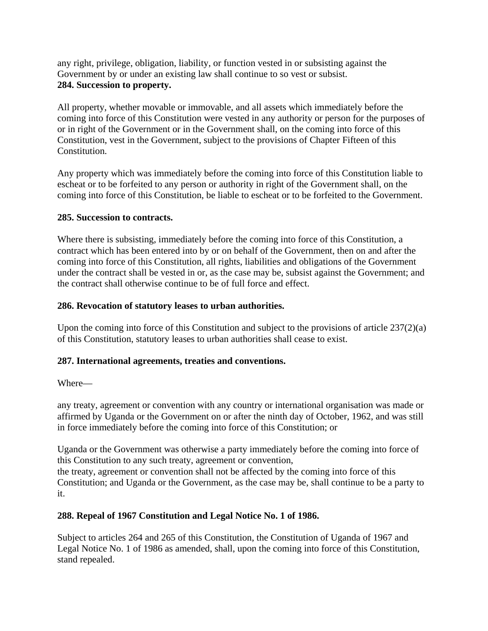any right, privilege, obligation, liability, or function vested in or subsisting against the Government by or under an existing law shall continue to so vest or subsist. **284. Succession to property.**

All property, whether movable or immovable, and all assets which immediately before the coming into force of this Constitution were vested in any authority or person for the purposes of or in right of the Government or in the Government shall, on the coming into force of this Constitution, vest in the Government, subject to the provisions of Chapter Fifteen of this Constitution.

Any property which was immediately before the coming into force of this Constitution liable to escheat or to be forfeited to any person or authority in right of the Government shall, on the coming into force of this Constitution, be liable to escheat or to be forfeited to the Government.

## **285. Succession to contracts.**

Where there is subsisting, immediately before the coming into force of this Constitution, a contract which has been entered into by or on behalf of the Government, then on and after the coming into force of this Constitution, all rights, liabilities and obligations of the Government under the contract shall be vested in or, as the case may be, subsist against the Government; and the contract shall otherwise continue to be of full force and effect.

## **286. Revocation of statutory leases to urban authorities.**

Upon the coming into force of this Constitution and subject to the provisions of article 237(2)(a) of this Constitution, statutory leases to urban authorities shall cease to exist.

# **287. International agreements, treaties and conventions.**

## Where—

any treaty, agreement or convention with any country or international organisation was made or affirmed by Uganda or the Government on or after the ninth day of October, 1962, and was still in force immediately before the coming into force of this Constitution; or

Uganda or the Government was otherwise a party immediately before the coming into force of this Constitution to any such treaty, agreement or convention, the treaty, agreement or convention shall not be affected by the coming into force of this

Constitution; and Uganda or the Government, as the case may be, shall continue to be a party to it.

# **288. Repeal of 1967 Constitution and Legal Notice No. 1 of 1986.**

Subject to articles 264 and 265 of this Constitution, the Constitution of Uganda of 1967 and Legal Notice No. 1 of 1986 as amended, shall, upon the coming into force of this Constitution, stand repealed.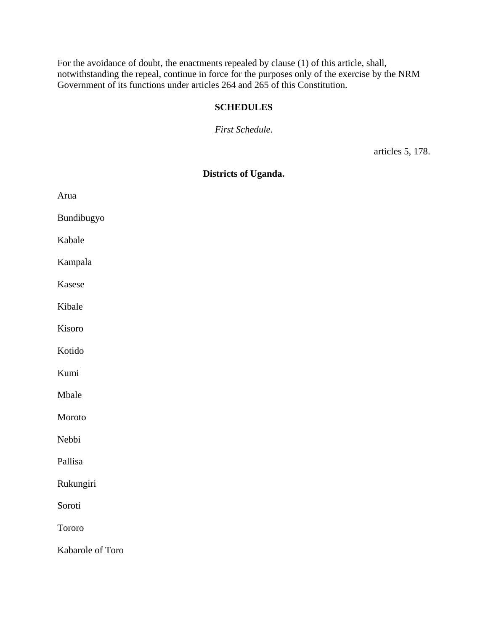For the avoidance of doubt, the enactments repealed by clause (1) of this article, shall, notwithstanding the repeal, continue in force for the purposes only of the exercise by the NRM Government of its functions under articles 264 and 265 of this Constitution.

# **SCHEDULES**

*First Schedule*.

articles 5, 178.

# **Districts of Uganda.** Arua Bundibugyo Kabale Kampala Kasese Kibale Kisoro Kotido Kumi Mbale Moroto Nebbi Pallisa Rukungiri Soroti Tororo Kabarole of Toro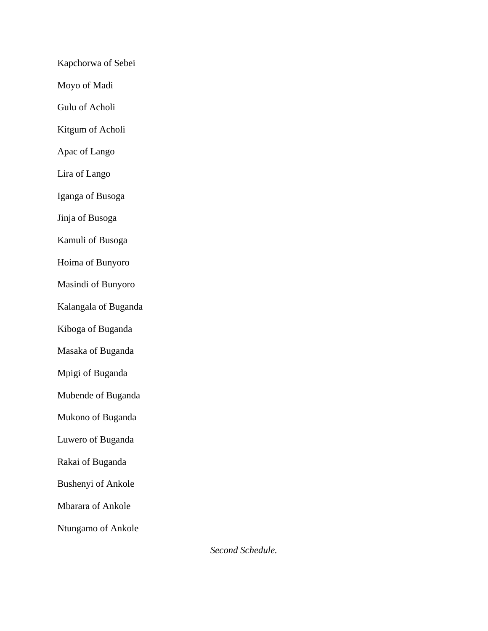Kapchorwa of Sebei

Moyo of Madi

Gulu of Acholi

Kitgum of Acholi

Apac of Lango

Lira of Lango

Iganga of Busoga

Jinja of Busoga

Kamuli of Busoga

Hoima of Bunyoro

Masindi of Bunyoro

Kalangala of Buganda

Kiboga of Buganda

Masaka of Buganda

Mpigi of Buganda

Mubende of Buganda

Mukono of Buganda

Luwero of Buganda

Rakai of Buganda

Bushenyi of Ankole

Mbarara of Ankole

Ntungamo of Ankole

*Second Schedule.*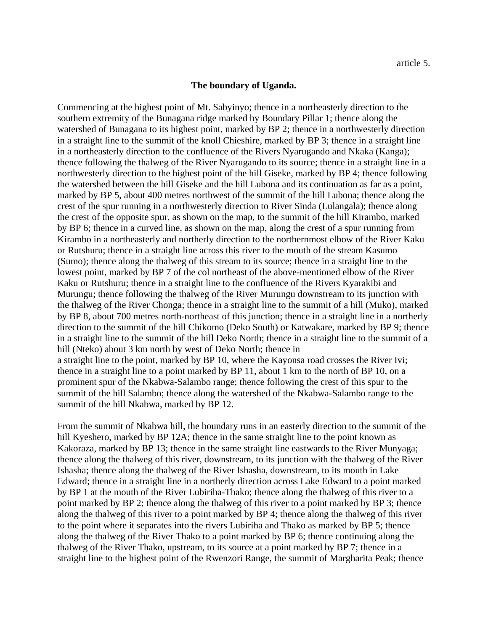#### **The boundary of Uganda.**

Commencing at the highest point of Mt. Sabyinyo; thence in a northeasterly direction to the southern extremity of the Bunagana ridge marked by Boundary Pillar 1; thence along the watershed of Bunagana to its highest point, marked by BP 2; thence in a northwesterly direction in a straight line to the summit of the knoll Chieshire, marked by BP 3; thence in a straight line in a northeasterly direction to the confluence of the Rivers Nyarugando and Nkaka (Kanga); thence following the thalweg of the River Nyarugando to its source; thence in a straight line in a northwesterly direction to the highest point of the hill Giseke, marked by BP 4; thence following the watershed between the hill Giseke and the hill Lubona and its continuation as far as a point, marked by BP 5, about 400 metres northwest of the summit of the hill Lubona; thence along the crest of the spur running in a northwesterly direction to River Sinda (Lulangala); thence along the crest of the opposite spur, as shown on the map, to the summit of the hill Kirambo, marked by BP 6; thence in a curved line, as shown on the map, along the crest of a spur running from Kirambo in a northeasterly and northerly direction to the northernmost elbow of the River Kaku or Rutshuru; thence in a straight line across this river to the mouth of the stream Kasumo (Sumo); thence along the thalweg of this stream to its source; thence in a straight line to the lowest point, marked by BP 7 of the col northeast of the above-mentioned elbow of the River Kaku or Rutshuru; thence in a straight line to the confluence of the Rivers Kyarakibi and Murungu; thence following the thalweg of the River Murungu downstream to its junction with the thalweg of the River Chonga; thence in a straight line to the summit of a hill (Muko), marked by BP 8, about 700 metres north-northeast of this junction; thence in a straight line in a northerly direction to the summit of the hill Chikomo (Deko South) or Katwakare, marked by BP 9; thence in a straight line to the summit of the hill Deko North; thence in a straight line to the summit of a hill (Nteko) about 3 km north by west of Deko North; thence in a straight line to the point, marked by BP 10, where the Kayonsa road crosses the River Ivi; thence in a straight line to a point marked by BP 11, about 1 km to the north of BP 10, on a prominent spur of the Nkabwa-Salambo range; thence following the crest of this spur to the summit of the hill Salambo; thence along the watershed of the Nkabwa-Salambo range to the summit of the hill Nkabwa, marked by BP 12.

From the summit of Nkabwa hill, the boundary runs in an easterly direction to the summit of the hill Kyeshero, marked by BP 12A; thence in the same straight line to the point known as Kakoraza, marked by BP 13; thence in the same straight line eastwards to the River Munyaga; thence along the thalweg of this river, downstream, to its junction with the thalweg of the River Ishasha; thence along the thalweg of the River Ishasha, downstream, to its mouth in Lake Edward; thence in a straight line in a northerly direction across Lake Edward to a point marked by BP 1 at the mouth of the River Lubiriha-Thako; thence along the thalweg of this river to a point marked by BP 2; thence along the thalweg of this river to a point marked by BP 3; thence along the thalweg of this river to a point marked by BP 4; thence along the thalweg of this river to the point where it separates into the rivers Lubiriha and Thako as marked by BP 5; thence along the thalweg of the River Thako to a point marked by BP 6; thence continuing along the thalweg of the River Thako, upstream, to its source at a point marked by BP 7; thence in a straight line to the highest point of the Rwenzori Range, the summit of Margharita Peak; thence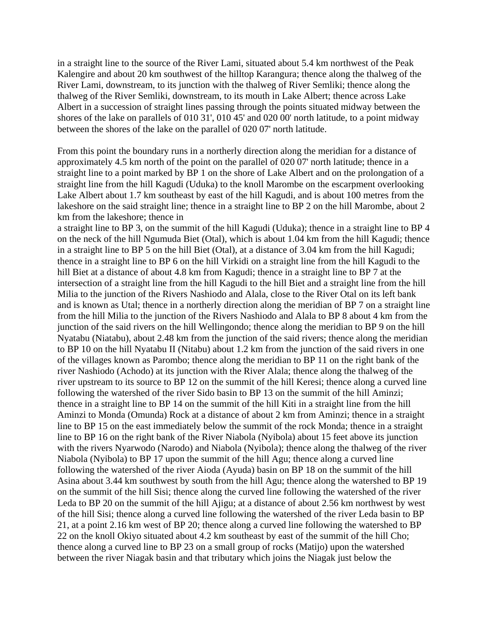in a straight line to the source of the River Lami, situated about 5.4 km northwest of the Peak Kalengire and about 20 km southwest of the hilltop Karangura; thence along the thalweg of the River Lami, downstream, to its junction with the thalweg of River Semliki; thence along the thalweg of the River Semliki, downstream, to its mouth in Lake Albert; thence across Lake Albert in a succession of straight lines passing through the points situated midway between the shores of the lake on parallels of 010 31', 010 45' and 020 00' north latitude, to a point midway between the shores of the lake on the parallel of 020 07' north latitude.

From this point the boundary runs in a northerly direction along the meridian for a distance of approximately 4.5 km north of the point on the parallel of 020 07' north latitude; thence in a straight line to a point marked by BP 1 on the shore of Lake Albert and on the prolongation of a straight line from the hill Kagudi (Uduka) to the knoll Marombe on the escarpment overlooking Lake Albert about 1.7 km southeast by east of the hill Kagudi, and is about 100 metres from the lakeshore on the said straight line; thence in a straight line to BP 2 on the hill Marombe, about 2 km from the lakeshore; thence in

a straight line to BP 3, on the summit of the hill Kagudi (Uduka); thence in a straight line to BP 4 on the neck of the hill Ngumuda Biet (Otal), which is about 1.04 km from the hill Kagudi; thence in a straight line to BP 5 on the hill Biet (Otal), at a distance of 3.04 km from the hill Kagudi; thence in a straight line to BP 6 on the hill Virkidi on a straight line from the hill Kagudi to the hill Biet at a distance of about 4.8 km from Kagudi; thence in a straight line to BP 7 at the intersection of a straight line from the hill Kagudi to the hill Biet and a straight line from the hill Milia to the junction of the Rivers Nashiodo and Alala, close to the River Otal on its left bank and is known as Utal; thence in a northerly direction along the meridian of BP 7 on a straight line from the hill Milia to the junction of the Rivers Nashiodo and Alala to BP 8 about 4 km from the junction of the said rivers on the hill Wellingondo; thence along the meridian to BP 9 on the hill Nyatabu (Niatabu), about 2.48 km from the junction of the said rivers; thence along the meridian to BP 10 on the hill Nyatabu II (Nitabu) about 1.2 km from the junction of the said rivers in one of the villages known as Parombo; thence along the meridian to BP 11 on the right bank of the river Nashiodo (Achodo) at its junction with the River Alala; thence along the thalweg of the river upstream to its source to BP 12 on the summit of the hill Keresi; thence along a curved line following the watershed of the river Sido basin to BP 13 on the summit of the hill Aminzi; thence in a straight line to BP 14 on the summit of the hill Kiti in a straight line from the hill Aminzi to Monda (Omunda) Rock at a distance of about 2 km from Aminzi; thence in a straight line to BP 15 on the east immediately below the summit of the rock Monda; thence in a straight line to BP 16 on the right bank of the River Niabola (Nyibola) about 15 feet above its junction with the rivers Nyarwodo (Narodo) and Niabola (Nyibola); thence along the thalweg of the river Niabola (Nyibola) to BP 17 upon the summit of the hill Agu; thence along a curved line following the watershed of the river Aioda (Ayuda) basin on BP 18 on the summit of the hill Asina about 3.44 km southwest by south from the hill Agu; thence along the watershed to BP 19 on the summit of the hill Sisi; thence along the curved line following the watershed of the river Leda to BP 20 on the summit of the hill Ajigu; at a distance of about 2.56 km northwest by west of the hill Sisi; thence along a curved line following the watershed of the river Leda basin to BP 21, at a point 2.16 km west of BP 20; thence along a curved line following the watershed to BP 22 on the knoll Okiyo situated about 4.2 km southeast by east of the summit of the hill Cho; thence along a curved line to BP 23 on a small group of rocks (Matijo) upon the watershed between the river Niagak basin and that tributary which joins the Niagak just below the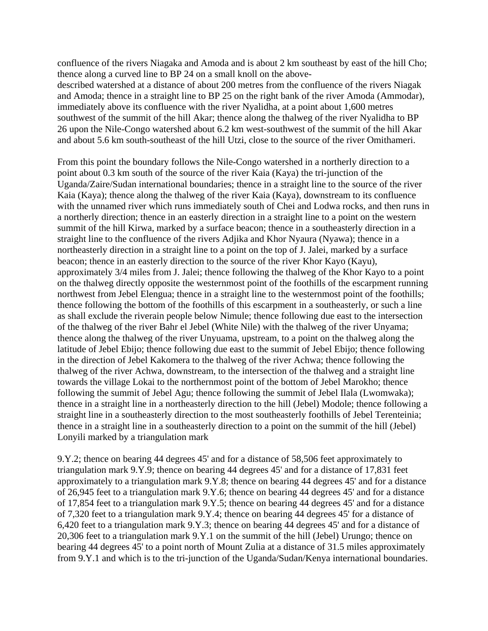confluence of the rivers Niagaka and Amoda and is about 2 km southeast by east of the hill Cho; thence along a curved line to BP 24 on a small knoll on the abovedescribed watershed at a distance of about 200 metres from the confluence of the rivers Niagak and Amoda; thence in a straight line to BP 25 on the right bank of the river Amoda (Ammodar), immediately above its confluence with the river Nyalidha, at a point about 1,600 metres southwest of the summit of the hill Akar; thence along the thalweg of the river Nyalidha to BP 26 upon the Nile-Congo watershed about 6.2 km west-southwest of the summit of the hill Akar and about 5.6 km south-southeast of the hill Utzi, close to the source of the river Omithameri.

From this point the boundary follows the Nile-Congo watershed in a northerly direction to a point about 0.3 km south of the source of the river Kaia (Kaya) the tri-junction of the Uganda/Zaire/Sudan international boundaries; thence in a straight line to the source of the river Kaia (Kaya); thence along the thalweg of the river Kaia (Kaya), downstream to its confluence with the unnamed river which runs immediately south of Chei and Lodwa rocks, and then runs in a northerly direction; thence in an easterly direction in a straight line to a point on the western summit of the hill Kirwa, marked by a surface beacon; thence in a southeasterly direction in a straight line to the confluence of the rivers Adjika and Khor Nyaura (Nyawa); thence in a northeasterly direction in a straight line to a point on the top of J. Jalei, marked by a surface beacon; thence in an easterly direction to the source of the river Khor Kayo (Kayu), approximately 3/4 miles from J. Jalei; thence following the thalweg of the Khor Kayo to a point on the thalweg directly opposite the westernmost point of the foothills of the escarpment running northwest from Jebel Elengua; thence in a straight line to the westernmost point of the foothills; thence following the bottom of the foothills of this escarpment in a southeasterly, or such a line as shall exclude the riverain people below Nimule; thence following due east to the intersection of the thalweg of the river Bahr el Jebel (White Nile) with the thalweg of the river Unyama; thence along the thalweg of the river Unyuama, upstream, to a point on the thalweg along the latitude of Jebel Ebijo; thence following due east to the summit of Jebel Ebijo; thence following in the direction of Jebel Kakomera to the thalweg of the river Achwa; thence following the thalweg of the river Achwa, downstream, to the intersection of the thalweg and a straight line towards the village Lokai to the northernmost point of the bottom of Jebel Marokho; thence following the summit of Jebel Agu; thence following the summit of Jebel Ilala (Lwomwaka); thence in a straight line in a northeasterly direction to the hill (Jebel) Modole; thence following a straight line in a southeasterly direction to the most southeasterly foothills of Jebel Terenteinia; thence in a straight line in a southeasterly direction to a point on the summit of the hill (Jebel) Lonyili marked by a triangulation mark

9.Y.2; thence on bearing 44 degrees 45' and for a distance of 58,506 feet approximately to triangulation mark 9.Y.9; thence on bearing 44 degrees 45' and for a distance of 17,831 feet approximately to a triangulation mark 9.Y.8; thence on bearing 44 degrees 45' and for a distance of 26,945 feet to a triangulation mark 9.Y.6; thence on bearing 44 degrees 45' and for a distance of 17,854 feet to a triangulation mark 9.Y.5; thence on bearing 44 degrees 45' and for a distance of 7,320 feet to a triangulation mark 9.Y.4; thence on bearing 44 degrees 45' for a distance of 6,420 feet to a triangulation mark 9.Y.3; thence on bearing 44 degrees 45' and for a distance of 20,306 feet to a triangulation mark 9.Y.1 on the summit of the hill (Jebel) Urungo; thence on bearing 44 degrees 45' to a point north of Mount Zulia at a distance of 31.5 miles approximately from 9.Y.1 and which is to the tri-junction of the Uganda/Sudan/Kenya international boundaries.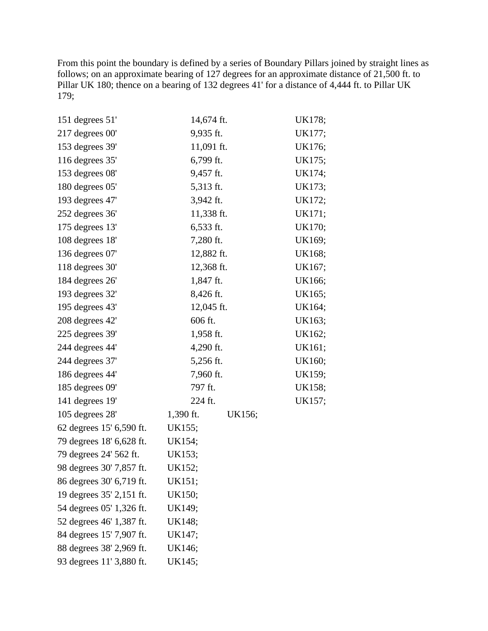From this point the boundary is defined by a series of Boundary Pillars joined by straight lines as follows; on an approximate bearing of 127 degrees for an approximate distance of 21,500 ft. to Pillar UK 180; thence on a bearing of 132 degrees 41' for a distance of 4,444 ft. to Pillar UK 179;

| 151 degrees 51'          | 14,674 ft.            | UK178; |
|--------------------------|-----------------------|--------|
| $217$ degrees 00'        | 9,935 ft.             | UK177; |
| 153 degrees 39'          | 11,091 ft.            | UK176; |
| 116 degrees 35'          | 6,799 ft.             | UK175; |
| 153 degrees 08'          | 9,457 ft.             | UK174; |
| 180 degrees 05'          | 5,313 ft.             | UK173; |
| 193 degrees 47'          | 3,942 ft.             | UK172; |
| 252 degrees 36'          | 11,338 ft.            | UK171; |
| 175 degrees 13'          | 6,533 ft.             | UK170; |
| 108 degrees 18'          | 7,280 ft.             | UK169; |
| 136 degrees 07'          | 12,882 ft.            | UK168; |
| $118$ degrees $30'$      | 12,368 ft.            | UK167; |
| 184 degrees 26'          | 1,847 ft.             | UK166; |
| 193 degrees 32'          | 8,426 ft.             | UK165; |
| 195 degrees 43'          | 12,045 ft.            | UK164; |
| 208 degrees 42'          | 606 ft.               | UK163; |
| 225 degrees 39'          | 1,958 ft.             | UK162; |
| 244 degrees 44'          | 4,290 ft.             | UK161; |
| 244 degrees 37'          | 5,256 ft.             | UK160; |
| 186 degrees 44'          | 7,960 ft.             | UK159; |
| 185 degrees 09'          | 797 ft.               | UK158; |
| 141 degrees 19'          | 224 ft.               | UK157; |
| $105$ degrees $28'$      | $1,390$ ft.<br>UK156; |        |
| 62 degrees 15' 6,590 ft. | UK155;                |        |
| 79 degrees 18' 6,628 ft. | UK154;                |        |
| 79 degrees 24' 562 ft.   | UK153;                |        |
| 98 degrees 30' 7,857 ft. | UK152;                |        |
| 86 degrees 30' 6,719 ft. | UK151;                |        |
| 19 degrees 35' 2,151 ft. | UK150;                |        |
| 54 degrees 05' 1,326 ft. | UK149;                |        |
| 52 degrees 46' 1,387 ft. | UK148;                |        |
| 84 degrees 15' 7,907 ft. | UK147;                |        |
| 88 degrees 38' 2,969 ft. | UK146;                |        |
| 93 degrees 11' 3,880 ft. | UK145;                |        |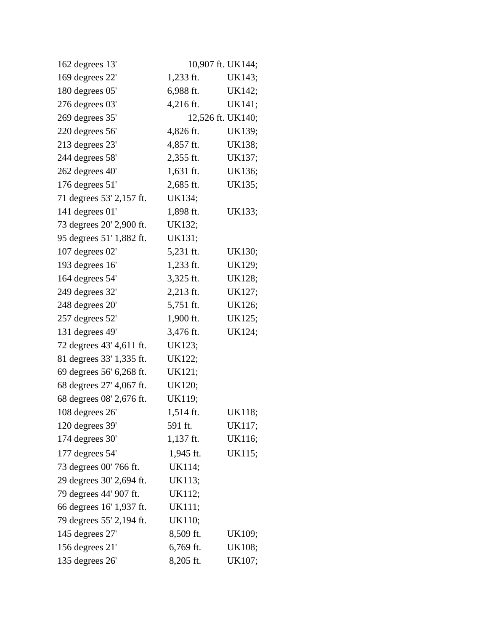| 162 degrees 13'          | 10,907 ft. UK144; |        |
|--------------------------|-------------------|--------|
| 169 degrees 22'          | $1,233$ ft.       | UK143; |
| 180 degrees 05'          | 6,988 ft.         | UK142; |
| 276 degrees 03'          | $4,216$ ft.       | UK141; |
| 269 degrees 35'          | 12,526 ft. UK140; |        |
| 220 degrees 56'          | 4,826 ft.         | UK139; |
| 213 degrees 23'          | 4,857 ft.         | UK138; |
| 244 degrees 58'          | $2,355$ ft.       | UK137; |
| 262 degrees 40'          | $1,631$ ft.       | UK136; |
| 176 degrees 51'          | 2,685 ft.         | UK135; |
| 71 degrees 53' 2,157 ft. | UK134;            |        |
| 141 degrees 01'          | 1,898 ft.         | UK133; |
| 73 degrees 20' 2,900 ft. | UK132;            |        |
| 95 degrees 51' 1,882 ft. | UK131;            |        |
| 107 degrees 02'          | 5,231 ft.         | UK130; |
| 193 degrees 16'          | $1,233$ ft.       | UK129; |
| 164 degrees 54'          | 3,325 ft.         | UK128; |
| 249 degrees 32'          | 2,213 ft.         | UK127; |
| 248 degrees 20'          | 5,751 ft.         | UK126; |
| 257 degrees 52'          | $1,900$ ft.       | UK125; |
| 131 degrees 49'          | 3,476 ft.         | UK124; |
| 72 degrees 43' 4,611 ft. | UK123;            |        |
| 81 degrees 33' 1,335 ft. | UK122;            |        |
| 69 degrees 56' 6,268 ft. | UK121;            |        |
| 68 degrees 27' 4,067 ft. | UK120;            |        |
| 68 degrees 08' 2,676 ft. | UK119;            |        |
| 108 degrees 26'          | 1,514 ft.         | UK118; |
| 120 degrees 39'          | 591 ft.           | UK117; |
| 174 degrees 30'          | $1,137$ ft.       | UK116; |
| 177 degrees 54'          | $1,945$ ft.       | UK115; |
| 73 degrees 00' 766 ft.   | UK114;            |        |
| 29 degrees 30' 2,694 ft. | UK113;            |        |
| 79 degrees 44' 907 ft.   | UK112;            |        |
| 66 degrees 16' 1,937 ft. | UK111;            |        |
| 79 degrees 55' 2,194 ft. | UK110;            |        |
| 145 degrees 27'          | 8,509 ft.         | UK109; |
| 156 degrees 21'          | $6,769$ ft.       | UK108; |
| 135 degrees 26'          | 8,205 ft.         | UK107; |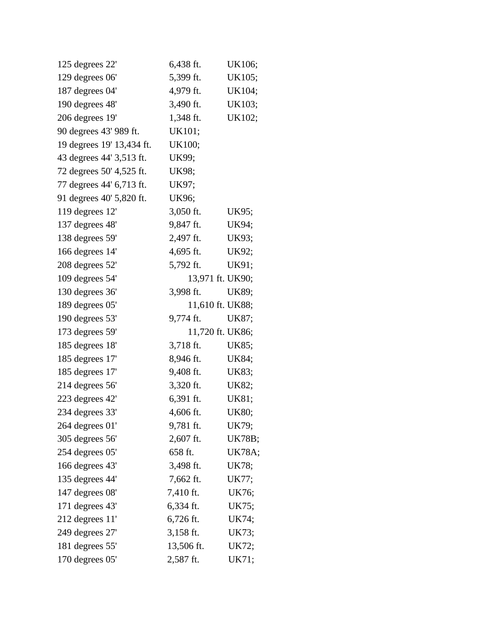| 125 degrees 22'           | 6,438 ft.        | UK106;        |
|---------------------------|------------------|---------------|
| 129 degrees 06'           | 5,399 ft.        | UK105;        |
| 187 degrees 04'           | 4,979 ft.        | UK104;        |
| 190 degrees 48'           | 3,490 ft.        | UK103;        |
| 206 degrees 19'           | 1,348 ft.        | UK102;        |
| 90 degrees 43' 989 ft.    | UK101;           |               |
| 19 degrees 19' 13,434 ft. | UK100;           |               |
| 43 degrees 44' 3,513 ft.  | UK99;            |               |
| 72 degrees 50' 4,525 ft.  | UK98;            |               |
| 77 degrees 44' 6,713 ft.  | UK97;            |               |
| 91 degrees 40' 5,820 ft.  | UK96;            |               |
| 119 degrees 12'           | $3,050$ ft.      | UK95;         |
| 137 degrees 48'           | 9,847 ft.        | UK94;         |
| 138 degrees 59'           | 2,497 ft.        | UK93;         |
| 166 degrees 14'           | $4,695$ ft.      | UK92;         |
| 208 degrees 52'           | 5,792 ft.        | UK91;         |
| 109 degrees 54'           | 13,971 ft. UK90; |               |
| 130 degrees 36'           | 3,998 ft.        | UK89;         |
| 189 degrees 05'           | 11,610 ft. UK88; |               |
| 190 degrees 53'           | 9,774 ft.        | UK87;         |
| 173 degrees 59'           | 11,720 ft. UK86; |               |
| 185 degrees 18'           | 3,718 ft.        | UK85;         |
| 185 degrees 17'           | 8,946 ft.        | UK84;         |
| 185 degrees 17'           | 9,408 ft.        | UK83;         |
| 214 degrees 56'           | 3,320 ft.        | UK82;         |
| 223 degrees 42'           | 6,391 ft.        | UK81;         |
| 234 degrees 33'           | 4,606 ft.        | UK80;         |
| 264 degrees 01'           | 9,781 ft.        | UK79;         |
| 305 degrees 56'           | 2,607 ft.        | <b>UK78B;</b> |
| 254 degrees 05'           | 658 ft.          | <b>UK78A;</b> |
| 166 degrees 43'           | 3,498 ft.        | UK78;         |
| 135 degrees 44'           | 7,662 ft.        | UK77;         |
| 147 degrees 08'           | 7,410 ft.        | UK76;         |
| 171 degrees 43'           | 6,334 ft.        | UK75;         |
| 212 degrees 11'           | $6,726$ ft.      | UK74;         |
| 249 degrees 27'           | 3,158 ft.        | UK73;         |
| 181 degrees 55'           | 13,506 ft.       | UK72;         |
| 170 degrees 05'           | 2,587 ft.        | UK71;         |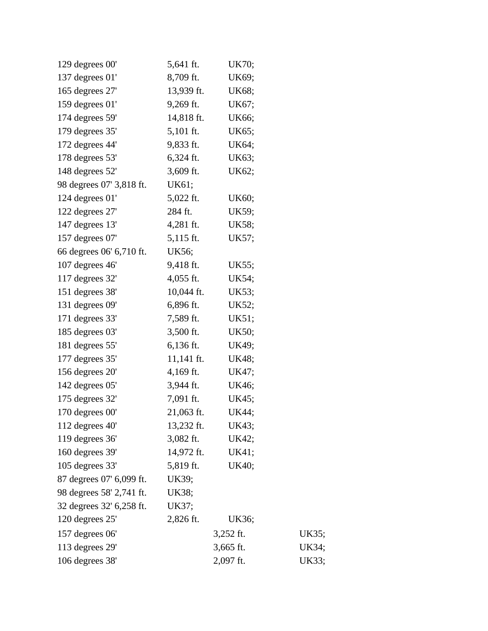| 129 degrees 00'          | 5,641 ft.    | UK70;     |       |
|--------------------------|--------------|-----------|-------|
| 137 degrees 01'          | 8,709 ft.    | UK69;     |       |
| 165 degrees 27'          | 13,939 ft.   | UK68;     |       |
| 159 degrees 01'          | 9,269 ft.    | UK67;     |       |
| 174 degrees 59'          | 14,818 ft.   | UK66;     |       |
| 179 degrees 35'          | $5,101$ ft.  | UK65;     |       |
| 172 degrees 44'          | 9,833 ft.    | UK64;     |       |
| 178 degrees 53'          | $6,324$ ft.  | UK63;     |       |
| 148 degrees 52'          | $3,609$ ft.  | UK62;     |       |
| 98 degrees 07' 3,818 ft. | UK61;        |           |       |
| 124 degrees $01'$        | $5,022$ ft.  | UK60;     |       |
| 122 degrees 27'          | 284 ft.      | UK59;     |       |
| 147 degrees 13'          | $4,281$ ft.  | UK58;     |       |
| 157 degrees 07'          | 5,115 ft.    | UK57;     |       |
| 66 degrees 06' 6,710 ft. | UK56;        |           |       |
| 107 degrees 46'          | 9,418 ft.    | UK55;     |       |
| 117 degrees 32'          | $4,055$ ft.  | UK54;     |       |
| 151 degrees 38'          | $10,044$ ft. | UK53;     |       |
| 131 degrees 09'          | 6,896 ft.    | UK52;     |       |
| 171 degrees 33'          | 7,589 ft.    | UK51;     |       |
| 185 degrees 03'          | $3,500$ ft.  | UK50;     |       |
| 181 degrees 55'          | $6,136$ ft.  | UK49;     |       |
| 177 degrees 35'          | $11,141$ ft. | UK48;     |       |
| 156 degrees 20'          | $4,169$ ft.  | UK47;     |       |
| 142 degrees 05'          | $3,944$ ft.  | UK46;     |       |
| 175 degrees 32'          | 7,091 ft.    | UK45;     |       |
| 170 degrees 00'          | 21,063 ft.   | UK44;     |       |
| 112 degrees $40'$        | 13,232 ft.   | UK43;     |       |
| 119 degrees 36'          | $3,082$ ft.  | UK42;     |       |
| 160 degrees 39'          | 14,972 ft.   | UK41;     |       |
| 105 degrees 33'          | 5,819 ft.    | UK40;     |       |
| 87 degrees 07' 6,099 ft. | UK39;        |           |       |
| 98 degrees 58' 2,741 ft. | <b>UK38;</b> |           |       |
| 32 degrees 32' 6,258 ft. | UK37;        |           |       |
| 120 degrees 25'          | 2,826 ft.    | UK36;     |       |
| 157 degrees 06'          |              | 3,252 ft. | UK35; |
| 113 degrees 29'          |              | 3,665 ft. | UK34; |
| 106 degrees 38'          |              | 2,097 ft. | UK33; |

UK35;

UK33;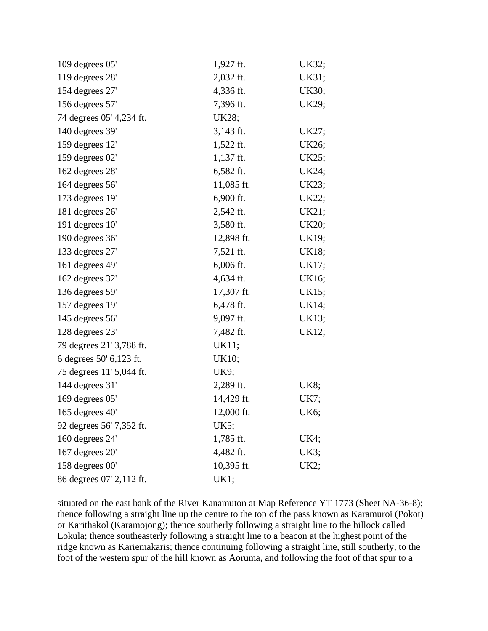| $109$ degrees $05'$      | 1,927 ft.         | UK32; |
|--------------------------|-------------------|-------|
| 119 degrees 28'          | 2,032 ft.         | UK31; |
| 154 degrees 27'          | 4,336 ft.         | UK30; |
| 156 degrees 57'          | 7,396 ft.         | UK29; |
| 74 degrees 05' 4,234 ft. | UK28;             |       |
| 140 degrees 39'          | $3,143$ ft.       | UK27; |
| 159 degrees 12'          | 1,522 ft.         | UK26; |
| 159 degrees 02'          | $1,137$ ft.       | UK25; |
| 162 degrees 28'          | $6,582$ ft.       | UK24; |
| 164 degrees 56'          | 11,085 ft.        | UK23; |
| 173 degrees 19'          | 6,900 ft.         | UK22; |
| 181 degrees 26'          | 2,542 ft.         | UK21; |
| 191 degrees $10'$        | 3,580 ft.         | UK20; |
| 190 degrees 36'          | 12,898 ft.        | UK19; |
| 133 degrees 27'          | 7,521 ft.         | UK18; |
| 161 degrees 49'          | $6,006$ ft.       | UK17; |
| 162 degrees 32'          | 4,634 ft.         | UK16; |
| 136 degrees 59'          | 17,307 ft.        | UK15; |
| 157 degrees 19'          | 6,478 ft.         | UK14; |
| 145 degrees 56'          | 9,097 ft.         | UK13; |
| 128 degrees 23'          | 7,482 ft.         | UK12; |
| 79 degrees 21' 3,788 ft. | UK11;             |       |
| 6 degrees 50' 6,123 ft.  | UK10;             |       |
| 75 degrees 11' 5,044 ft. | UK9;              |       |
| 144 degrees 31'          | 2,289 ft.         | UK8;  |
| 169 degrees 05'          | 14,429 ft.        | UK7;  |
| 165 degrees $40'$        | 12,000 ft.        | UK6;  |
| 92 degrees 56' 7,352 ft. | UK5;              |       |
| 160 degrees 24'          | 1,785 ft.         | UK4;  |
| 167 degrees 20'          | 4,482 ft.         | UK3;  |
| 158 degrees 00'          | 10,395 ft.        | UK2;  |
| 86 degrees 07' 2,112 ft. | UK <sub>1</sub> ; |       |

situated on the east bank of the River Kanamuton at Map Reference YT 1773 (Sheet NA-36-8); thence following a straight line up the centre to the top of the pass known as Karamuroi (Pokot) or Karithakol (Karamojong); thence southerly following a straight line to the hillock called Lokula; thence southeasterly following a straight line to a beacon at the highest point of the ridge known as Kariemakaris; thence continuing following a straight line, still southerly, to the foot of the western spur of the hill known as Aoruma, and following the foot of that spur to a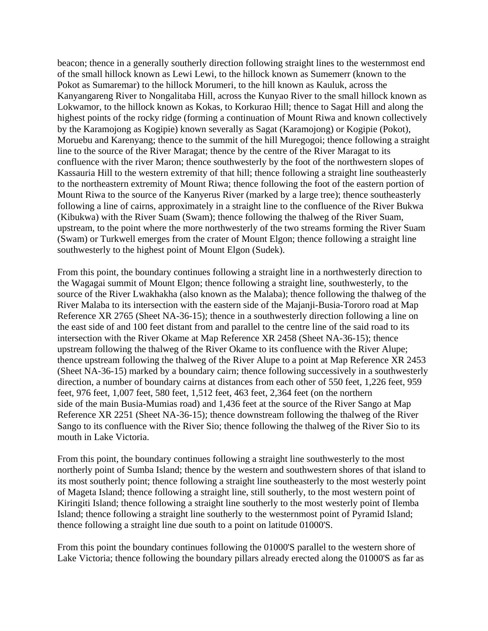beacon; thence in a generally southerly direction following straight lines to the westernmost end of the small hillock known as Lewi Lewi, to the hillock known as Sumemerr (known to the Pokot as Sumaremar) to the hillock Morumeri, to the hill known as Kauluk, across the Kanyangareng River to Nongalitaba Hill, across the Kunyao River to the small hillock known as Lokwamor, to the hillock known as Kokas, to Korkurao Hill; thence to Sagat Hill and along the highest points of the rocky ridge (forming a continuation of Mount Riwa and known collectively by the Karamojong as Kogipie) known severally as Sagat (Karamojong) or Kogipie (Pokot), Moruebu and Karenyang; thence to the summit of the hill Muregogoi; thence following a straight line to the source of the River Maragat; thence by the centre of the River Maragat to its confluence with the river Maron; thence southwesterly by the foot of the northwestern slopes of Kassauria Hill to the western extremity of that hill; thence following a straight line southeasterly to the northeastern extremity of Mount Riwa; thence following the foot of the eastern portion of Mount Riwa to the source of the Kanyerus River (marked by a large tree); thence southeasterly following a line of cairns, approximately in a straight line to the confluence of the River Bukwa (Kibukwa) with the River Suam (Swam); thence following the thalweg of the River Suam, upstream, to the point where the more northwesterly of the two streams forming the River Suam (Swam) or Turkwell emerges from the crater of Mount Elgon; thence following a straight line southwesterly to the highest point of Mount Elgon (Sudek).

From this point, the boundary continues following a straight line in a northwesterly direction to the Wagagai summit of Mount Elgon; thence following a straight line, southwesterly, to the source of the River Lwakhakha (also known as the Malaba); thence following the thalweg of the River Malaba to its intersection with the eastern side of the Majanji-Busia-Tororo road at Map Reference XR 2765 (Sheet NA-36-15); thence in a southwesterly direction following a line on the east side of and 100 feet distant from and parallel to the centre line of the said road to its intersection with the River Okame at Map Reference XR 2458 (Sheet NA-36-15); thence upstream following the thalweg of the River Okame to its confluence with the River Alupe; thence upstream following the thalweg of the River Alupe to a point at Map Reference XR 2453 (Sheet NA-36-15) marked by a boundary cairn; thence following successively in a southwesterly direction, a number of boundary cairns at distances from each other of 550 feet, 1,226 feet, 959 feet, 976 feet, 1,007 feet, 580 feet, 1,512 feet, 463 feet, 2,364 feet (on the northern side of the main Busia-Mumias road) and 1,436 feet at the source of the River Sango at Map Reference XR 2251 (Sheet NA-36-15); thence downstream following the thalweg of the River Sango to its confluence with the River Sio; thence following the thalweg of the River Sio to its mouth in Lake Victoria.

From this point, the boundary continues following a straight line southwesterly to the most northerly point of Sumba Island; thence by the western and southwestern shores of that island to its most southerly point; thence following a straight line southeasterly to the most westerly point of Mageta Island; thence following a straight line, still southerly, to the most western point of Kiringiti Island; thence following a straight line southerly to the most westerly point of Ilemba Island; thence following a straight line southerly to the westernmost point of Pyramid Island; thence following a straight line due south to a point on latitude 01000'S.

From this point the boundary continues following the 01000'S parallel to the western shore of Lake Victoria; thence following the boundary pillars already erected along the 01000'S as far as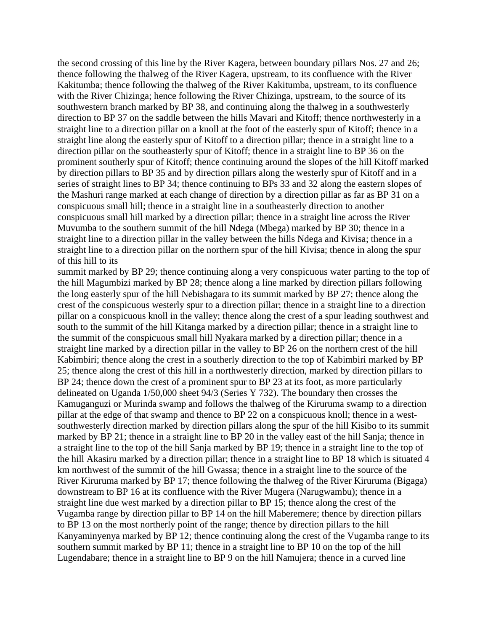the second crossing of this line by the River Kagera, between boundary pillars Nos. 27 and 26; thence following the thalweg of the River Kagera, upstream, to its confluence with the River Kakitumba; thence following the thalweg of the River Kakitumba, upstream, to its confluence with the River Chizinga; hence following the River Chizinga, upstream, to the source of its southwestern branch marked by BP 38, and continuing along the thalweg in a southwesterly direction to BP 37 on the saddle between the hills Mavari and Kitoff; thence northwesterly in a straight line to a direction pillar on a knoll at the foot of the easterly spur of Kitoff; thence in a straight line along the easterly spur of Kitoff to a direction pillar; thence in a straight line to a direction pillar on the southeasterly spur of Kitoff; thence in a straight line to BP 36 on the prominent southerly spur of Kitoff; thence continuing around the slopes of the hill Kitoff marked by direction pillars to BP 35 and by direction pillars along the westerly spur of Kitoff and in a series of straight lines to BP 34; thence continuing to BPs 33 and 32 along the eastern slopes of the Mashuri range marked at each change of direction by a direction pillar as far as BP 31 on a conspicuous small hill; thence in a straight line in a southeasterly direction to another conspicuous small hill marked by a direction pillar; thence in a straight line across the River Muvumba to the southern summit of the hill Ndega (Mbega) marked by BP 30; thence in a straight line to a direction pillar in the valley between the hills Ndega and Kivisa; thence in a straight line to a direction pillar on the northern spur of the hill Kivisa; thence in along the spur of this hill to its

summit marked by BP 29; thence continuing along a very conspicuous water parting to the top of the hill Magumbizi marked by BP 28; thence along a line marked by direction pillars following the long easterly spur of the hill Nebishagara to its summit marked by BP 27; thence along the crest of the conspicuous westerly spur to a direction pillar; thence in a straight line to a direction pillar on a conspicuous knoll in the valley; thence along the crest of a spur leading southwest and south to the summit of the hill Kitanga marked by a direction pillar; thence in a straight line to the summit of the conspicuous small hill Nyakara marked by a direction pillar; thence in a straight line marked by a direction pillar in the valley to BP 26 on the northern crest of the hill Kabimbiri; thence along the crest in a southerly direction to the top of Kabimbiri marked by BP 25; thence along the crest of this hill in a northwesterly direction, marked by direction pillars to BP 24; thence down the crest of a prominent spur to BP 23 at its foot, as more particularly delineated on Uganda 1/50,000 sheet 94/3 (Series Y 732). The boundary then crosses the Kamuganguzi or Murinda swamp and follows the thalweg of the Kiruruma swamp to a direction pillar at the edge of that swamp and thence to BP 22 on a conspicuous knoll; thence in a westsouthwesterly direction marked by direction pillars along the spur of the hill Kisibo to its summit marked by BP 21; thence in a straight line to BP 20 in the valley east of the hill Sanja; thence in a straight line to the top of the hill Sanja marked by BP 19; thence in a straight line to the top of the hill Akasiru marked by a direction pillar; thence in a straight line to BP 18 which is situated 4 km northwest of the summit of the hill Gwassa; thence in a straight line to the source of the River Kiruruma marked by BP 17; thence following the thalweg of the River Kiruruma (Bigaga) downstream to BP 16 at its confluence with the River Mugera (Narugwambu); thence in a straight line due west marked by a direction pillar to BP 15; thence along the crest of the Vugamba range by direction pillar to BP 14 on the hill Maberemere; thence by direction pillars to BP 13 on the most northerly point of the range; thence by direction pillars to the hill Kanyaminyenya marked by BP 12; thence continuing along the crest of the Vugamba range to its southern summit marked by BP 11; thence in a straight line to BP 10 on the top of the hill Lugendabare; thence in a straight line to BP 9 on the hill Namujera; thence in a curved line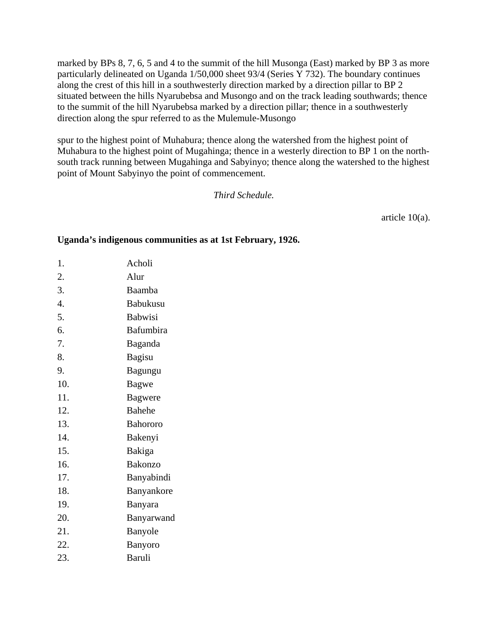marked by BPs 8, 7, 6, 5 and 4 to the summit of the hill Musonga (East) marked by BP 3 as more particularly delineated on Uganda 1/50,000 sheet 93/4 (Series Y 732). The boundary continues along the crest of this hill in a southwesterly direction marked by a direction pillar to BP 2 situated between the hills Nyarubebsa and Musongo and on the track leading southwards; thence to the summit of the hill Nyarubebsa marked by a direction pillar; thence in a southwesterly direction along the spur referred to as the Mulemule-Musongo

spur to the highest point of Muhabura; thence along the watershed from the highest point of Muhabura to the highest point of Mugahinga; thence in a westerly direction to BP 1 on the northsouth track running between Mugahinga and Sabyinyo; thence along the watershed to the highest point of Mount Sabyinyo the point of commencement.

#### *Third Schedule.*

article 10(a).

| Acholi           |
|------------------|
| Alur             |
| Baamba           |
| <b>Babukusu</b>  |
| <b>Babwisi</b>   |
| <b>Bafumbira</b> |
| Baganda          |
| <b>Bagisu</b>    |
| Bagungu          |
| Bagwe            |
| <b>Bagwere</b>   |
| <b>Bahehe</b>    |
| Bahororo         |
| Bakenyi          |
| Bakiga           |
| <b>Bakonzo</b>   |
| Banyabindi       |
| Banyankore       |
| Banyara          |
| Banyarwand       |
| Banyole          |
| Banyoro          |
| Baruli           |
|                  |

### **Uganda's indigenous communities as at 1st February, 1926.**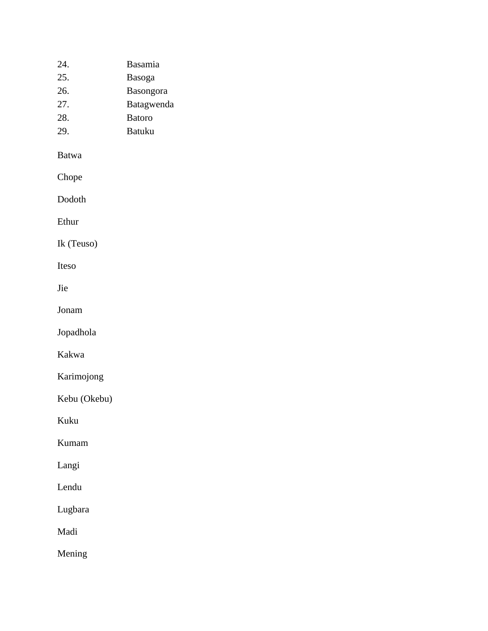| 24. | Basamia       |
|-----|---------------|
| 25. | Basoga        |
| 26. | Basongora     |
| 27. | Batagwenda    |
| 28. | <b>Batoro</b> |
| 29. | Batuku        |

Batwa

Chope

Dodoth

Ethur

Ik (Teuso)

Iteso

Jie

Jonam

Jopadhola

Kakwa

Karimojong

Kebu (Okebu)

Kuku

Kumam

Langi

Lendu

Lugbara

Madi

Mening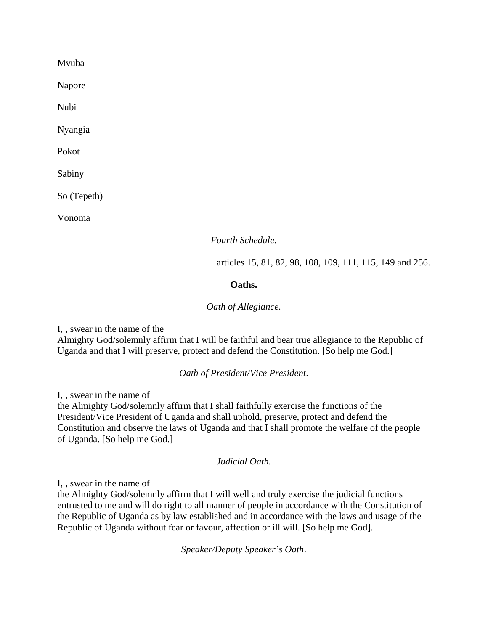Mvuba

Napore

Nubi

Nyangia

Pokot

Sabiny

So (Tepeth)

Vonoma

*Fourth Schedule.*

articles 15, 81, 82, 98, 108, 109, 111, 115, 149 and 256.

### **Oaths.**

#### *Oath of Allegiance.*

I, , swear in the name of the

Almighty God/solemnly affirm that I will be faithful and bear true allegiance to the Republic of Uganda and that I will preserve, protect and defend the Constitution. [So help me God.]

#### *Oath of President/Vice President*.

I, , swear in the name of

the Almighty God/solemnly affirm that I shall faithfully exercise the functions of the President/Vice President of Uganda and shall uphold, preserve, protect and defend the Constitution and observe the laws of Uganda and that I shall promote the welfare of the people of Uganda. [So help me God.]

#### *Judicial Oath.*

I, , swear in the name of

the Almighty God/solemnly affirm that I will well and truly exercise the judicial functions entrusted to me and will do right to all manner of people in accordance with the Constitution of the Republic of Uganda as by law established and in accordance with the laws and usage of the Republic of Uganda without fear or favour, affection or ill will. [So help me God].

*Speaker/Deputy Speaker's Oath*.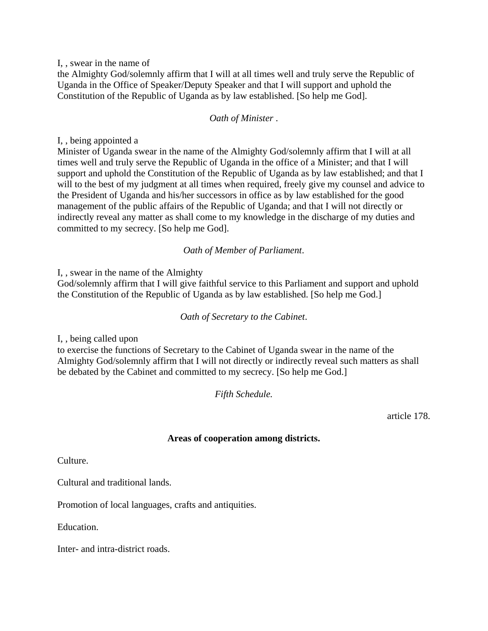I, , swear in the name of

the Almighty God/solemnly affirm that I will at all times well and truly serve the Republic of Uganda in the Office of Speaker/Deputy Speaker and that I will support and uphold the Constitution of the Republic of Uganda as by law established. [So help me God].

### *Oath of Minister* .

### I, , being appointed a

Minister of Uganda swear in the name of the Almighty God/solemnly affirm that I will at all times well and truly serve the Republic of Uganda in the office of a Minister; and that I will support and uphold the Constitution of the Republic of Uganda as by law established; and that I will to the best of my judgment at all times when required, freely give my counsel and advice to the President of Uganda and his/her successors in office as by law established for the good management of the public affairs of the Republic of Uganda; and that I will not directly or indirectly reveal any matter as shall come to my knowledge in the discharge of my duties and committed to my secrecy. [So help me God].

## *Oath of Member of Parliament*.

I, , swear in the name of the Almighty

God/solemnly affirm that I will give faithful service to this Parliament and support and uphold the Constitution of the Republic of Uganda as by law established. [So help me God.]

*Oath of Secretary to the Cabinet*.

I, , being called upon

to exercise the functions of Secretary to the Cabinet of Uganda swear in the name of the Almighty God/solemnly affirm that I will not directly or indirectly reveal such matters as shall be debated by the Cabinet and committed to my secrecy. [So help me God.]

*Fifth Schedule.*

article 178.

# **Areas of cooperation among districts.**

Culture.

Cultural and traditional lands.

Promotion of local languages, crafts and antiquities.

Education.

Inter- and intra-district roads.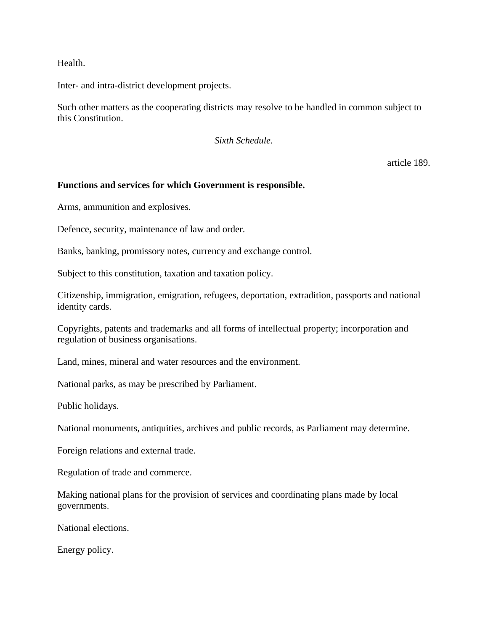Health.

Inter- and intra-district development projects.

Such other matters as the cooperating districts may resolve to be handled in common subject to this Constitution.

*Sixth Schedule.*

article 189.

#### **Functions and services for which Government is responsible.**

Arms, ammunition and explosives.

Defence, security, maintenance of law and order.

Banks, banking, promissory notes, currency and exchange control.

Subject to this constitution, taxation and taxation policy.

Citizenship, immigration, emigration, refugees, deportation, extradition, passports and national identity cards.

Copyrights, patents and trademarks and all forms of intellectual property; incorporation and regulation of business organisations.

Land, mines, mineral and water resources and the environment.

National parks, as may be prescribed by Parliament.

Public holidays.

National monuments, antiquities, archives and public records, as Parliament may determine.

Foreign relations and external trade.

Regulation of trade and commerce.

Making national plans for the provision of services and coordinating plans made by local governments.

National elections.

Energy policy.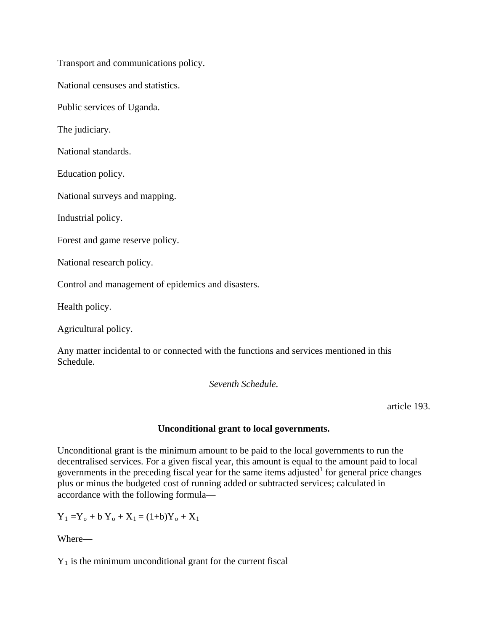Transport and communications policy.

National censuses and statistics.

Public services of Uganda.

The judiciary.

National standards.

Education policy.

National surveys and mapping.

Industrial policy.

Forest and game reserve policy.

National research policy.

Control and management of epidemics and disasters.

Health policy.

Agricultural policy.

Any matter incidental to or connected with the functions and services mentioned in this Schedule.

*Seventh Schedule.*

article 193.

### **Unconditional grant to local governments.**

Unconditional grant is the minimum amount to be paid to the local governments to run the decentralised services. For a given fiscal year, this amount is equal to the amount paid to local governments in the preceding fiscal year for the same items adjusted $<sup>1</sup>$  for general price changes</sup> plus or minus the budgeted cost of running added or subtracted services; calculated in accordance with the following formula—

$$
Y_1 = Y_o + b Y_o + X_1 = (1 + b)Y_o + X_1
$$

Where—

 $Y_1$  is the minimum unconditional grant for the current fiscal